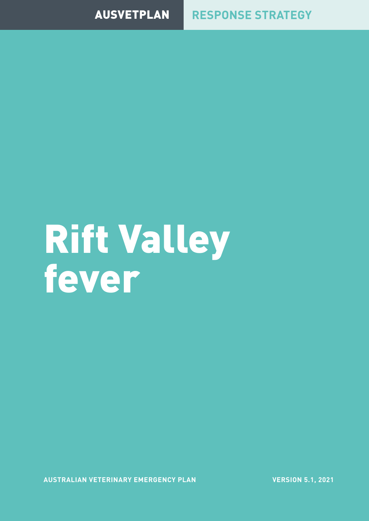## AUSVETPLAN **RESPONSE STRATEGY**

## Rift Valley fever

**AUSTRALIAN VETERINARY EMERGENCY PLAN**

**VERSION 5.1, 2021**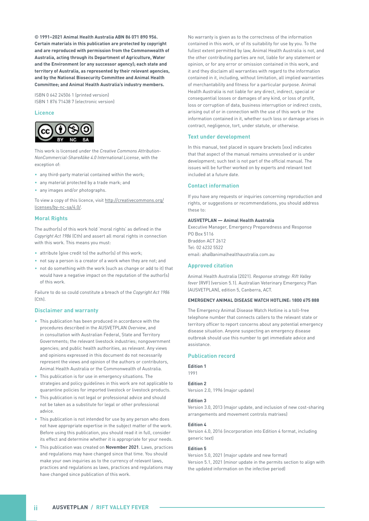**© 1991–2021 Animal Health Australia ABN 86 071 890 956. Certain materials in this publication are protected by copyright and are reproduced with permission from the Commonwealth of Australia, acting through its Department of Agriculture, Water and the Environment (or any successor agency); each state and territory of Australia, as represented by their relevant agencies, and by the National Biosecurity Committee and Animal Health Committee; and Animal Health Australia's industry members.**

ISBN 0 642 24506 1 (printed version) ISBN 1 876 71438 7 (electronic version)

#### **Licence**



This work is licensed under the *Creative Commons Attribution-NonCommercial-ShareAlike 4.0 International License*, with the exception of:

- any third-party material contained within the work;
- any material protected by a trade mark; and
- any images and/or photographs.

To view a copy of this licence, visit [http://creativecommons.org/](http://creativecommons.org/licenses/by-nc-sa/4.0/) [licenses/by-nc-sa/4.0/](http://creativecommons.org/licenses/by-nc-sa/4.0/).

#### **Moral Rights**

The author(s) of this work hold 'moral rights' as defined in the *Copyright Act 1986* (Cth) and assert all moral rights in connection with this work. This means you must:

- attribute (give credit to) the author(s) of this work;
- not say a person is a creator of a work when they are not; and
- not do something with the work (such as change or add to it) that would have a negative impact on the reputation of the author(s) of this work.

Failure to do so could constitute a breach of the *Copyright Act 1986*  $(C<sub>th</sub>)$ .

#### **Disclaimer and warranty**

- This publication has been produced in accordance with the procedures described in the AUSVETPLAN *Overview*, and in consultation with Australian Federal, State and Territory Governments; the relevant livestock industries; nongovernment agencies; and public health authorities, as relevant. Any views and opinions expressed in this document do not necessarily represent the views and opinion of the authors or contributors, Animal Health Australia or the Commonwealth of Australia.
- This publication is for use in emergency situations. The strategies and policy guidelines in this work are not applicable to quarantine policies for imported livestock or livestock products.
- This publication is not legal or professional advice and should not be taken as a substitute for legal or other professional advice.
- This publication is not intended for use by any person who does not have appropriate expertise in the subject matter of the work. Before using this publication, you should read it in full, consider its effect and determine whether it is appropriate for your needs.
- This publication was created on **November 2021**. Laws, practices and regulations may have changed since that time. You should make your own inquiries as to the currency of relevant laws, practices and regulations as laws, practices and regulations may have changed since publication of this work.

No warranty is given as to the correctness of the information contained in this work, or of its suitability for use by you. To the fullest extent permitted by law, Animal Health Australia is not, and the other contributing parties are not, liable for any statement or opinion, or for any error or omission contained in this work, and it and they disclaim all warranties with regard to the information contained in it, including, without limitation, all implied warranties of merchantability and fitness for a particular purpose. Animal Health Australia is not liable for any direct, indirect, special or consequential losses or damages of any kind, or loss of profit, loss or corruption of data, business interruption or indirect costs, arising out of or in connection with the use of this work or the information contained in it, whether such loss or damage arises in contract, negligence, tort, under statute, or otherwise.

#### **Text under development**

In this manual, text placed in square brackets [xxx] indicates that that aspect of the manual remains unresolved or is under development; such text is not part of the official manual. The issues will be further worked on by experts and relevant text included at a future date.

#### **Contact information**

If you have any requests or inquiries concerning reproduction and rights, or suggestions or recommendations, you should address these to:

#### **AUSVETPLAN — Animal Health Australia**

Executive Manager, Emergency Preparedness and Response PO Box 5116 Braddon ACT 2612 Tel: 02 6232 5522 email: aha@animalhealthaustralia.com.au

#### **Approved citation**

Animal Health Australia (2021). *Response strategy: Rift Valley fever* (RVF) (version 5.1). Australian Veterinary Emergency Plan (AUSVETPLAN), edition 5, Canberra, ACT.

#### **EMERGENCY ANIMAL DISEASE WATCH HOTLINE: 1800 675 888**

The Emergency Animal Disease Watch Hotline is a toll-free telephone number that connects callers to the relevant state or territory officer to report concerns about any potential emergency disease situation. Anyone suspecting an emergency disease outbreak should use this number to get immediate advice and assistance.

#### **Publication record**

#### **Edition 1**

1991

#### **Edition 2**

Version 2.0, 1996 (major update)

#### **Edition 3**

Version 3.0, 2013 (major update, and inclusion of new cost-sharing arrangements and movement controls matrixes)

#### **Edition 4**

Version 4.0, 2016 (incorporation into Edition 4 format, including generic text)

#### **Edition 5**

Version 5.0, 2021 (major update and new format) Version 5.1, 2021 (minor update in the permits section to align with the updated information on the infective period)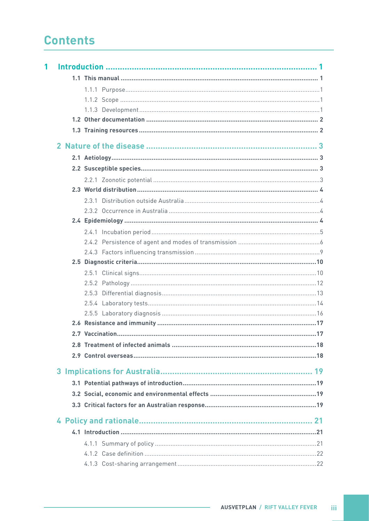## **Contents**

| 1 |  |  |  |  |  |
|---|--|--|--|--|--|
|   |  |  |  |  |  |
|   |  |  |  |  |  |
|   |  |  |  |  |  |
|   |  |  |  |  |  |
|   |  |  |  |  |  |
|   |  |  |  |  |  |
|   |  |  |  |  |  |
|   |  |  |  |  |  |
|   |  |  |  |  |  |
|   |  |  |  |  |  |
|   |  |  |  |  |  |
|   |  |  |  |  |  |
|   |  |  |  |  |  |
|   |  |  |  |  |  |
|   |  |  |  |  |  |
|   |  |  |  |  |  |
|   |  |  |  |  |  |
|   |  |  |  |  |  |
|   |  |  |  |  |  |
|   |  |  |  |  |  |
|   |  |  |  |  |  |
|   |  |  |  |  |  |
|   |  |  |  |  |  |
|   |  |  |  |  |  |
|   |  |  |  |  |  |
|   |  |  |  |  |  |
|   |  |  |  |  |  |
|   |  |  |  |  |  |
|   |  |  |  |  |  |
|   |  |  |  |  |  |
|   |  |  |  |  |  |
|   |  |  |  |  |  |
|   |  |  |  |  |  |
|   |  |  |  |  |  |
|   |  |  |  |  |  |
|   |  |  |  |  |  |
|   |  |  |  |  |  |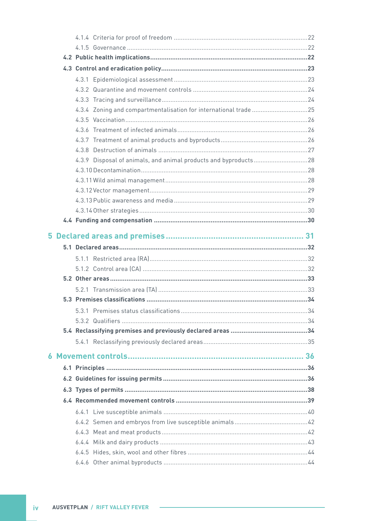|  | 4.3.4 Zoning and compartmentalisation for international trade 25 |  |
|--|------------------------------------------------------------------|--|
|  |                                                                  |  |
|  |                                                                  |  |
|  |                                                                  |  |
|  |                                                                  |  |
|  |                                                                  |  |
|  |                                                                  |  |
|  |                                                                  |  |
|  |                                                                  |  |
|  |                                                                  |  |
|  |                                                                  |  |
|  |                                                                  |  |
|  |                                                                  |  |
|  |                                                                  |  |
|  |                                                                  |  |
|  |                                                                  |  |
|  |                                                                  |  |
|  |                                                                  |  |
|  |                                                                  |  |
|  |                                                                  |  |
|  |                                                                  |  |
|  |                                                                  |  |
|  |                                                                  |  |
|  |                                                                  |  |
|  |                                                                  |  |
|  |                                                                  |  |
|  |                                                                  |  |
|  |                                                                  |  |
|  |                                                                  |  |
|  |                                                                  |  |
|  |                                                                  |  |
|  |                                                                  |  |
|  |                                                                  |  |
|  |                                                                  |  |
|  |                                                                  |  |

 $\sim$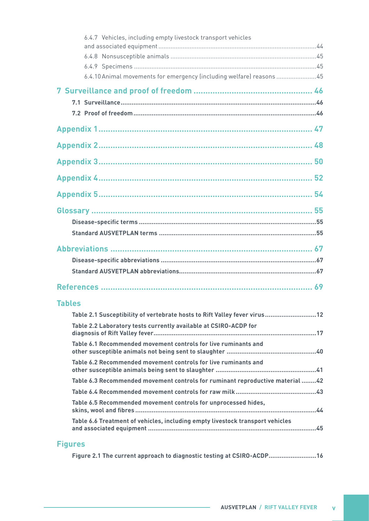| 6.4.7 Vehicles, including empty livestock transport vehicles                  |  |
|-------------------------------------------------------------------------------|--|
|                                                                               |  |
|                                                                               |  |
| 6.4.10 Animal movements for emergency (including welfare) reasons 45          |  |
|                                                                               |  |
|                                                                               |  |
|                                                                               |  |
|                                                                               |  |
|                                                                               |  |
|                                                                               |  |
|                                                                               |  |
|                                                                               |  |
|                                                                               |  |
|                                                                               |  |
|                                                                               |  |
|                                                                               |  |
|                                                                               |  |
|                                                                               |  |
|                                                                               |  |
|                                                                               |  |
|                                                                               |  |
| <b>Tables</b>                                                                 |  |
| Table 2.1 Susceptibility of vertebrate hosts to Rift Valley fever virus 12    |  |
| Table 2.2 Laboratory tests currently available at CSIRO-ACDP for              |  |
| Table 6.1 Recommended movement controls for live ruminants and                |  |
| Table 6.2 Recommended movement controls for live ruminants and                |  |
| Table 6.3 Recommended movement controls for ruminant reproductive material 42 |  |
|                                                                               |  |
| Table 6.5 Recommended movement controls for unprocessed hides.                |  |
| Table 6.6 Treatment of vehicles, including empty livestock transport vehicles |  |
| <b>Figures</b>                                                                |  |

|  |  | Figure 2.1 The current approach to diagnostic testing at CSIRO-ACDP16 |  |
|--|--|-----------------------------------------------------------------------|--|
|--|--|-----------------------------------------------------------------------|--|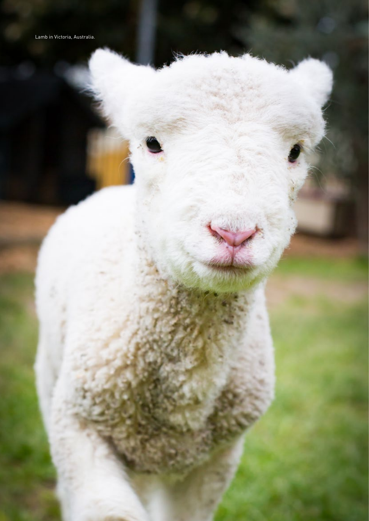*via a Museum of the AUSTRALIA*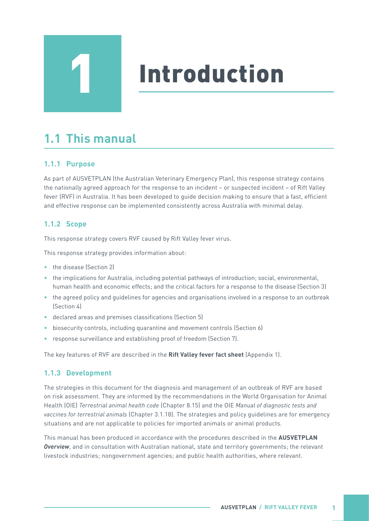## Introduction

## **1.1 This manual**

<span id="page-6-0"></span>1

### **1.1.1 Purpose**

As part of AUSVETPLAN (the Australian Veterinary Emergency Plan), this response strategy contains the nationally agreed approach for the response to an incident – or suspected incident – of Rift Valley fever (RVF) in Australia. It has been developed to guide decision making to ensure that a fast, efficient and effective response can be implemented consistently across Australia with minimal delay.

#### **1.1.2 Scope**

This response strategy covers RVF caused by Rift Valley fever virus.

This response strategy provides information about:

- the disease (Section 2)
- the implications for Australia, including potential pathways of introduction; social, environmental, human health and economic effects; and the critical factors for a response to the disease (Section 3)
- the agreed policy and guidelines for agencies and organisations involved in a response to an outbreak (Section 4)
- declared areas and premises classifications (Section 5)
- biosecurity controls, including quarantine and movement controls (Section 6)
- response surveillance and establishing proof of freedom (Section 7).

The key features of RVF are described in the **Rift Valley fever fact sheet** (Appendix 1).

#### **1.1.3 Development**

The strategies in this document for the diagnosis and management of an outbreak of RVF are based on risk assessment. They are informed by the recommendations in the World Organisation for Animal Health (OIE) *Terrestrial animal health code* (Chapter 8.15) and the OIE *Manual of diagnostic tests and vaccines for terrestrial animals* (Chapter 3.1.18). The strategies and policy guidelines are for emergency situations and are not applicable to policies for imported animals or animal products.

This manual has been produced in accordance with the procedures described in the **AUSVETPLAN**  *Overview*, and in consultation with Australian national, state and territory governments; the relevant livestock industries; nongovernment agencies; and public health authorities, where relevant.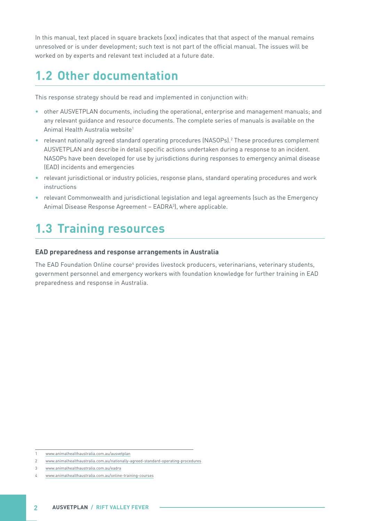<span id="page-7-0"></span>In this manual, text placed in square brackets [xxx] indicates that that aspect of the manual remains unresolved or is under development; such text is not part of the official manual. The issues will be worked on by experts and relevant text included at a future date.

## **1.2 Other documentation**

This response strategy should be read and implemented in conjunction with:

- other AUSVETPLAN documents, including the operational, enterprise and management manuals; and any relevant guidance and resource documents. The complete series of manuals is available on the Animal Health Australia website1
- relevant nationally agreed standard operating procedures (NASOPs).<sup>2</sup> These procedures complement AUSVETPLAN and describe in detail specific actions undertaken during a response to an incident. NASOPs have been developed for use by jurisdictions during responses to emergency animal disease (EAD) incidents and emergencies
- relevant jurisdictional or industry policies, response plans, standard operating procedures and work instructions
- relevant Commonwealth and jurisdictional legislation and legal agreements (such as the Emergency Animal Disease Response Agreement – EADRA3 ), where applicable.

## **1.3 Training resources**

#### **EAD preparedness and response arrangements in Australia**

The EAD Foundation Online course<sup>4</sup> provides livestock producers, veterinarians, veterinary students, government personnel and emergency workers with foundation knowledge for further training in EAD preparedness and response in Australia.

<sup>1</sup> [www.animalhealthaustralia.com.au/ausvetplan](https://animalhealthaustralia.com.au/ausvetplan/)

<sup>2</sup> [www.animalhealthaustralia.com.au/nationally-agreed-standard-operating-procedures](https://animalhealthaustralia.com.au/nationally-agreed-standard-operating-procedures/)

<sup>3</sup> [www.animalhealthaustralia.com.au/eadra](https://animalhealthaustralia.com.au/eadra/)

<sup>4</sup> [www.animalhealthaustralia.com.au/online-training-courses](https://animalhealthaustralia.com.au/online-training-courses/)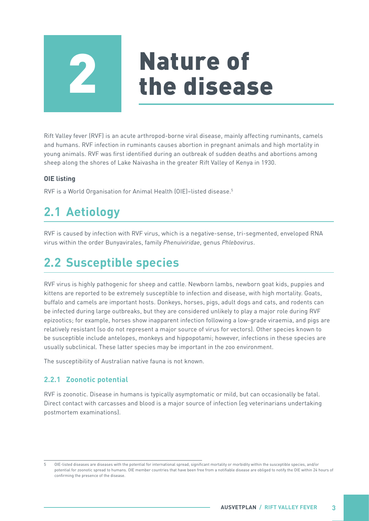# Nature of<br>the disease

<span id="page-8-0"></span>Rift Valley fever (RVF) is an acute arthropod-borne viral disease, mainly affecting ruminants, camels and humans. RVF infection in ruminants causes abortion in pregnant animals and high mortality in young animals. RVF was first identified during an outbreak of sudden deaths and abortions among sheep along the shores of Lake Naivasha in the greater Rift Valley of Kenya in 1930.

#### **OIE listing**

RVF is a World Organisation for Animal Health (OIE)–listed disease.5

## **2.1 Aetiology**

RVF is caused by infection with RVF virus, which is a negative-sense, tri-segmented, enveloped RNA virus within the order Bunyavirales, family *Phenuiviridae*, genus *Phlebovirus*.

## **2.2 Susceptible species**

RVF virus is highly pathogenic for sheep and cattle. Newborn lambs, newborn goat kids, puppies and kittens are reported to be extremely susceptible to infection and disease, with high mortality. Goats, buffalo and camels are important hosts. Donkeys, horses, pigs, adult dogs and cats, and rodents can be infected during large outbreaks, but they are considered unlikely to play a major role during RVF epizootics; for example, horses show inapparent infection following a low-grade viraemia, and pigs are relatively resistant (so do not represent a major source of virus for vectors). Other species known to be susceptible include antelopes, monkeys and hippopotami; however, infections in these species are usually subclinical. These latter species may be important in the zoo environment.

The susceptibility of Australian native fauna is not known.

#### **2.2.1 Zoonotic potential**

RVF is zoonotic. Disease in humans is typically asymptomatic or mild, but can occasionally be fatal. Direct contact with carcasses and blood is a major source of infection (eg veterinarians undertaking postmortem examinations).

<sup>5</sup> OIE-listed diseases are diseases with the potential for international spread, significant mortality or morbidity within the susceptible species, and/or potential for zoonotic spread to humans. OIE member countries that have been free from a notifiable disease are obliged to notify the OIE within 24 hours of confirming the presence of the disease.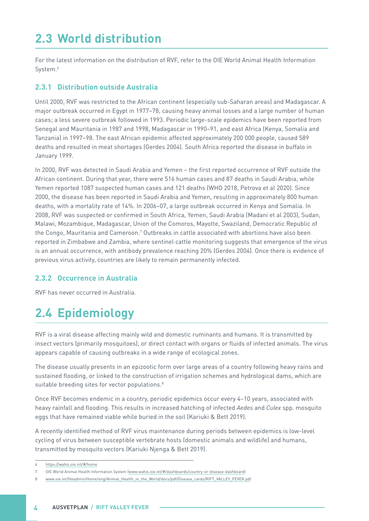## <span id="page-9-0"></span>**2.3 World distribution**

For the latest information on the distribution of RVF, refer to the OIE World Animal Health Information System.<sup>6</sup>

#### **2.3.1 Distribution outside Australia**

Until 2000, RVF was restricted to the African continent (especially sub-Saharan areas) and Madagascar. A major outbreak occurred in Egypt in 1977–78, causing heavy animal losses and a large number of human cases; a less severe outbreak followed in 1993. Periodic large-scale epidemics have been reported from Senegal and Mauritania in 1987 and 1998, Madagascar in 1990–91, and east Africa (Kenya, Somalia and Tanzania) in 1997–98. The east African epidemic affected approximately 200 000 people, caused 589 deaths and resulted in meat shortages (Gerdes 2004). South Africa reported the disease in buffalo in January 1999.

In 2000, RVF was detected in Saudi Arabia and Yemen – the first reported occurrence of RVF outside the African continent. During that year, there were 516 human cases and 87 deaths in Saudi Arabia, while Yemen reported 1087 suspected human cases and 121 deaths (WHO 2018, Petrova et al 2020). Since 2000, the disease has been reported in Saudi Arabia and Yemen, resulting in approximately 800 human deaths, with a mortality rate of 14%. In 2006–07, a large outbreak occurred in Kenya and Somalia. In 2008, RVF was suspected or confirmed in South Africa, Yemen, Saudi Arabia (Madani et al 2003), Sudan, Malawi, Mozambique, Madagascar, Union of the Comoros, Mayotte, Swaziland, Democratic Republic of the Congo, Mauritania and Cameroon.<sup>7</sup> Outbreaks in cattle associated with abortions have also been reported in Zimbabwe and Zambia, where sentinel cattle monitoring suggests that emergence of the virus is an annual occurrence, with antibody prevalence reaching 20% (Gerdes 2004). Once there is evidence of previous virus activity, countries are likely to remain permanently infected.

#### **2.3.2 Occurrence in Australia**

RVF has never occurred in Australia.

## **2.4 Epidemiology**

RVF is a viral disease affecting mainly wild and domestic ruminants and humans. It is transmitted by insect vectors (primarily mosquitoes), or direct contact with organs or fluids of infected animals. The virus appears capable of causing outbreaks in a wide range of ecological zones.

The disease usually presents in an epizootic form over large areas of a country following heavy rains and sustained flooding, or linked to the construction of irrigation schemes and hydrological dams, which are suitable breeding sites for vector populations.<sup>8</sup>

Once RVF becomes endemic in a country, periodic epidemics occur every 4–10 years, associated with heavy rainfall and flooding. This results in increased hatching of infected *Aedes* and *Culex* spp. mosquito eggs that have remained viable while buried in the soil (Kariuki & Bett 2019).

A recently identified method of RVF virus maintenance during periods between epidemics is low-level cycling of virus between susceptible vertebrate hosts (domestic animals and wildlife) and humans, transmitted by mosquito vectors (Kariuki Njenga & Bett 2019).

<sup>6</sup> <https://wahis.oie.int/#/home>

<sup>7</sup> OIE World Animal Health Information System ([www.wahis.oie.int/#/dashboards/country-or-disease-dashboard](https://wahis.oie.int/#/dashboards/country-or-disease-dashboard))

<sup>8</sup> [www.oie.int/fileadmin/Home/eng/Animal\\_Health\\_in\\_the\\_World/docs/pdf/Disease\\_cards/RIFT\\_VALLEY\\_FEVER.pdf](http://www.oie.int/fileadmin/Home/eng/Animal_Health_in_the_World/docs/pdf/Disease_cards/RIFT_VALLEY_FEVER.pdf)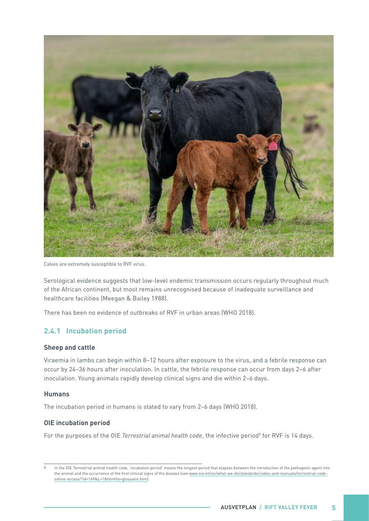<span id="page-10-0"></span>

Calves are extremely susceptible to RVF virus.

Serological evidence suggests that low-level endemic transmission occurs regularly throughout much of the African continent, but most remains unrecognised because of inadequate surveillance and healthcare facilities (Meegan & Bailey 1988).

There has been no evidence of outbreaks of RVF in urban areas (WHO 2018).

#### **2.4.1 Incubation period**

#### **Sheep and cattle**

Viraemia in lambs can begin within 8–12 hours after exposure to the virus, and a febrile response can occur by 24–36 hours after inoculation. In cattle, the febrile response can occur from days 2–6 after inoculation. Young animals rapidly develop clinical signs and die within 2–6 days.

#### **Humans**

The incubation period in humans is stated to vary from 2–6 days (WHO 2018).

#### **OIE incubation period**

For the purposes of the OIE *Terrestrial animal health code*, the infective period<sup>9</sup> for RVF is 14 days.

In the OIE Terrestrial animal health code, 'incubation period' means the longest period that elapses between the introduction of the pathogenic agent into the animal and the occurrence of the first clinical signs of the disease (see [www.oie.int/en/what-we-do/standards/codes-and-manuals/terrestrial-code](http://www.oie.int/en/what-we-do/standards/codes-and-manuals/terrestrial-code-online-access/?id=169&L=1&htmfile=glossaire.htm)[online-access/?id=169&L=1&htmfile=glossaire.htm](http://www.oie.int/en/what-we-do/standards/codes-and-manuals/terrestrial-code-online-access/?id=169&L=1&htmfile=glossaire.htm)).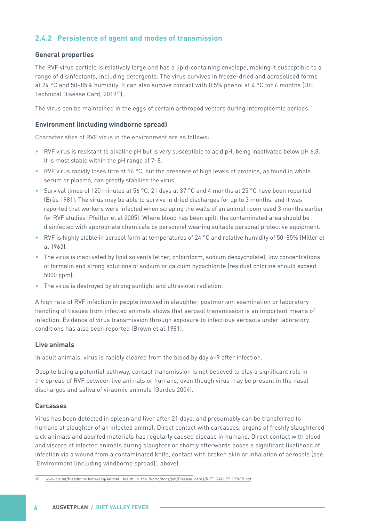#### <span id="page-11-0"></span>**2.4.2 Persistence of agent and modes of transmission**

#### **General properties**

The RVF virus particle is relatively large and has a lipid-containing envelope, making it susceptible to a range of disinfectants, including detergents. The virus survives in freeze-dried and aerosolised forms at 24 °C and 50–85% humidity. It can also survive contact with 0.5% phenol at 4 °C for 6 months (OIE Technical Disease Card, 201910).

The virus can be maintained in the eggs of certain arthropod vectors during interepidemic periods.

#### **Environment (including windborne spread)**

Characteristics of RVF virus in the environment are as follows:

- RVF virus is resistant to alkaline pH but is very susceptible to acid pH, being inactivated below pH 6.8. It is most stable within the pH range of 7–8.
- RVF virus rapidly loses titre at 56 °C, but the presence of high levels of proteins, as found in whole serum or plasma, can greatly stabilise the virus.
- Survival times of 120 minutes at 56 °C, 21 days at 37 °C and 4 months at 25 °C have been reported (Brès 1981). The virus may be able to survive in dried discharges for up to 3 months, and it was reported that workers were infected when scraping the walls of an animal room used 3 months earlier for RVF studies (Pfeiffer et al 2005). Where blood has been spilt, the contaminated area should be disinfected with appropriate chemicals by personnel wearing suitable personal protective equipment.
- RVF is highly stable in aerosol form at temperatures of 24 °C and relative humidity of 50–85% (Miller et al 1963).
- The virus is inactivated by lipid solvents (ether, chloroform, sodium deoxycholate), low concentrations of formalin and strong solutions of sodium or calcium hypochlorite (residual chlorine should exceed 5000 ppm).
- The virus is destroyed by strong sunlight and ultraviolet radiation.

A high rate of RVF infection in people involved in slaughter, postmortem examination or laboratory handling of tissues from infected animals shows that aerosol transmission is an important means of infection. Evidence of virus transmission through exposure to infectious aerosols under laboratory conditions has also been reported (Brown et al 1981).

#### **Live animals**

In adult animals, virus is rapidly cleared from the blood by day 6–9 after infection.

Despite being a potential pathway, contact transmission is not believed to play a significant role in the spread of RVF between live animals or humans, even though virus may be present in the nasal discharges and saliva of viraemic animals (Gerdes 2004).

#### **Carcasses**

Virus has been detected in spleen and liver after 21 days, and presumably can be transferred to humans at slaughter of an infected animal. Direct contact with carcasses, organs of freshly slaughtered sick animals and aborted materials has regularly caused disease in humans. Direct contact with blood and viscera of infected animals during slaughter or shortly afterwards poses a significant likelihood of infection via a wound from a contaminated knife, contact with broken skin or inhalation of aerosols (see 'Environment (including windborne spread)', above).

<sup>10</sup> [www.oie.int/fileadmin/Home/eng/Animal\\_Health\\_in\\_the\\_World/docs/pdf/Disease\\_cards/RIFT\\_VALLEY\\_FEVER.pdf](http://www.oie.int/fileadmin/Home/eng/Animal_Health_in_the_World/docs/pdf/Disease_cards/RIFT_VALLEY_FEVER.pdf)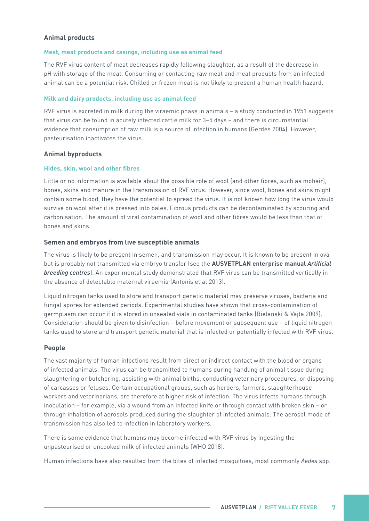#### **Animal products**

#### **Meat, meat products and casings, including use as animal feed**

The RVF virus content of meat decreases rapidly following slaughter, as a result of the decrease in pH with storage of the meat. Consuming or contacting raw meat and meat products from an infected animal can be a potential risk. Chilled or frozen meat is not likely to present a human health hazard.

#### **Milk and dairy products, including use as animal feed**

RVF virus is excreted in milk during the viraemic phase in animals – a study conducted in 1951 suggests that virus can be found in acutely infected cattle milk for 3–5 days – and there is circumstantial evidence that consumption of raw milk is a source of infection in humans (Gerdes 2004). However, pasteurisation inactivates the virus.

#### **Animal byproducts**

#### **Hides, skin, wool and other fibres**

Little or no information is available about the possible role of wool (and other fibres, such as mohair), bones, skins and manure in the transmission of RVF virus. However, since wool, bones and skins might contain some blood, they have the potential to spread the virus. It is not known how long the virus would survive on wool after it is pressed into bales. Fibrous products can be decontaminated by scouring and carbonisation. The amount of viral contamination of wool and other fibres would be less than that of bones and skins.

#### **Semen and embryos from live susceptible animals**

The virus is likely to be present in semen, and transmission may occur. It is known to be present in ova but is probably not transmitted via embryo transfer (see the **AUSVETPLAN enterprise manual Artificial breeding centres**). An experimental study demonstrated that RVF virus can be transmitted vertically in the absence of detectable maternal viraemia (Antonis et al 2013).

Liquid nitrogen tanks used to store and transport genetic material may preserve viruses, bacteria and fungal spores for extended periods. Experimental studies have shown that cross-contamination of germplasm can occur if it is stored in unsealed vials in contaminated tanks (Bielanski & Vajta 2009). Consideration should be given to disinfection – before movement or subsequent use – of liquid nitrogen tanks used to store and transport genetic material that is infected or potentially infected with RVF virus.

#### **People**

The vast majority of human infections result from direct or indirect contact with the blood or organs of infected animals. The virus can be transmitted to humans during handling of animal tissue during slaughtering or butchering, assisting with animal births, conducting veterinary procedures, or disposing of carcasses or fetuses. Certain occupational groups, such as herders, farmers, slaughterhouse workers and veterinarians, are therefore at higher risk of infection. The virus infects humans through inoculation – for example, via a wound from an infected knife or through contact with broken skin – or through inhalation of aerosols produced during the slaughter of infected animals. The aerosol mode of transmission has also led to infection in laboratory workers.

There is some evidence that humans may become infected with RVF virus by ingesting the unpasteurised or uncooked milk of infected animals (WHO 2018).

Human infections have also resulted from the bites of infected mosquitoes, most commonly *Aedes* spp.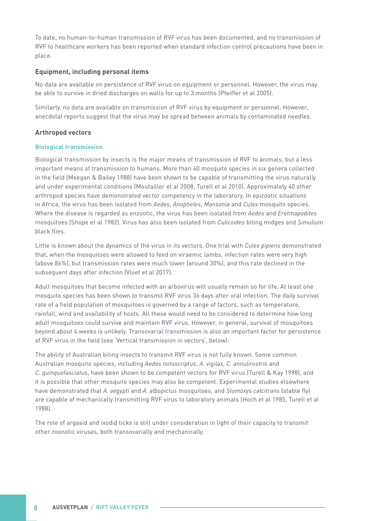To date, no human-to-human transmission of RVF virus has been documented, and no transmission of RVF to healthcare workers has been reported when standard infection control precautions have been in place.

#### **Equipment, including personal items**

No data are available on persistence of RVF virus on equipment or personnel. However, the virus may be able to survive in dried discharges on walls for up to 3 months (Pfeiffer et al 2005).

Similarly, no data are available on transmission of RVF virus by equipment or personnel. However, anecdotal reports suggest that the virus may be spread between animals by contaminated needles.

#### **Arthropod vectors**

#### **Biological transmission**

Biological transmission by insects is the major means of transmission of RVF to animals, but a less important means of transmission to humans. More than 40 mosquito species in six genera collected in the field (Meegan & Bailey 1988) have been shown to be capable of transmitting the virus naturally and under experimental conditions (Moutailler et al 2008, Turell et al 2010). Approximately 40 other arthropod species have demonstrated vector competency in the laboratory. In epizootic situations in Africa, the virus has been isolated from *Aedes*, *Anopheles*, *Mansonia* and *Culex* mosquito species. Where the disease is regarded as enzootic, the virus has been isolated from *Aedes* and *Eretmapodites* mosquitoes (Shope et al 1982). Virus has also been isolated from *Culicoides* biting midges and *Simulium* black flies.

Little is known about the dynamics of the virus in its vectors. One trial with *Culex pipiens* demonstrated that, when the mosquitoes were allowed to feed on viraemic lambs, infection rates were very high (above 86%), but transmission rates were much lower (around 30%), and this rate declined in the subsequent days after infection (Vloet et al 2017).

Adult mosquitoes that become infected with an arbovirus will usually remain so for life. At least one mosquito species has been shown to transmit RVF virus 36 days after oral infection. The daily survival rate of a field population of mosquitoes is governed by a range of factors, such as temperature, rainfall, wind and availability of hosts. All these would need to be considered to determine how long adult mosquitoes could survive and maintain RVF virus. However, in general, survival of mosquitoes beyond about 4 weeks is unlikely. Transovarial transmission is also an important factor for persistence of RVF virus in the field (see 'Vertical transmission in vectors', below).

The ability of Australian biting insects to transmit RVF virus is not fully known. Some common Australian mosquito species, including *Aedes notoscriptus*, *A. vigilax*, *C. annulirostris* and *C. quinquefasciatus*, have been shown to be competent vectors for RVF virus (Turell & Kay 1998), and it is possible that other mosquito species may also be competent. Experimental studies elsewhere have demonstrated that *A. aegypti* and *A. albopictus* mosquitoes, and *Stomoxys calcitrans* (stable fly) are capable of mechanically transmitting RVF virus to laboratory animals (Hoch et al 1985, Turell et al 1988).

The role of argasid and ixodid ticks is still under consideration in light of their capacity to transmit other zoonotic viruses, both transovarially and mechanically.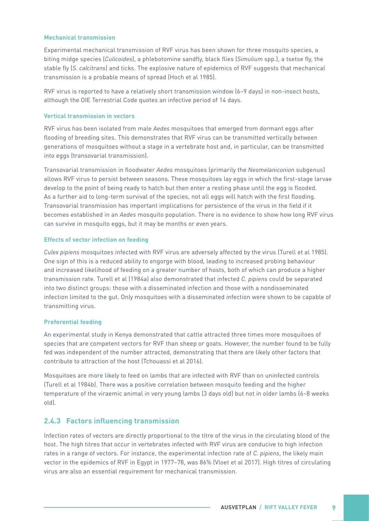#### <span id="page-14-0"></span>**Mechanical transmission**

Experimental mechanical transmission of RVF virus has been shown for three mosquito species, a biting midge species (*Culicoides*), a phlebotomine sandfly, black flies (*Simulium* spp.), a tsetse fly, the stable fly (*S. calcitrans*) and ticks. The explosive nature of epidemics of RVF suggests that mechanical transmission is a probable means of spread (Hoch et al 1985).

RVF virus is reported to have a relatively short transmission window (6–9 days) in non-insect hosts, although the OIE Terrestrial Code quotes an infective period of 14 days.

#### **Vertical transmission in vectors**

RVF virus has been isolated from male *Aedes* mosquitoes that emerged from dormant eggs after flooding of breeding sites. This demonstrates that RVF virus can be transmitted vertically between generations of mosquitoes without a stage in a vertebrate host and, in particular, can be transmitted into eggs (transovarial transmission).

Transovarial transmission in floodwater *Aedes* mosquitoes (primarily the *Neomelaniconion* subgenus) allows RVF virus to persist between seasons. These mosquitoes lay eggs in which the first-stage larvae develop to the point of being ready to hatch but then enter a resting phase until the egg is flooded. As a further aid to long-term survival of the species, not all eggs will hatch with the first flooding. Transovarial transmission has important implications for persistence of the virus in the field if it becomes established in an *Aedes* mosquito population. There is no evidence to show how long RVF virus can survive in mosquito eggs, but it may be months or even years.

#### **Effects of vector infection on feeding**

*Culex pipiens* mosquitoes infected with RVF virus are adversely affected by the virus (Turell et al 1985). One sign of this is a reduced ability to engorge with blood, leading to increased probing behaviour and increased likelihood of feeding on a greater number of hosts, both of which can produce a higher transmission rate. Turell et al (1984a) also demonstrated that infected *C. pipiens* could be separated into two distinct groups: those with a disseminated infection and those with a nondisseminated infection limited to the gut. Only mosquitoes with a disseminated infection were shown to be capable of transmitting virus.

#### **Preferential feeding**

An experimental study in Kenya demonstrated that cattle attracted three times more mosquitoes of species that are competent vectors for RVF than sheep or goats. However, the number found to be fully fed was independent of the number attracted, demonstrating that there are likely other factors that contribute to attraction of the host (Tchouassi et al 2016).

Mosquitoes are more likely to feed on lambs that are infected with RVF than on uninfected controls (Turell et al 1984b). There was a positive correlation between mosquito feeding and the higher temperature of the viraemic animal in very young lambs (3 days old) but not in older lambs (6–8 weeks old).

#### **2.4.3 Factors influencing transmission**

Infection rates of vectors are directly proportional to the titre of the virus in the circulating blood of the host. The high titres that occur in vertebrates infected with RVF virus are conducive to high infection rates in a range of vectors. For instance, the experimental infection rate of *C. pipiens*, the likely main vector in the epidemics of RVF in Egypt in 1977–78, was 86% (Vloet et al 2017). High titres of circulating virus are also an essential requirement for mechanical transmission.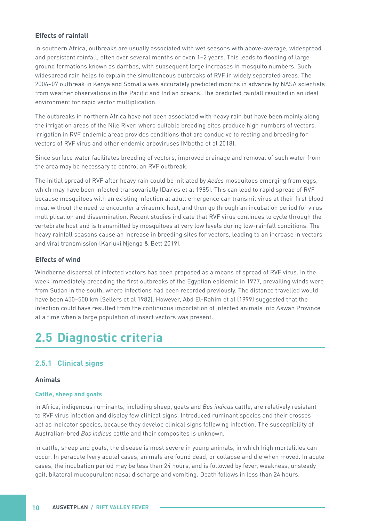#### <span id="page-15-0"></span>**Effects of rainfall**

In southern Africa, outbreaks are usually associated with wet seasons with above-average, widespread and persistent rainfall, often over several months or even 1–2 years. This leads to flooding of large ground formations known as dambos, with subsequent large increases in mosquito numbers. Such widespread rain helps to explain the simultaneous outbreaks of RVF in widely separated areas. The 2006–07 outbreak in Kenya and Somalia was accurately predicted months in advance by NASA scientists from weather observations in the Pacific and Indian oceans. The predicted rainfall resulted in an ideal environment for rapid vector multiplication.

The outbreaks in northern Africa have not been associated with heavy rain but have been mainly along the irrigation areas of the Nile River, where suitable breeding sites produce high numbers of vectors. Irrigation in RVF endemic areas provides conditions that are conducive to resting and breeding for vectors of RVF virus and other endemic arboviruses (Mbotha et al 2018).

Since surface water facilitates breeding of vectors, improved drainage and removal of such water from the area may be necessary to control an RVF outbreak.

The initial spread of RVF after heavy rain could be initiated by *Aedes* mosquitoes emerging from eggs, which may have been infected transovarially (Davies et al 1985). This can lead to rapid spread of RVF because mosquitoes with an existing infection at adult emergence can transmit virus at their first blood meal without the need to encounter a viraemic host, and then go through an incubation period for virus multiplication and dissemination. Recent studies indicate that RVF virus continues to cycle through the vertebrate host and is transmitted by mosquitoes at very low levels during low-rainfall conditions. The heavy rainfall seasons cause an increase in breeding sites for vectors, leading to an increase in vectors and viral transmission (Kariuki Njenga & Bett 2019).

#### **Effects of wind**

Windborne dispersal of infected vectors has been proposed as a means of spread of RVF virus. In the week immediately preceding the first outbreaks of the Egyptian epidemic in 1977, prevailing winds were from Sudan in the south, where infections had been recorded previously. The distance travelled would have been 450–500 km (Sellers et al 1982). However, Abd El-Rahim et al (1999) suggested that the infection could have resulted from the continuous importation of infected animals into Aswan Province at a time when a large population of insect vectors was present.

## **2.5 Diagnostic criteria**

#### **2.5.1 Clinical signs**

#### **Animals**

#### **Cattle, sheep and goats**

In Africa, indigenous ruminants, including sheep, goats and *Bos indicus* cattle, are relatively resistant to RVF virus infection and display few clinical signs. Introduced ruminant species and their crosses act as indicator species, because they develop clinical signs following infection. The susceptibility of Australian-bred *Bos indicus* cattle and their composites is unknown.

In cattle, sheep and goats, the disease is most severe in young animals, in which high mortalities can occur. In peracute (very acute) cases, animals are found dead, or collapse and die when moved. In acute cases, the incubation period may be less than 24 hours, and is followed by fever, weakness, unsteady gait, bilateral mucopurulent nasal discharge and vomiting. Death follows in less than 24 hours.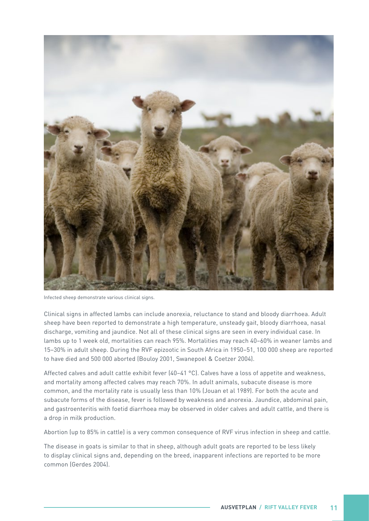

Infected sheep demonstrate various clinical signs.

Clinical signs in affected lambs can include anorexia, reluctance to stand and bloody diarrhoea. Adult sheep have been reported to demonstrate a high temperature, unsteady gait, bloody diarrhoea, nasal discharge, vomiting and jaundice. Not all of these clinical signs are seen in every individual case. In lambs up to 1 week old, mortalities can reach 95%. Mortalities may reach 40–60% in weaner lambs and 15–30% in adult sheep. During the RVF epizootic in South Africa in 1950–51, 100 000 sheep are reported to have died and 500 000 aborted (Bouloy 2001, Swanepoel & Coetzer 2004).

Affected calves and adult cattle exhibit fever (40–41 °C). Calves have a loss of appetite and weakness, and mortality among affected calves may reach 70%. In adult animals, subacute disease is more common, and the mortality rate is usually less than 10% (Jouan et al 1989). For both the acute and subacute forms of the disease, fever is followed by weakness and anorexia. Jaundice, abdominal pain, and gastroenteritis with foetid diarrhoea may be observed in older calves and adult cattle, and there is a drop in milk production.

Abortion (up to 85% in cattle) is a very common consequence of RVF virus infection in sheep and cattle.

The disease in goats is similar to that in sheep, although adult goats are reported to be less likely to display clinical signs and, depending on the breed, inapparent infections are reported to be more common (Gerdes 2004).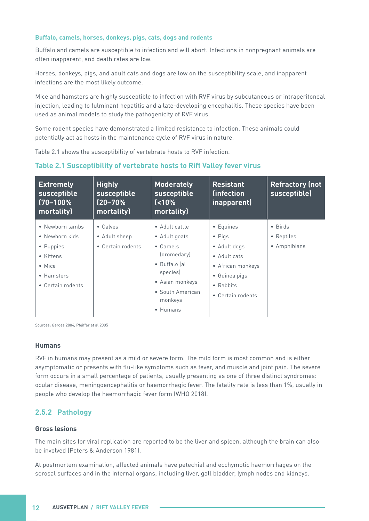#### <span id="page-17-0"></span>**Buffalo, camels, horses, donkeys, pigs, cats, dogs and rodents**

Buffalo and camels are susceptible to infection and will abort. Infections in nonpregnant animals are often inapparent, and death rates are low.

Horses, donkeys, pigs, and adult cats and dogs are low on the susceptibility scale, and inapparent infections are the most likely outcome.

Mice and hamsters are highly susceptible to infection with RVF virus by subcutaneous or intraperitoneal injection, leading to fulminant hepatitis and a late-developing encephalitis. These species have been used as animal models to study the pathogenicity of RVF virus.

Some rodent species have demonstrated a limited resistance to infection. These animals could potentially act as hosts in the maintenance cycle of RVF virus in nature.

Table 2.1 shows the susceptibility of vertebrate hosts to RVF infection.

#### **Extremely susceptible (70–100% mortality) Highly susceptible (20–70% mortality) Moderately susceptible (<10% mortality) Resistant (infection inapparent) Refractory (not susceptible)** • Newborn lambs • Newborn kids • Puppies • Kittens • Mice • Hamsters • Certain rodents • Calves • Adult sheep • Certain rodents • Adult cattle • Adult goats • Camels (dromedary) • Buffalo (al species) • Asian monkeys • South American monkeys • Humans • Equines • Pigs • Adult dogs • Adult cats • African monkeys • Guinea pigs • Rabbits • Certain rodents • Birds • Reptiles • Amphibians

#### **Table 2.1 Susceptibility of vertebrate hosts to Rift Valley fever virus**

Sources: Gerdes 2004, Pfeiffer et al 2005

#### **Humans**

RVF in humans may present as a mild or severe form. The mild form is most common and is either asymptomatic or presents with flu-like symptoms such as fever, and muscle and joint pain. The severe form occurs in a small percentage of patients, usually presenting as one of three distinct syndromes: ocular disease, meningoencephalitis or haemorrhagic fever. The fatality rate is less than 1%, usually in people who develop the haemorrhagic fever form (WHO 2018).

#### **2.5.2 Pathology**

#### **Gross lesions**

The main sites for viral replication are reported to be the liver and spleen, although the brain can also be involved (Peters & Anderson 1981).

At postmortem examination, affected animals have petechial and ecchymotic haemorrhages on the serosal surfaces and in the internal organs, including liver, gall bladder, lymph nodes and kidneys.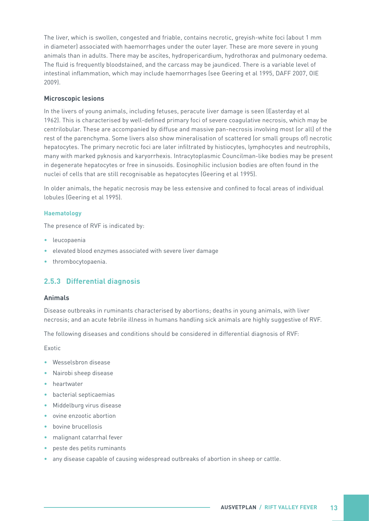<span id="page-18-0"></span>The liver, which is swollen, congested and friable, contains necrotic, greyish-white foci (about 1 mm in diameter) associated with haemorrhages under the outer layer. These are more severe in young animals than in adults. There may be ascites, hydropericardium, hydrothorax and pulmonary oedema. The fluid is frequently bloodstained, and the carcass may be jaundiced. There is a variable level of intestinal inflammation, which may include haemorrhages (see Geering et al 1995, DAFF 2007, OIE 2009).

#### **Microscopic lesions**

In the livers of young animals, including fetuses, peracute liver damage is seen (Easterday et al 1962). This is characterised by well-defined primary foci of severe coagulative necrosis, which may be centrilobular. These are accompanied by diffuse and massive pan-necrosis involving most (or all) of the rest of the parenchyma. Some livers also show mineralisation of scattered (or small groups of) necrotic hepatocytes. The primary necrotic foci are later infiltrated by histiocytes, lymphocytes and neutrophils, many with marked pyknosis and karyorrhexis. Intracytoplasmic Councilman-like bodies may be present in degenerate hepatocytes or free in sinusoids. Eosinophilic inclusion bodies are often found in the nuclei of cells that are still recognisable as hepatocytes (Geering et al 1995).

In older animals, the hepatic necrosis may be less extensive and confined to focal areas of individual lobules (Geering et al 1995).

#### **Haematology**

The presence of RVF is indicated by:

- leucopaenia
- elevated blood enzymes associated with severe liver damage
- thrombocytopaenia.

#### **2.5.3 Differential diagnosis**

#### **Animals**

Disease outbreaks in ruminants characterised by abortions; deaths in young animals, with liver necrosis; and an acute febrile illness in humans handling sick animals are highly suggestive of RVF.

The following diseases and conditions should be considered in differential diagnosis of RVF:

Exotic

- Wesselsbron disease
- Nairobi sheep disease
- heartwater
- bacterial septicaemias
- Middelburg virus disease
- ovine enzootic abortion
- bovine brucellosis
- malignant catarrhal fever
- peste des petits ruminants
- any disease capable of causing widespread outbreaks of abortion in sheep or cattle.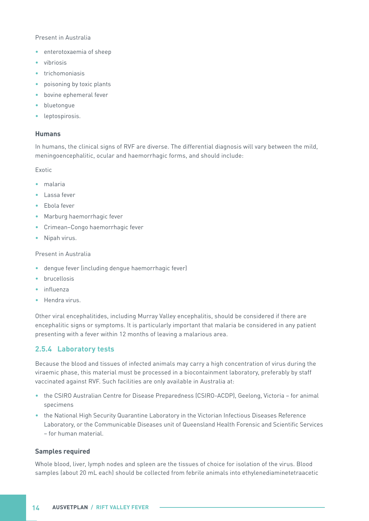#### <span id="page-19-0"></span>Present in Australia

- enterotoxaemia of sheep
- vibriosis
- trichomoniasis
- poisoning by toxic plants
- bovine ephemeral fever
- bluetongue
- leptospirosis.

#### **Humans**

In humans, the clinical signs of RVF are diverse. The differential diagnosis will vary between the mild, meningoencephalitic, ocular and haemorrhagic forms, and should include:

Exotic

- malaria
- Lassa fever
- Ebola fever
- Marburg haemorrhagic fever
- Crimean–Congo haemorrhagic fever
- Nipah virus.

#### Present in Australia

- dengue fever (including dengue haemorrhagic fever)
- brucellosis
- influenza
- Hendra virus.

Other viral encephalitides, including Murray Valley encephalitis, should be considered if there are encephalitic signs or symptoms. It is particularly important that malaria be considered in any patient presenting with a fever within 12 months of leaving a malarious area.

#### **2.5.4 Laboratory tests**

Because the blood and tissues of infected animals may carry a high concentration of virus during the viraemic phase, this material must be processed in a biocontainment laboratory, preferably by staff vaccinated against RVF. Such facilities are only available in Australia at:

- the CSIRO Australian Centre for Disease Preparedness (CSIRO-ACDP), Geelong, Victoria for animal specimens
- the National High Security Quarantine Laboratory in the Victorian Infectious Diseases Reference Laboratory, or the Communicable Diseases unit of Queensland Health Forensic and Scientific Services – for human material.

#### **Samples required**

Whole blood, liver, lymph nodes and spleen are the tissues of choice for isolation of the virus. Blood samples (about 20 mL each) should be collected from febrile animals into ethylenediaminetetraacetic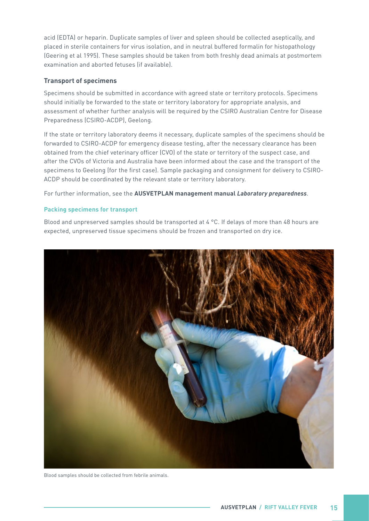acid (EDTA) or heparin. Duplicate samples of liver and spleen should be collected aseptically, and placed in sterile containers for virus isolation, and in neutral buffered formalin for histopathology (Geering et al 1995). These samples should be taken from both freshly dead animals at postmortem examination and aborted fetuses (if available).

#### **Transport of specimens**

Specimens should be submitted in accordance with agreed state or territory protocols. Specimens should initially be forwarded to the state or territory laboratory for appropriate analysis, and assessment of whether further analysis will be required by the CSIRO Australian Centre for Disease Preparedness (CSIRO-ACDP), Geelong.

If the state or territory laboratory deems it necessary, duplicate samples of the specimens should be forwarded to CSIRO-ACDP for emergency disease testing, after the necessary clearance has been obtained from the chief veterinary officer (CVO) of the state or territory of the suspect case, and after the CVOs of Victoria and Australia have been informed about the case and the transport of the specimens to Geelong (for the first case). Sample packaging and consignment for delivery to CSIRO-ACDP should be coordinated by the relevant state or territory laboratory.

For further information, see the **AUSVETPLAN management manual Laboratory preparedness**.

#### **Packing specimens for transport**

Blood and unpreserved samples should be transported at 4 °C. If delays of more than 48 hours are expected, unpreserved tissue specimens should be frozen and transported on dry ice.



Blood samples should be collected from febrile animals.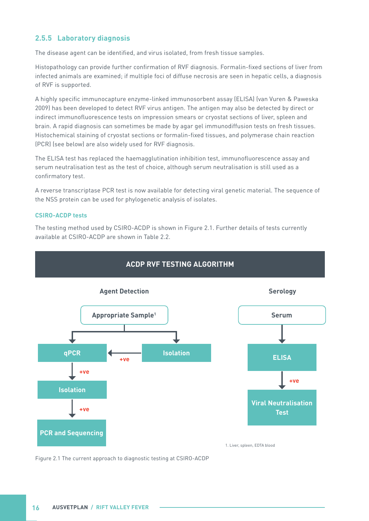#### <span id="page-21-0"></span>**2.5.5 Laboratory diagnosis**

The disease agent can be identified, and virus isolated, from fresh tissue samples.

Histopathology can provide further confirmation of RVF diagnosis. Formalin-fixed sections of liver from infected animals are examined; if multiple foci of diffuse necrosis are seen in hepatic cells, a diagnosis of RVF is supported.

A highly specific immunocapture enzyme-linked immunosorbent assay (ELISA) (van Vuren & Paweska 2009) has been developed to detect RVF virus antigen. The antigen may also be detected by direct or indirect immunofluorescence tests on impression smears or cryostat sections of liver, spleen and brain. A rapid diagnosis can sometimes be made by agar gel immunodiffusion tests on fresh tissues. Histochemical staining of cryostat sections or formalin-fixed tissues, and polymerase chain reaction (PCR) (see below) are also widely used for RVF diagnosis.

The ELISA test has replaced the haemagglutination inhibition test, immunofluorescence assay and serum neutralisation test as the test of choice, although serum neutralisation is still used as a confirmatory test.

A reverse transcriptase PCR test is now available for detecting viral genetic material. The sequence of the NSS protein can be used for phylogenetic analysis of isolates.

#### **CSIRO-ACDP tests**

The testing method used by CSIRO-ACDP is shown in Figure 2.1. Further details of tests currently available at CSIRO-ACDP are shown in Table 2.2.



Figure 2.1 The current approach to diagnostic testing at CSIRO-ACDP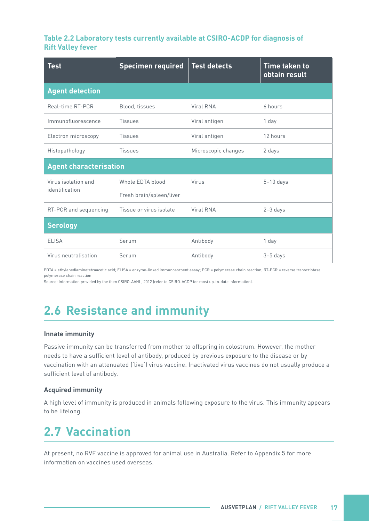#### <span id="page-22-0"></span>**Table 2.2 Laboratory tests currently available at CSIRO-ACDP for diagnosis of Rift Valley fever**

| <b>Test</b>                           | <b>Specimen required</b>                     | <b>Test detects</b> | <b>Time taken to</b><br>obtain result |  |  |  |  |  |  |  |
|---------------------------------------|----------------------------------------------|---------------------|---------------------------------------|--|--|--|--|--|--|--|
| <b>Agent detection</b>                |                                              |                     |                                       |  |  |  |  |  |  |  |
| Real-time RT-PCR                      | Blood, tissues                               | Viral RNA           | 6 hours                               |  |  |  |  |  |  |  |
| Immunofluorescence                    | <b>Tissues</b>                               | Viral antigen       | 1 day                                 |  |  |  |  |  |  |  |
| Electron microscopy                   | <b>Tissues</b>                               | Viral antigen       | 12 hours                              |  |  |  |  |  |  |  |
| Histopathology                        | <b>Tissues</b>                               | Microscopic changes | 2 days                                |  |  |  |  |  |  |  |
| <b>Agent characterisation</b>         |                                              |                     |                                       |  |  |  |  |  |  |  |
| Virus isolation and<br>identification | Whole EDTA blood<br>Fresh brain/spleen/liver | Virus               | $5-10$ days                           |  |  |  |  |  |  |  |
| RT-PCR and sequencing                 | Tissue or virus isolate                      | Viral RNA           | $2-3$ days                            |  |  |  |  |  |  |  |
| <b>Serology</b>                       |                                              |                     |                                       |  |  |  |  |  |  |  |
| <b>ELISA</b>                          | Serum                                        | Antibody            | 1 day                                 |  |  |  |  |  |  |  |
| Virus neutralisation                  | Serum                                        | Antibody            | $3-5$ days                            |  |  |  |  |  |  |  |

EDTA = ethylenediaminetetraacetic acid; ELISA = enzyme-linked immunosorbent assay; PCR = polymerase chain reaction; RT-PCR = reverse transcriptase polymerase chain reaction

Source: Information provided by the then CSIRO-AAHL, 2012 (refer to CSIRO-ACDP for most up-to-date information).

## **2.6 Resistance and immunity**

#### **Innate immunity**

Passive immunity can be transferred from mother to offspring in colostrum. However, the mother needs to have a sufficient level of antibody, produced by previous exposure to the disease or by vaccination with an attenuated ('live') virus vaccine. Inactivated virus vaccines do not usually produce a sufficient level of antibody.

#### **Acquired immunity**

A high level of immunity is produced in animals following exposure to the virus. This immunity appears to be lifelong.

## **2.7 Vaccination**

At present, no RVF vaccine is approved for animal use in Australia. Refer to Appendix 5 for more information on vaccines used overseas.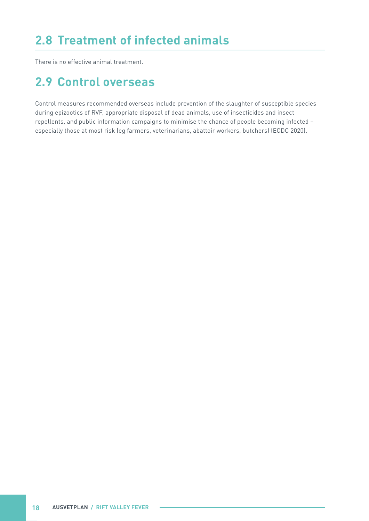## <span id="page-23-0"></span>**2.8 Treatment of infected animals**

There is no effective animal treatment.

### **2.9 Control overseas**

Control measures recommended overseas include prevention of the slaughter of susceptible species during epizootics of RVF, appropriate disposal of dead animals, use of insecticides and insect repellents, and public information campaigns to minimise the chance of people becoming infected – especially those at most risk (eg farmers, veterinarians, abattoir workers, butchers) (ECDC 2020).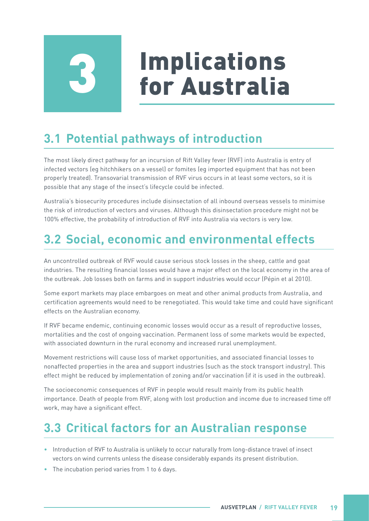# **Implications<br>3 for Australia**

## <span id="page-24-0"></span>**3.1 Potential pathways of introduction**

The most likely direct pathway for an incursion of Rift Valley fever (RVF) into Australia is entry of infected vectors (eg hitchhikers on a vessel) or fomites (eg imported equipment that has not been properly treated). Transovarial transmission of RVF virus occurs in at least some vectors, so it is possible that any stage of the insect's lifecycle could be infected.

Australia's biosecurity procedures include disinsectation of all inbound overseas vessels to minimise the risk of introduction of vectors and viruses. Although this disinsectation procedure might not be 100% effective, the probability of introduction of RVF into Australia via vectors is very low.

## **3.2 Social, economic and environmental effects**

An uncontrolled outbreak of RVF would cause serious stock losses in the sheep, cattle and goat industries. The resulting financial losses would have a major effect on the local economy in the area of the outbreak. Job losses both on farms and in support industries would occur (Pépin et al 2010).

Some export markets may place embargoes on meat and other animal products from Australia, and certification agreements would need to be renegotiated. This would take time and could have significant effects on the Australian economy.

If RVF became endemic, continuing economic losses would occur as a result of reproductive losses, mortalities and the cost of ongoing vaccination. Permanent loss of some markets would be expected, with associated downturn in the rural economy and increased rural unemployment.

Movement restrictions will cause loss of market opportunities, and associated financial losses to nonaffected properties in the area and support industries (such as the stock transport industry). This effect might be reduced by implementation of zoning and/or vaccination (if it is used in the outbreak).

The socioeconomic consequences of RVF in people would result mainly from its public health importance. Death of people from RVF, along with lost production and income due to increased time off work, may have a significant effect.

## **3.3 Critical factors for an Australian response**

- Introduction of RVF to Australia is unlikely to occur naturally from long-distance travel of insect vectors on wind currents unless the disease considerably expands its present distribution.
- The incubation period varies from 1 to 6 days.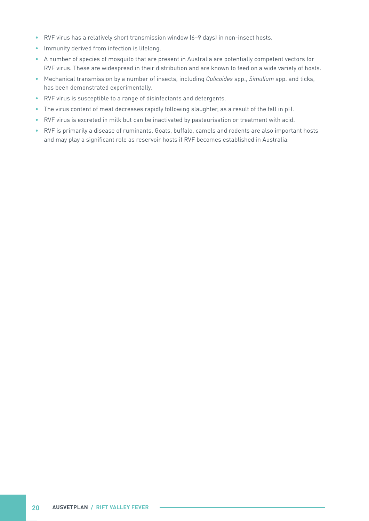- RVF virus has a relatively short transmission window (6–9 days) in non-insect hosts.
- Immunity derived from infection is lifelong.
- A number of species of mosquito that are present in Australia are potentially competent vectors for RVF virus. These are widespread in their distribution and are known to feed on a wide variety of hosts.
- Mechanical transmission by a number of insects, including *Culicoides* spp., *Simulium* spp. and ticks, has been demonstrated experimentally.
- RVF virus is susceptible to a range of disinfectants and detergents.
- The virus content of meat decreases rapidly following slaughter, as a result of the fall in pH.
- RVF virus is excreted in milk but can be inactivated by pasteurisation or treatment with acid.
- RVF is primarily a disease of ruminants. Goats, buffalo, camels and rodents are also important hosts and may play a significant role as reservoir hosts if RVF becomes established in Australia.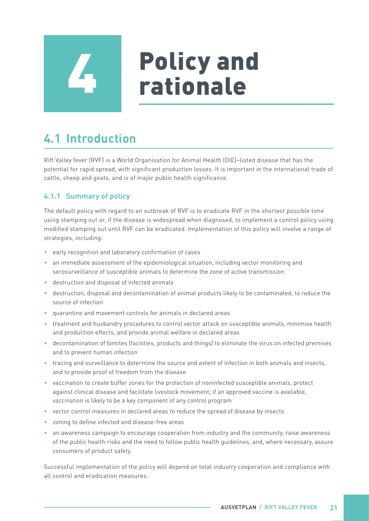## **Policy and<br>rationale**

## <span id="page-26-0"></span>**4.1 Introduction**

Rift Valley fever (RVF) is a World Organisation for Animal Health (OIE)–listed disease that has the potential for rapid spread, with significant production losses. It is important in the international trade of cattle, sheep and goats, and is of major public health significance.

### **4.1.1 Summary of policy**

The default policy with regard to an outbreak of RVF is to eradicate RVF in the shortest possible time using stamping out or, if the disease is widespread when diagnosed, to implement a control policy using modified stamping out until RVF can be eradicated. Implementation of this policy will involve a range of strategies, including:

- early recognition and laboratory confirmation of cases
- an immediate assessment of the epidemiological situation, including vector monitoring and serosurveillance of susceptible animals to determine the zone of active transmission
- destruction and disposal of infected animals
- destruction, disposal and decontamination of animal products likely to be contaminated, to reduce the source of infection
- quarantine and movement controls for animals in declared areas
- treatment and husbandry procedures to control vector attack on susceptible animals, minimise health and production effects, and provide animal welfare in declared areas
- decontamination of fomites (facilities, products and things) to eliminate the virus on infected premises and to prevent human infection
- tracing and surveillance to determine the source and extent of infection in both animals and insects, and to provide proof of freedom from the disease
- vaccination to create buffer zones for the protection of noninfected susceptible animals, protect against clinical disease and facilitate livestock movement; if an approved vaccine is available, vaccination is likely to be a key component of any control program
- vector control measures in declared areas to reduce the spread of disease by insects
- zoning to define infected and disease-free areas
- an awareness campaign to encourage cooperation from industry and the community, raise awareness of the public health risks and the need to follow public health guidelines, and, where necessary, assure consumers of product safety.

Successful implementation of the policy will depend on total industry cooperation and compliance with all control and eradication measures.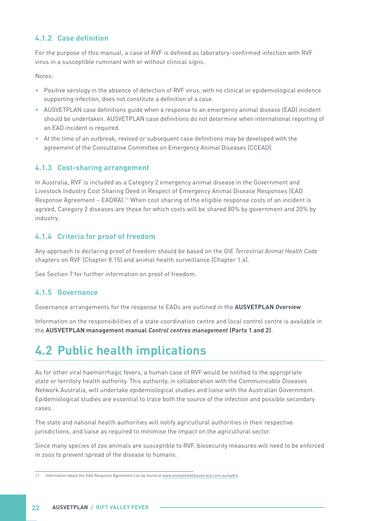#### <span id="page-27-0"></span>**4.1.2 Case definition**

For the purpose of this manual, a case of RVF is defined as laboratory-confirmed infection with RVF virus in a susceptible ruminant with or without clinical signs.

Notes:

- Positive serology in the absence of detection of RVF virus, with no clinical or epidemiological evidence supporting infection, does not constitute a definition of a case.
- AUSVETPLAN case definitions guide when a response to an emergency animal disease (EAD) incident should be undertaken. AUSVETPLAN case definitions do not determine when international reporting of an EAD incident is required.
- At the time of an outbreak, revised or subsequent case definitions may be developed with the agreement of the Consultative Committee on Emergency Animal Diseases (CCEAD).

#### **4.1.3 Cost-sharing arrangement**

In Australia, RVF is included as a Category 2 emergency animal disease in the Government and Livestock Industry Cost Sharing Deed in Respect of Emergency Animal Disease Responses (EAD Response Agreement - EADRA).<sup>11</sup> When cost sharing of the eligible response costs of an incident is agreed, Category 2 diseases are those for which costs will be shared 80% by government and 20% by industry.

#### **4.1.4 Criteria for proof of freedom**

Any approach to declaring proof of freedom should be based on the OIE *Terrestrial Animal Health Code* chapters on RVF (Chapter 8.15) and animal health surveillance (Chapter 1.4).

See Section 7 for further information on proof of freedom.

#### **4.1.5 Governance**

Governance arrangements for the response to EADs are outlined in the **AUSVETPLAN** *Overview*.

Information on the responsibilities of a state coordination centre and local control centre is available in the **AUSVETPLAN management manual Control centres management (Parts 1 and 2)**.

## **4.2 Public health implications**

As for other viral haemorrhagic fevers, a human case of RVF would be notified to the appropriate state or territory health authority. This authority, in collaboration with the Communicable Diseases Network Australia, will undertake epidemiological studies and liaise with the Australian Government. Epidemiological studies are essential to trace both the source of the infection and possible secondary cases.

The state and national health authorities will notify agricultural authorities in their respective jurisdictions, and liaise as required to minimise the impact on the agricultural sector.

Since many species of zoo animals are susceptible to RVF, biosecurity measures will need to be enforced in zoos to prevent spread of the disease to humans.

<sup>11</sup> Information about the EAD Response Agreement can be found at [www.animalhealthaustralia.com.au/eadra](https://animalhealthaustralia.com.au/eadra/)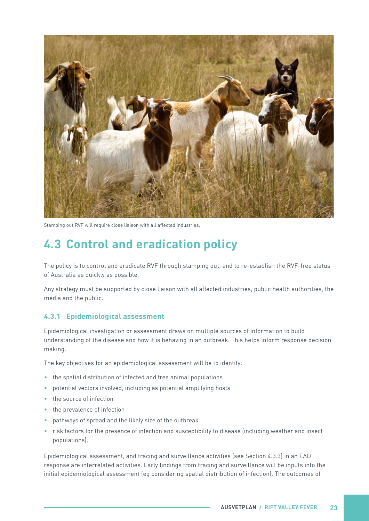<span id="page-28-0"></span>

Stamping out RVF will require close liaison with all affected industries.

## **4.3 Control and eradication policy**

The policy is to control and eradicate RVF through stamping out, and to re-establish the RVF-free status of Australia as quickly as possible.

Any strategy must be supported by close liaison with all affected industries, public health authorities, the media and the public.

#### **4.3.1 Epidemiological assessment**

Epidemiological investigation or assessment draws on multiple sources of information to build understanding of the disease and how it is behaving in an outbreak. This helps inform response decision making.

The key objectives for an epidemiological assessment will be to identify:

- the spatial distribution of infected and free animal populations
- potential vectors involved, including as potential amplifying hosts
- the source of infection
- the prevalence of infection
- pathways of spread and the likely size of the outbreak
- risk factors for the presence of infection and susceptibility to disease (including weather and insect populations).

Epidemiological assessment, and tracing and surveillance activities (see Section 4.3.3) in an EAD response are interrelated activities. Early findings from tracing and surveillance will be inputs into the initial epidemiological assessment (eg considering spatial distribution of infection). The outcomes of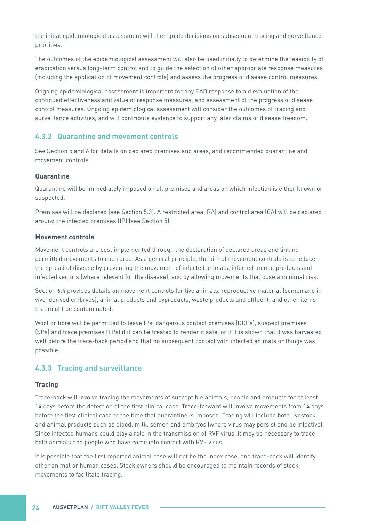<span id="page-29-0"></span>the initial epidemiological assessment will then guide decisions on subsequent tracing and surveillance priorities.

The outcomes of the epidemiological assessment will also be used initially to determine the feasibility of eradication versus long-term control and to guide the selection of other appropriate response measures (including the application of movement controls) and assess the progress of disease control measures.

Ongoing epidemiological assessment is important for any EAD response to aid evaluation of the continued effectiveness and value of response measures, and assessment of the progress of disease control measures. Ongoing epidemiological assessment will consider the outcomes of tracing and surveillance activities, and will contribute evidence to support any later claims of disease freedom.

#### **4.3.2 Quarantine and movement controls**

See Section 5 and 6 for details on declared premises and areas, and recommended quarantine and movement controls.

#### **Quarantine**

Quarantine will be immediately imposed on all premises and areas on which infection is either known or suspected.

Premises will be declared (see Section 5.3). A restricted area (RA) and control area (CA) will be declared around the infected premises (IP) (see Section 5).

#### **Movement controls**

Movement controls are best implemented through the declaration of declared areas and linking permitted movements to each area. As a general principle, the aim of movement controls is to reduce the spread of disease by preventing the movement of infected animals, infected animal products and infected vectors (where relevant for the disease), and by allowing movements that pose a minimal risk.

Section 6.4 provides details on movement controls for live animals, reproductive material (semen and in vivo–derived embryos), animal products and byproducts, waste products and effluent, and other items that might be contaminated.

Wool or fibre will be permitted to leave IPs, dangerous contact premises (DCPs), suspect premises (SPs) and trace premises (TPs) if it can be treated to render it safe, or if it is shown that it was harvested well before the trace-back period and that no subsequent contact with infected animals or things was possible.

#### **4.3.3 Tracing and surveillance**

#### **Tracing**

Trace-back will involve tracing the movements of susceptible animals, people and products for at least 14 days before the detection of the first clinical case. Trace-forward will involve movements from 14 days before the first clinical case to the time that quarantine is imposed. Tracing will include both livestock and animal products such as blood, milk, semen and embryos (where virus may persist and be infective). Since infected humans could play a role in the transmission of RVF virus, it may be necessary to trace both animals and people who have come into contact with RVF virus.

It is possible that the first reported animal case will not be the index case, and trace-back will identify other animal or human cases. Stock owners should be encouraged to maintain records of stock movements to facilitate tracing.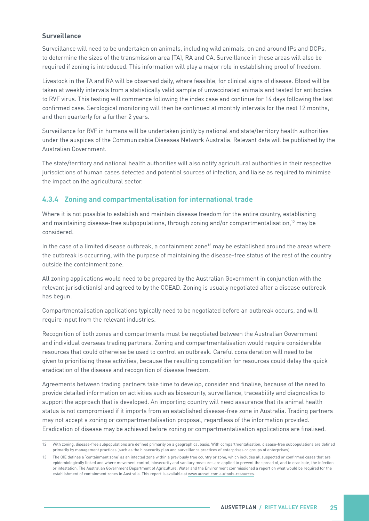#### <span id="page-30-0"></span>**Surveillance**

Surveillance will need to be undertaken on animals, including wild animals, on and around IPs and DCPs, to determine the sizes of the transmission area (TA), RA and CA. Surveillance in these areas will also be required if zoning is introduced. This information will play a major role in establishing proof of freedom.

Livestock in the TA and RA will be observed daily, where feasible, for clinical signs of disease. Blood will be taken at weekly intervals from a statistically valid sample of unvaccinated animals and tested for antibodies to RVF virus. This testing will commence following the index case and continue for 14 days following the last confirmed case. Serological monitoring will then be continued at monthly intervals for the next 12 months, and then quarterly for a further 2 years.

Surveillance for RVF in humans will be undertaken jointly by national and state/territory health authorities under the auspices of the Communicable Diseases Network Australia. Relevant data will be published by the Australian Government.

The state/territory and national health authorities will also notify agricultural authorities in their respective jurisdictions of human cases detected and potential sources of infection, and liaise as required to minimise the impact on the agricultural sector.

### **4.3.4 Zoning and compartmentalisation for international trade**

Where it is not possible to establish and maintain disease freedom for the entire country, establishing and maintaining disease-free subpopulations, through zoning and/or compartmentalisation,<sup>12</sup> may be considered.

In the case of a limited disease outbreak, a containment zone<sup>13</sup> may be established around the areas where the outbreak is occurring, with the purpose of maintaining the disease-free status of the rest of the country outside the containment zone.

All zoning applications would need to be prepared by the Australian Government in conjunction with the relevant jurisdiction(s) and agreed to by the CCEAD. Zoning is usually negotiated after a disease outbreak has begun.

Compartmentalisation applications typically need to be negotiated before an outbreak occurs, and will require input from the relevant industries.

Recognition of both zones and compartments must be negotiated between the Australian Government and individual overseas trading partners. Zoning and compartmentalisation would require considerable resources that could otherwise be used to control an outbreak. Careful consideration will need to be given to prioritising these activities, because the resulting competition for resources could delay the quick eradication of the disease and recognition of disease freedom.

Agreements between trading partners take time to develop, consider and finalise, because of the need to provide detailed information on activities such as biosecurity, surveillance, traceability and diagnostics to support the approach that is developed. An importing country will need assurance that its animal health status is not compromised if it imports from an established disease-free zone in Australia. Trading partners may not accept a zoning or compartmentalisation proposal, regardless of the information provided. Eradication of disease may be achieved before zoning or compartmentalisation applications are finalised.

<sup>12</sup> With zoning, disease-free subpopulations are defined primarily on a geographical basis. With compartmentalisation, disease-free subpopulations are defined primarily by management practices (such as the biosecurity plan and surveillance practices of enterprises or groups of enterprises).

<sup>13</sup> The OIE defines a 'containment zone' as an infected zone within a previously free country or zone, which includes all suspected or confirmed cases that are epidemiologically linked and where movement control, biosecurity and sanitary measures are applied to prevent the spread of, and to eradicate, the infection or infestation. The Australian Government Department of Agriculture, Water and the Environment commissioned a report on what would be required for the establishment of containment zones in Australia. This report is available at [www.ausvet.com.au/tools-resources.](http://www.ausvet.com.au/tools-resources)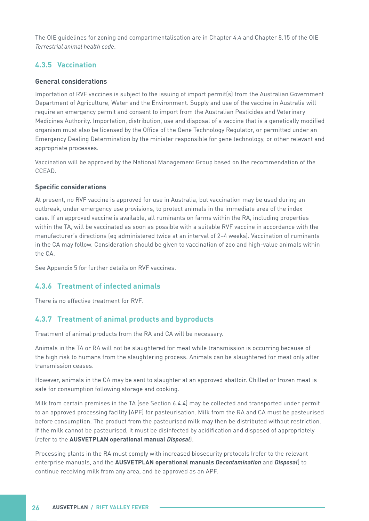<span id="page-31-0"></span>The OIE guidelines for zoning and compartmentalisation are in Chapter 4.4 and Chapter 8.15 of the OIE *Terrestrial animal health code*.

#### **4.3.5 Vaccination**

#### **General considerations**

Importation of RVF vaccines is subject to the issuing of import permit(s) from the Australian Government Department of Agriculture, Water and the Environment. Supply and use of the vaccine in Australia will require an emergency permit and consent to import from the Australian Pesticides and Veterinary Medicines Authority. Importation, distribution, use and disposal of a vaccine that is a genetically modified organism must also be licensed by the Office of the Gene Technology Regulator, or permitted under an Emergency Dealing Determination by the minister responsible for gene technology, or other relevant and appropriate processes.

Vaccination will be approved by the National Management Group based on the recommendation of the CCEAD.

#### **Specific considerations**

At present, no RVF vaccine is approved for use in Australia, but vaccination may be used during an outbreak, under emergency use provisions, to protect animals in the immediate area of the index case. If an approved vaccine is available, all ruminants on farms within the RA, including properties within the TA, will be vaccinated as soon as possible with a suitable RVF vaccine in accordance with the manufacturer's directions (eg administered twice at an interval of 2–4 weeks). Vaccination of ruminants in the CA may follow. Consideration should be given to vaccination of zoo and high-value animals within the CA.

See Appendix 5 for further details on RVF vaccines.

#### **4.3.6 Treatment of infected animals**

There is no effective treatment for RVF.

#### **4.3.7 Treatment of animal products and byproducts**

Treatment of animal products from the RA and CA will be necessary.

Animals in the TA or RA will not be slaughtered for meat while transmission is occurring because of the high risk to humans from the slaughtering process. Animals can be slaughtered for meat only after transmission ceases.

However, animals in the CA may be sent to slaughter at an approved abattoir. Chilled or frozen meat is safe for consumption following storage and cooking.

Milk from certain premises in the TA (see Section 6.4.4) may be collected and transported under permit to an approved processing facility (APF) for pasteurisation. Milk from the RA and CA must be pasteurised before consumption. The product from the pasteurised milk may then be distributed without restriction. If the milk cannot be pasteurised, it must be disinfected by acidification and disposed of appropriately (refer to the **AUSVETPLAN operational manual Disposal**).

Processing plants in the RA must comply with increased biosecurity protocols (refer to the relevant enterprise manuals, and the **AUSVETPLAN operational manuals Decontamination** and **Disposal**) to continue receiving milk from any area, and be approved as an APF.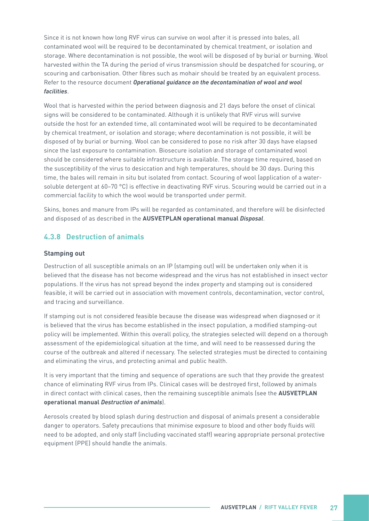<span id="page-32-0"></span>Since it is not known how long RVF virus can survive on wool after it is pressed into bales, all contaminated wool will be required to be decontaminated by chemical treatment, or isolation and storage. Where decontamination is not possible, the wool will be disposed of by burial or burning. Wool harvested within the TA during the period of virus transmission should be despatched for scouring, or scouring and carbonisation. Other fibres such as mohair should be treated by an equivalent process. Refer to the resource document **Operational guidance on the decontamination of wool and wool facilities**.

Wool that is harvested within the period between diagnosis and 21 days before the onset of clinical signs will be considered to be contaminated. Although it is unlikely that RVF virus will survive outside the host for an extended time, all contaminated wool will be required to be decontaminated by chemical treatment, or isolation and storage; where decontamination is not possible, it will be disposed of by burial or burning. Wool can be considered to pose no risk after 30 days have elapsed since the last exposure to contamination. Biosecure isolation and storage of contaminated wool should be considered where suitable infrastructure is available. The storage time required, based on the susceptibility of the virus to desiccation and high temperatures, should be 30 days. During this time, the bales will remain in situ but isolated from contact. Scouring of wool (application of a watersoluble detergent at 60–70 °C) is effective in deactivating RVF virus. Scouring would be carried out in a commercial facility to which the wool would be transported under permit.

Skins, bones and manure from IPs will be regarded as contaminated, and therefore will be disinfected and disposed of as described in the **AUSVETPLAN operational manual Disposal**.

#### **4.3.8 Destruction of animals**

#### **Stamping out**

Destruction of all susceptible animals on an IP (stamping out) will be undertaken only when it is believed that the disease has not become widespread and the virus has not established in insect vector populations. If the virus has not spread beyond the index property and stamping out is considered feasible, it will be carried out in association with movement controls, decontamination, vector control, and tracing and surveillance.

If stamping out is not considered feasible because the disease was widespread when diagnosed or it is believed that the virus has become established in the insect population, a modified stamping-out policy will be implemented. Within this overall policy, the strategies selected will depend on a thorough assessment of the epidemiological situation at the time, and will need to be reassessed during the course of the outbreak and altered if necessary. The selected strategies must be directed to containing and eliminating the virus, and protecting animal and public health.

It is very important that the timing and sequence of operations are such that they provide the greatest chance of eliminating RVF virus from IPs. Clinical cases will be destroyed first, followed by animals in direct contact with clinical cases, then the remaining susceptible animals (see the **AUSVETPLAN operational manual Destruction of animals**).

Aerosols created by blood splash during destruction and disposal of animals present a considerable danger to operators. Safety precautions that minimise exposure to blood and other body fluids will need to be adopted, and only staff (including vaccinated staff) wearing appropriate personal protective equipment (PPE) should handle the animals.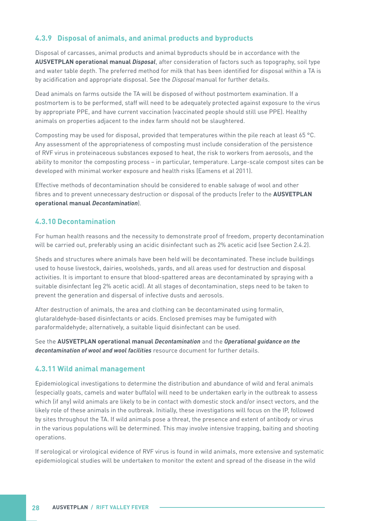#### <span id="page-33-0"></span>**4.3.9 Disposal of animals, and animal products and byproducts**

Disposal of carcasses, animal products and animal byproducts should be in accordance with the **AUSVETPLAN operational manual Disposal**, after consideration of factors such as topography, soil type and water table depth. The preferred method for milk that has been identified for disposal within a TA is by acidification and appropriate disposal. See the *Disposal* manual for further details.

Dead animals on farms outside the TA will be disposed of without postmortem examination. If a postmortem is to be performed, staff will need to be adequately protected against exposure to the virus by appropriate PPE, and have current vaccination (vaccinated people should still use PPE). Healthy animals on properties adjacent to the index farm should not be slaughtered.

Composting may be used for disposal, provided that temperatures within the pile reach at least 65 °C. Any assessment of the appropriateness of composting must include consideration of the persistence of RVF virus in proteinaceous substances exposed to heat, the risk to workers from aerosols, and the ability to monitor the composting process – in particular, temperature. Large-scale compost sites can be developed with minimal worker exposure and health risks (Eamens et al 2011).

Effective methods of decontamination should be considered to enable salvage of wool and other fibres and to prevent unnecessary destruction or disposal of the products (refer to the **AUSVETPLAN operational manual Decontamination**).

#### **4.3.10 Decontamination**

For human health reasons and the necessity to demonstrate proof of freedom, property decontamination will be carried out, preferably using an acidic disinfectant such as 2% acetic acid (see Section 2.4.2).

Sheds and structures where animals have been held will be decontaminated. These include buildings used to house livestock, dairies, woolsheds, yards, and all areas used for destruction and disposal activities. It is important to ensure that blood-spattered areas are decontaminated by spraying with a suitable disinfectant (eg 2% acetic acid). At all stages of decontamination, steps need to be taken to prevent the generation and dispersal of infective dusts and aerosols.

After destruction of animals, the area and clothing can be decontaminated using formalin, glutaraldehyde-based disinfectants or acids. Enclosed premises may be fumigated with paraformaldehyde; alternatively, a suitable liquid disinfectant can be used.

See the **AUSVETPLAN operational manual Decontamination** and the **Operational guidance on the decontamination of wool and wool facilities** resource document for further details.

#### **4.3.11 Wild animal management**

Epidemiological investigations to determine the distribution and abundance of wild and feral animals (especially goats, camels and water buffalo) will need to be undertaken early in the outbreak to assess which (if any) wild animals are likely to be in contact with domestic stock and/or insect vectors, and the likely role of these animals in the outbreak. Initially, these investigations will focus on the IP, followed by sites throughout the TA. If wild animals pose a threat, the presence and extent of antibody or virus in the various populations will be determined. This may involve intensive trapping, baiting and shooting operations.

If serological or virological evidence of RVF virus is found in wild animals, more extensive and systematic epidemiological studies will be undertaken to monitor the extent and spread of the disease in the wild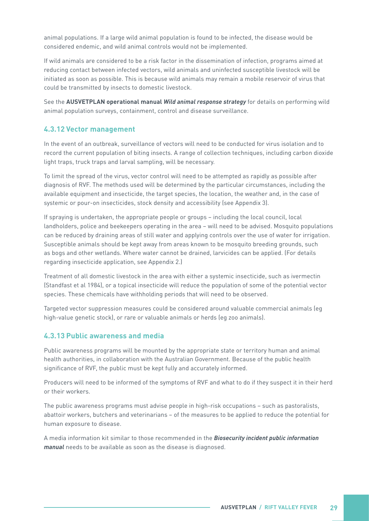<span id="page-34-0"></span>animal populations. If a large wild animal population is found to be infected, the disease would be considered endemic, and wild animal controls would not be implemented.

If wild animals are considered to be a risk factor in the dissemination of infection, programs aimed at reducing contact between infected vectors, wild animals and uninfected susceptible livestock will be initiated as soon as possible. This is because wild animals may remain a mobile reservoir of virus that could be transmitted by insects to domestic livestock.

See the **AUSVETPLAN operational manual Wild animal response strategy** for details on performing wild animal population surveys, containment, control and disease surveillance.

#### **4.3.12 Vector management**

In the event of an outbreak, surveillance of vectors will need to be conducted for virus isolation and to record the current population of biting insects. A range of collection techniques, including carbon dioxide light traps, truck traps and larval sampling, will be necessary.

To limit the spread of the virus, vector control will need to be attempted as rapidly as possible after diagnosis of RVF. The methods used will be determined by the particular circumstances, including the available equipment and insecticide, the target species, the location, the weather and, in the case of systemic or pour-on insecticides, stock density and accessibility (see Appendix 3).

If spraying is undertaken, the appropriate people or groups – including the local council, local landholders, police and beekeepers operating in the area – will need to be advised. Mosquito populations can be reduced by draining areas of still water and applying controls over the use of water for irrigation. Susceptible animals should be kept away from areas known to be mosquito breeding grounds, such as bogs and other wetlands. Where water cannot be drained, larvicides can be applied. (For details regarding insecticide application, see Appendix 2.)

Treatment of all domestic livestock in the area with either a systemic insecticide, such as ivermectin (Standfast et al 1984), or a topical insecticide will reduce the population of some of the potential vector species. These chemicals have withholding periods that will need to be observed.

Targeted vector suppression measures could be considered around valuable commercial animals (eg high-value genetic stock), or rare or valuable animals or herds (eg zoo animals).

#### **4.3.13 Public awareness and media**

Public awareness programs will be mounted by the appropriate state or territory human and animal health authorities, in collaboration with the Australian Government. Because of the public health significance of RVF, the public must be kept fully and accurately informed.

Producers will need to be informed of the symptoms of RVF and what to do if they suspect it in their herd or their workers.

The public awareness programs must advise people in high-risk occupations – such as pastoralists, abattoir workers, butchers and veterinarians – of the measures to be applied to reduce the potential for human exposure to disease.

A media information kit similar to those recommended in the **Biosecurity incident public information manual** needs to be available as soon as the disease is diagnosed.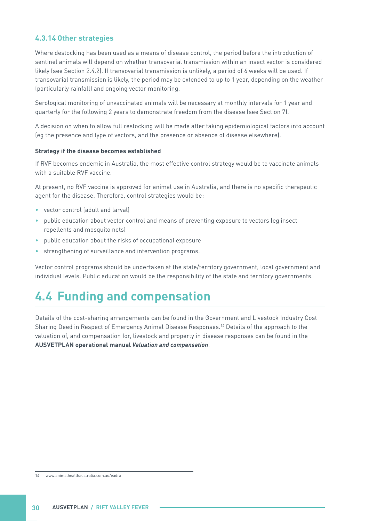#### <span id="page-35-0"></span>**4.3.14 Other strategies**

Where destocking has been used as a means of disease control, the period before the introduction of sentinel animals will depend on whether transovarial transmission within an insect vector is considered likely (see Section 2.4.2). If transovarial transmission is unlikely, a period of 6 weeks will be used. If transovarial transmission is likely, the period may be extended to up to 1 year, depending on the weather (particularly rainfall) and ongoing vector monitoring.

Serological monitoring of unvaccinated animals will be necessary at monthly intervals for 1 year and quarterly for the following 2 years to demonstrate freedom from the disease (see Section 7).

A decision on when to allow full restocking will be made after taking epidemiological factors into account (eg the presence and type of vectors, and the presence or absence of disease elsewhere).

#### **Strategy if the disease becomes established**

If RVF becomes endemic in Australia, the most effective control strategy would be to vaccinate animals with a suitable RVF vaccine.

At present, no RVF vaccine is approved for animal use in Australia, and there is no specific therapeutic agent for the disease. Therefore, control strategies would be:

- vector control (adult and larval)
- public education about vector control and means of preventing exposure to vectors (eg insect repellents and mosquito nets)
- public education about the risks of occupational exposure
- strengthening of surveillance and intervention programs.

Vector control programs should be undertaken at the state/territory government, local government and individual levels. Public education would be the responsibility of the state and territory governments.

## **4.4 Funding and compensation**

Details of the cost-sharing arrangements can be found in the Government and Livestock Industry Cost Sharing Deed in Respect of Emergency Animal Disease Responses.14 Details of the approach to the valuation of, and compensation for, livestock and property in disease responses can be found in the **AUSVETPLAN operational manual Valuation and compensation**.

<sup>14</sup> [www.animalhealthaustralia.com.au/eadra](http://www.animalhealthaustralia.com.au/eadra)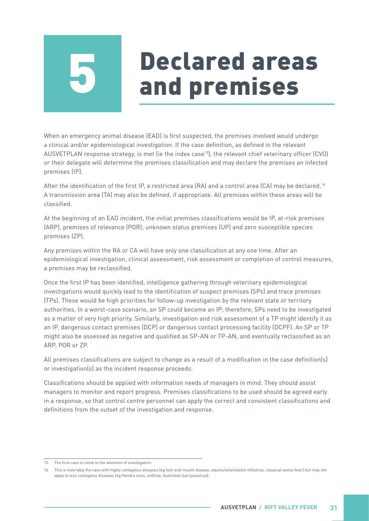# **Declared areas<br>and premises**

When an emergency animal disease (EAD) is first suspected, the premises involved would undergo a clinical and/or epidemiological investigation. If the case definition, as defined in the relevant AUSVETPLAN response strategy, is met (ie the index case15), the relevant chief veterinary officer (CVO) or their delegate will determine the premises classification and may declare the premises an infected premises (IP).

After the identification of the first IP, a restricted area (RA) and a control area (CA) may be declared.<sup>16</sup> A transmission area (TA) may also be defined, if appropriate. All premises within these areas will be classified.

At the beginning of an EAD incident, the initial premises classifications would be IP, at-risk premises (ARP), premises of relevance (POR), unknown status premises (UP) and zero susceptible species premises (ZP).

Any premises within the RA or CA will have only one classification at any one time. After an epidemiological investigation, clinical assessment, risk assessment or completion of control measures, a premises may be reclassified.

Once the first IP has been identified, intelligence gathering through veterinary epidemiological investigations would quickly lead to the identification of suspect premises (SPs) and trace premises (TPs). These would be high priorities for follow-up investigation by the relevant state or territory authorities. In a worst-case scenario, an SP could become an IP; therefore, SPs need to be investigated as a matter of very high priority. Similarly, investigation and risk assessment of a TP might identify it as an IP, dangerous contact premises (DCP) or dangerous contact processing facility (DCPF). An SP or TP might also be assessed as negative and qualified as SP-AN or TP-AN, and eventually reclassified as an ARP, POR or ZP.

All premises classifications are subject to change as a result of a modification in the case definition(s) or investigation(s) as the incident response proceeds.

Classifications should be applied with information needs of managers in mind. They should assist managers to monitor and report progress. Premises classifications to be used should be agreed early in a response, so that control centre personnel can apply the correct and consistent classifications and definitions from the outset of the investigation and response.

<sup>15</sup> The first case to come to the attention of investigators

<sup>16</sup> This is invariably the case with highly contagious diseases (eg foot-and-mouth disease, equine/avian/swine influenza, classical swine fever) but may not apply to less contagious diseases (eg Hendra virus, anthrax, Australian bat lyssavirus).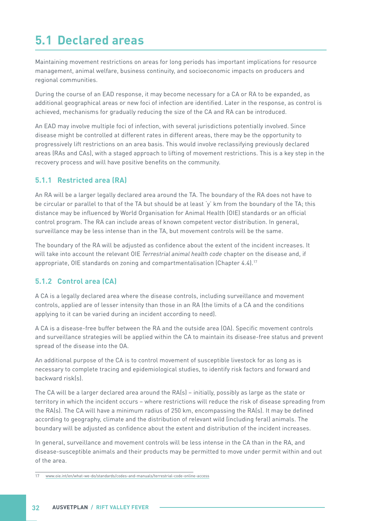# **5.1 Declared areas**

Maintaining movement restrictions on areas for long periods has important implications for resource management, animal welfare, business continuity, and socioeconomic impacts on producers and regional communities.

During the course of an EAD response, it may become necessary for a CA or RA to be expanded, as additional geographical areas or new foci of infection are identified. Later in the response, as control is achieved, mechanisms for gradually reducing the size of the CA and RA can be introduced.

An EAD may involve multiple foci of infection, with several jurisdictions potentially involved. Since disease might be controlled at different rates in different areas, there may be the opportunity to progressively lift restrictions on an area basis. This would involve reclassifying previously declared areas (RAs and CAs), with a staged approach to lifting of movement restrictions. This is a key step in the recovery process and will have positive benefits on the community.

#### **5.1.1 Restricted area (RA)**

An RA will be a larger legally declared area around the TA. The boundary of the RA does not have to be circular or parallel to that of the TA but should be at least 'y' km from the boundary of the TA; this distance may be influenced by World Organisation for Animal Health (OIE) standards or an official control program. The RA can include areas of known competent vector distribution. In general, surveillance may be less intense than in the TA, but movement controls will be the same.

The boundary of the RA will be adjusted as confidence about the extent of the incident increases. It will take into account the relevant OIE *Terrestrial animal health code* chapter on the disease and, if appropriate, OIE standards on zoning and compartmentalisation (Chapter 4.4).<sup>17</sup>

#### **5.1.2 Control area (CA)**

A CA is a legally declared area where the disease controls, including surveillance and movement controls, applied are of lesser intensity than those in an RA (the limits of a CA and the conditions applying to it can be varied during an incident according to need).

A CA is a disease-free buffer between the RA and the outside area (OA). Specific movement controls and surveillance strategies will be applied within the CA to maintain its disease-free status and prevent spread of the disease into the OA.

An additional purpose of the CA is to control movement of susceptible livestock for as long as is necessary to complete tracing and epidemiological studies, to identify risk factors and forward and backward risk(s).

The CA will be a larger declared area around the RA(s) – initially, possibly as large as the state or territory in which the incident occurs – where restrictions will reduce the risk of disease spreading from the RA(s). The CA will have a minimum radius of 250 km, encompassing the RA(s). It may be defined according to geography, climate and the distribution of relevant wild (including feral) animals. The boundary will be adjusted as confidence about the extent and distribution of the incident increases.

In general, surveillance and movement controls will be less intense in the CA than in the RA, and disease-susceptible animals and their products may be permitted to move under permit within and out of the area.

<sup>17</sup> [www.oie.int/en/what-we-do/standards/codes-and-manuals/terrestrial-code-online-access](https://www.oie.int/en/what-we-do/standards/codes-and-manuals/terrestrial-code-online-access/)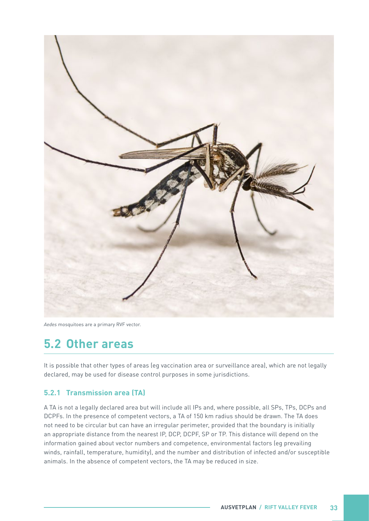

*Aedes* mosquitoes are a primary RVF vector.

### **5.2 Other areas**

It is possible that other types of areas (eg vaccination area or surveillance area), which are not legally declared, may be used for disease control purposes in some jurisdictions.

#### **5.2.1 Transmission area (TA)**

A TA is not a legally declared area but will include all IPs and, where possible, all SPs, TPs, DCPs and DCPFs. In the presence of competent vectors, a TA of 150 km radius should be drawn. The TA does not need to be circular but can have an irregular perimeter, provided that the boundary is initially an appropriate distance from the nearest IP, DCP, DCPF, SP or TP. This distance will depend on the information gained about vector numbers and competence, environmental factors (eg prevailing winds, rainfall, temperature, humidity), and the number and distribution of infected and/or susceptible animals. In the absence of competent vectors, the TA may be reduced in size.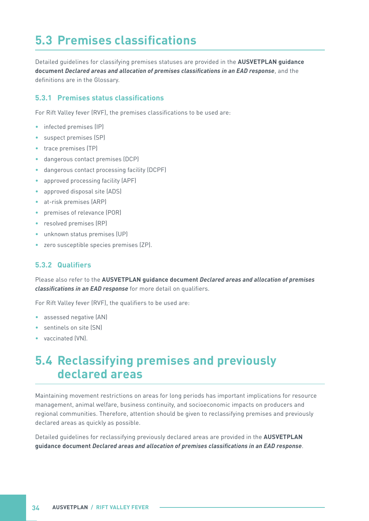## **5.3 Premises classifications**

Detailed guidelines for classifying premises statuses are provided in the **AUSVETPLAN guidance document Declared areas and allocation of premises classifications in an EAD response**, and the definitions are in the Glossary.

#### **5.3.1 Premises status classifications**

For Rift Valley fever (RVF), the premises classifications to be used are:

- infected premises (IP)
- suspect premises (SP)
- trace premises (TP)
- dangerous contact premises (DCP)
- dangerous contact processing facility (DCPF)
- approved processing facility (APF)
- approved disposal site (ADS)
- at-risk premises (ARP)
- premises of relevance (POR)
- resolved premises (RP)
- unknown status premises (UP)
- zero susceptible species premises (ZP).

#### **5.3.2 Qualifiers**

Please also refer to the **AUSVETPLAN guidance document Declared areas and allocation of premises classifications in an EAD response** for more detail on qualifiers.

For Rift Valley fever (RVF), the qualifiers to be used are:

- assessed negative (AN)
- sentinels on site (SN)
- vaccinated (VN).

### **5.4 Reclassifying premises and previously declared areas**

Maintaining movement restrictions on areas for long periods has important implications for resource management, animal welfare, business continuity, and socioeconomic impacts on producers and regional communities. Therefore, attention should be given to reclassifying premises and previously declared areas as quickly as possible.

Detailed guidelines for reclassifying previously declared areas are provided in the **AUSVETPLAN guidance document Declared areas and allocation of premises classifications in an EAD response**.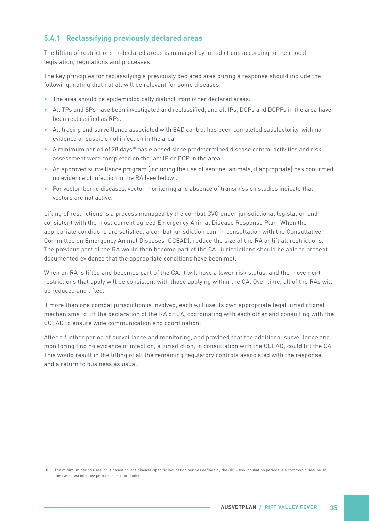#### **5.4.1 Reclassifying previously declared areas**

The lifting of restrictions in declared areas is managed by jurisdictions according to their local legislation, regulations and processes.

The key principles for reclassifying a previously declared area during a response should include the following, noting that not all will be relevant for some diseases:

- The area should be epidemiologically distinct from other declared areas.
- All TPs and SPs have been investigated and reclassified, and all IPs, DCPs and DCPFs in the area have been reclassified as RPs.
- All tracing and surveillance associated with EAD control has been completed satisfactorily, with no evidence or suspicion of infection in the area.
- $\bullet$  A minimum period of 28 days<sup>18</sup> has elapsed since predetermined disease control activities and risk assessment were completed on the last IP or DCP in the area.
- An approved surveillance program (including the use of sentinel animals, if appropriate) has confirmed no evidence of infection in the RA (see below).
- For vector-borne diseases, vector monitoring and absence of transmission studies indicate that vectors are not active.

Lifting of restrictions is a process managed by the combat CVO under jurisdictional legislation and consistent with the most current agreed Emergency Animal Disease Response Plan. When the appropriate conditions are satisfied, a combat jurisdiction can, in consultation with the Consultative Committee on Emergency Animal Diseases (CCEAD), reduce the size of the RA or lift all restrictions. The previous part of the RA would then become part of the CA. Jurisdictions should be able to present documented evidence that the appropriate conditions have been met.

When an RA is lifted and becomes part of the CA, it will have a lower risk status, and the movement restrictions that apply will be consistent with those applying within the CA. Over time, all of the RAs will be reduced and lifted.

If more than one combat jurisdiction is involved, each will use its own appropriate legal jurisdictional mechanisms to lift the declaration of the RA or CA, coordinating with each other and consulting with the CCEAD to ensure wide communication and coordination.

After a further period of surveillance and monitoring, and provided that the additional surveillance and monitoring find no evidence of infection, a jurisdiction, in consultation with the CCEAD, could lift the CA. This would result in the lifting of all the remaining regulatory controls associated with the response, and a return to business as usual.

<sup>18</sup> The minimum period uses, or is based on, the disease-specific incubation periods defined by the OIE – two incubation periods is a common guideline. In this case, two infective periods is recommended.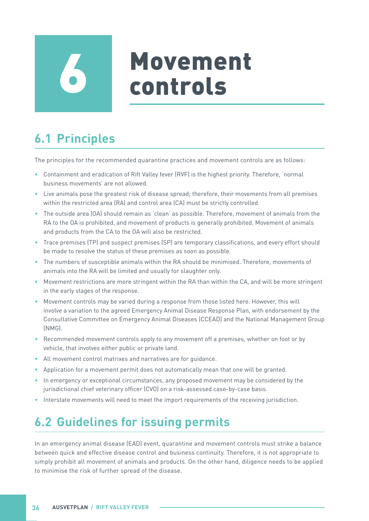# **Movement**<br>controls

# **6.1 Principles**

The principles for the recommended quarantine practices and movement controls are as follows:

- Containment and eradication of Rift Valley fever (RVF) is the highest priority. Therefore, 'normal business movements' are not allowed.
- Live animals pose the greatest risk of disease spread; therefore, their movements from all premises within the restricted area (RA) and control area (CA) must be strictly controlled.
- The outside area (OA) should remain as 'clean' as possible. Therefore, movement of animals from the RA to the OA is prohibited, and movement of products is generally prohibited. Movement of animals and products from the CA to the OA will also be restricted.
- Trace premises (TP) and suspect premises (SP) are temporary classifications, and every effort should be made to resolve the status of these premises as soon as possible.
- The numbers of susceptible animals within the RA should be minimised. Therefore, movements of animals into the RA will be limited and usually for slaughter only.
- Movement restrictions are more stringent within the RA than within the CA, and will be more stringent in the early stages of the response.
- Movement controls may be varied during a response from those listed here. However, this will involve a variation to the agreed Emergency Animal Disease Response Plan, with endorsement by the Consultative Committee on Emergency Animal Diseases (CCEAD) and the National Management Group (NMG).
- Recommended movement controls apply to any movement off a premises, whether on foot or by vehicle, that involves either public or private land.
- All movement control matrixes and narratives are for guidance.
- Application for a movement permit does not automatically mean that one will be granted.
- In emergency or exceptional circumstances, any proposed movement may be considered by the jurisdictional chief veterinary officer (CVO) on a risk-assessed case-by-case basis.
- Interstate movements will need to meet the import requirements of the receiving jurisdiction.

## **6.2 Guidelines for issuing permits**

In an emergency animal disease (EAD) event, quarantine and movement controls must strike a balance between quick and effective disease control and business continuity. Therefore, it is not appropriate to simply prohibit all movement of animals and products. On the other hand, diligence needs to be applied to minimise the risk of further spread of the disease.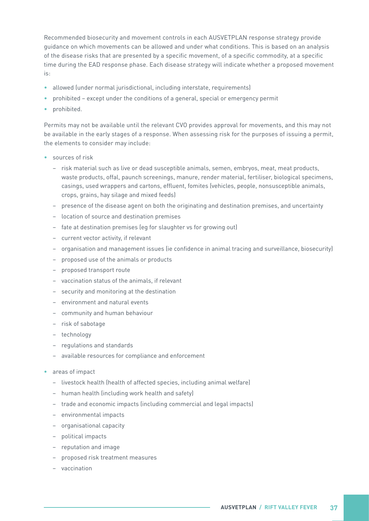Recommended biosecurity and movement controls in each AUSVETPLAN response strategy provide guidance on which movements can be allowed and under what conditions. This is based on an analysis of the disease risks that are presented by a specific movement, of a specific commodity, at a specific time during the EAD response phase. Each disease strategy will indicate whether a proposed movement is:

- allowed (under normal jurisdictional, including interstate, requirements)
- prohibited except under the conditions of a general, special or emergency permit
- prohibited.

Permits may not be available until the relevant CVO provides approval for movements, and this may not be available in the early stages of a response. When assessing risk for the purposes of issuing a permit, the elements to consider may include:

- sources of risk
	- risk material such as live or dead susceptible animals, semen, embryos, meat, meat products, waste products, offal, paunch screenings, manure, render material, fertiliser, biological specimens, casings, used wrappers and cartons, effluent, fomites (vehicles, people, nonsusceptible animals, crops, grains, hay silage and mixed feeds)
	- presence of the disease agent on both the originating and destination premises, and uncertainty
	- location of source and destination premises
	- fate at destination premises (eg for slaughter vs for growing out)
	- current vector activity, if relevant
	- organisation and management issues (ie confidence in animal tracing and surveillance, biosecurity)
	- proposed use of the animals or products
	- proposed transport route
	- vaccination status of the animals, if relevant
	- security and monitoring at the destination
	- environment and natural events
	- community and human behaviour
	- risk of sabotage
	- technology
	- regulations and standards
	- available resources for compliance and enforcement
- areas of impact
	- livestock health (health of affected species, including animal welfare)
	- human health (including work health and safety)
	- trade and economic impacts (including commercial and legal impacts)
	- environmental impacts
	- organisational capacity
	- political impacts
	- reputation and image
	- proposed risk treatment measures
	- vaccination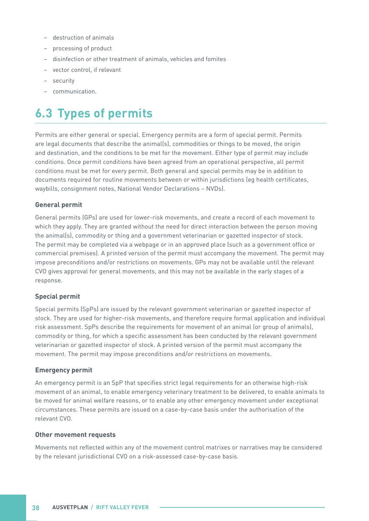- destruction of animals
- processing of product
- disinfection or other treatment of animals, vehicles and fomites
- vector control, if relevant
- security
- communication.

## **6.3 Types of permits**

Permits are either general or special. Emergency permits are a form of special permit. Permits are legal documents that describe the animal(s), commodities or things to be moved, the origin and destination, and the conditions to be met for the movement. Either type of permit may include conditions. Once permit conditions have been agreed from an operational perspective, all permit conditions must be met for every permit. Both general and special permits may be in addition to documents required for routine movements between or within jurisdictions (eg health certificates, waybills, consignment notes, National Vendor Declarations – NVDs).

#### **General permit**

General permits (GPs) are used for lower-risk movements, and create a record of each movement to which they apply. They are granted without the need for direct interaction between the person moving the animal(s), commodity or thing and a government veterinarian or gazetted inspector of stock. The permit may be completed via a webpage or in an approved place (such as a government office or commercial premises). A printed version of the permit must accompany the movement. The permit may impose preconditions and/or restrictions on movements. GPs may not be available until the relevant CVO gives approval for general movements, and this may not be available in the early stages of a response.

#### **Special permit**

Special permits (SpPs) are issued by the relevant government veterinarian or gazetted inspector of stock. They are used for higher-risk movements, and therefore require formal application and individual risk assessment. SpPs describe the requirements for movement of an animal (or group of animals), commodity or thing, for which a specific assessment has been conducted by the relevant government veterinarian or gazetted inspector of stock. A printed version of the permit must accompany the movement. The permit may impose preconditions and/or restrictions on movements.

#### **Emergency permit**

An emergency permit is an SpP that specifies strict legal requirements for an otherwise high-risk movement of an animal, to enable emergency veterinary treatment to be delivered, to enable animals to be moved for animal welfare reasons, or to enable any other emergency movement under exceptional circumstances. These permits are issued on a case-by-case basis under the authorisation of the relevant CVO.

#### **Other movement requests**

Movements not reflected within any of the movement control matrixes or narratives may be considered by the relevant jurisdictional CVO on a risk-assessed case-by-case basis.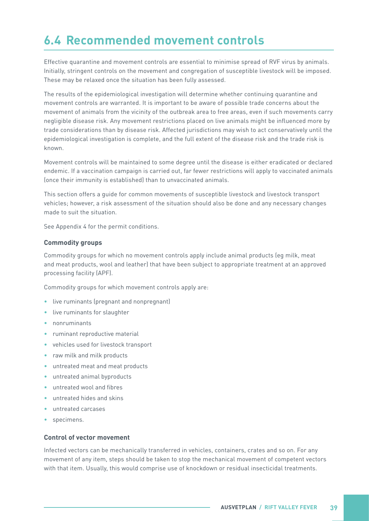# **6.4 Recommended movement controls**

Effective quarantine and movement controls are essential to minimise spread of RVF virus by animals. Initially, stringent controls on the movement and congregation of susceptible livestock will be imposed. These may be relaxed once the situation has been fully assessed.

The results of the epidemiological investigation will determine whether continuing quarantine and movement controls are warranted. It is important to be aware of possible trade concerns about the movement of animals from the vicinity of the outbreak area to free areas, even if such movements carry negligible disease risk. Any movement restrictions placed on live animals might be influenced more by trade considerations than by disease risk. Affected jurisdictions may wish to act conservatively until the epidemiological investigation is complete, and the full extent of the disease risk and the trade risk is known.

Movement controls will be maintained to some degree until the disease is either eradicated or declared endemic. If a vaccination campaign is carried out, far fewer restrictions will apply to vaccinated animals (once their immunity is established) than to unvaccinated animals.

This section offers a guide for common movements of susceptible livestock and livestock transport vehicles; however, a risk assessment of the situation should also be done and any necessary changes made to suit the situation.

See Appendix 4 for the permit conditions.

#### **Commodity groups**

Commodity groups for which no movement controls apply include animal products (eg milk, meat and meat products, wool and leather) that have been subject to appropriate treatment at an approved processing facility (APF).

Commodity groups for which movement controls apply are:

- live ruminants (pregnant and nonpregnant)
- live ruminants for slaughter
- nonruminants
- ruminant reproductive material
- vehicles used for livestock transport
- raw milk and milk products
- untreated meat and meat products
- untreated animal byproducts
- untreated wool and fibres
- untreated hides and skins
- untreated carcases
- specimens.

#### **Control of vector movement**

Infected vectors can be mechanically transferred in vehicles, containers, crates and so on. For any movement of any item, steps should be taken to stop the mechanical movement of competent vectors with that item. Usually, this would comprise use of knockdown or residual insecticidal treatments.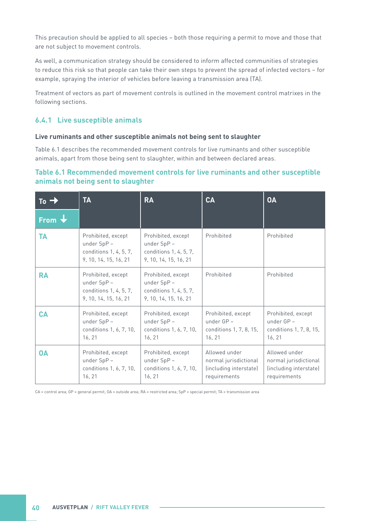This precaution should be applied to all species – both those requiring a permit to move and those that are not subject to movement controls.

As well, a communication strategy should be considered to inform affected communities of strategies to reduce this risk so that people can take their own steps to prevent the spread of infected vectors – for example, spraying the interior of vehicles before leaving a transmission area (TA).

Treatment of vectors as part of movement controls is outlined in the movement control matrixes in the following sections.

#### **6.4.1 Live susceptible animals**

#### **Live ruminants and other susceptible animals not being sent to slaughter**

Table 6.1 describes the recommended movement controls for live ruminants and other susceptible animals, apart from those being sent to slaughter, within and between declared areas.

#### **Table 6.1 Recommended movement controls for live ruminants and other susceptible animals not being sent to slaughter**

| Τo        | <b>TA</b>                                                                            | <b>RA</b>                                                                            | <b>CA</b>                                                                        | <b>OA</b>                                                                        |
|-----------|--------------------------------------------------------------------------------------|--------------------------------------------------------------------------------------|----------------------------------------------------------------------------------|----------------------------------------------------------------------------------|
| From      |                                                                                      |                                                                                      |                                                                                  |                                                                                  |
| <b>TA</b> | Prohibited, except<br>under SpP-<br>conditions 1, 4, 5, 7,<br>9, 10, 14, 15, 16, 21  | Prohibited, except<br>under SpP -<br>conditions 1, 4, 5, 7,<br>9, 10, 14, 15, 16, 21 | Prohibited                                                                       | Prohibited                                                                       |
| <b>RA</b> | Prohibited, except<br>under SpP -<br>conditions 1, 4, 5, 7,<br>9, 10, 14, 15, 16, 21 | Prohibited, except<br>under SpP -<br>conditions 1, 4, 5, 7,<br>9, 10, 14, 15, 16, 21 | Prohibited                                                                       | Prohibited                                                                       |
| <b>CA</b> | Prohibited, except<br>under SpP-<br>conditions 1, 6, 7, 10,<br>16, 21                | Prohibited, except<br>under SpP -<br>conditions 1, 6, 7, 10,<br>16, 21               | Prohibited, except<br>under GP -<br>conditions 1, 7, 8, 15,<br>16, 21            | Prohibited, except<br>under GP -<br>conditions 1, 7, 8, 15,<br>16, 21            |
| <b>OA</b> | Prohibited, except<br>under SpP-<br>conditions 1, 6, 7, 10,<br>16, 21                | Prohibited, except<br>under SpP -<br>conditions 1, 6, 7, 10,<br>16, 21               | Allowed under<br>normal jurisdictional<br>(including interstate)<br>requirements | Allowed under<br>normal jurisdictional<br>(including interstate)<br>requirements |

CA = control area; GP = general permit; OA = outside area; RA = restricted area; SpP = special permit; TA = transmission area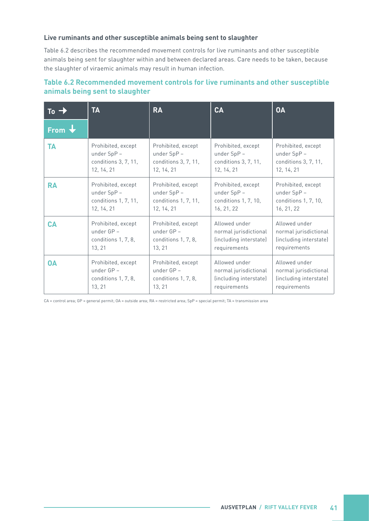#### **Live ruminants and other susceptible animals being sent to slaughter**

Table 6.2 describes the recommended movement controls for live ruminants and other susceptible animals being sent for slaughter within and between declared areas. Care needs to be taken, because the slaughter of viraemic animals may result in human infection.

#### **Table 6.2 Recommended movement controls for live ruminants and other susceptible animals being sent to slaughter**

| To -        | <b>TA</b>            | <b>RA</b>            | <b>CA</b>              | <b>OA</b>              |
|-------------|----------------------|----------------------|------------------------|------------------------|
| <b>From</b> |                      |                      |                        |                        |
| TA          | Prohibited, except   | Prohibited, except   | Prohibited, except     | Prohibited, except     |
|             | under SpP -          | under SpP -          | under SpP -            | under SpP -            |
|             | conditions 3, 7, 11, | conditions 3, 7, 11, | conditions 3, 7, 11,   | conditions 3, 7, 11,   |
|             | 12, 14, 21           | 12, 14, 21           | 12, 14, 21             | 12, 14, 21             |
| <b>RA</b>   | Prohibited, except   | Prohibited, except   | Prohibited, except     | Prohibited, except     |
|             | under SpP -          | under SpP -          | under SpP -            | under SpP -            |
|             | conditions 1, 7, 11, | conditions 1, 7, 11, | conditions 1, 7, 10,   | conditions 1, 7, 10,   |
|             | 12, 14, 21           | 12, 14, 21           | 16, 21, 22             | 16, 21, 22             |
| <b>CA</b>   | Prohibited, except   | Prohibited, except   | Allowed under          | Allowed under          |
|             | under GP -           | under GP -           | normal jurisdictional  | normal jurisdictional  |
|             | conditions 1, 7, 8,  | conditions 1, 7, 8,  | (including interstate) | (including interstate) |
|             | 13, 21               | 13, 21               | requirements           | requirements           |
| <b>OA</b>   | Prohibited, except   | Prohibited, except   | Allowed under          | Allowed under          |
|             | under GP -           | under GP -           | normal jurisdictional  | normal jurisdictional  |
|             | conditions 1, 7, 8,  | conditions 1, 7, 8,  | (including interstate) | (including interstate) |
|             | 13, 21               | 13, 21               | requirements           | requirements           |

CA = control area; GP = general permit; OA = outside area; RA = restricted area; SpP = special permit; TA = transmission area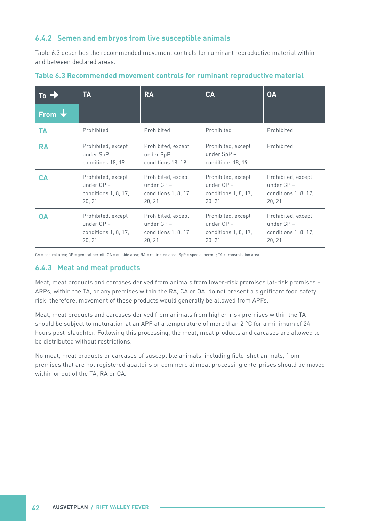#### **6.4.2 Semen and embryos from live susceptible animals**

Table 6.3 describes the recommended movement controls for ruminant reproductive material within and between declared areas.

| $To =$          | <b>TA</b>                                                            | <b>RA</b>                                                            | CA                                                                   | <b>OA</b>                                                            |
|-----------------|----------------------------------------------------------------------|----------------------------------------------------------------------|----------------------------------------------------------------------|----------------------------------------------------------------------|
| From $\bigstar$ |                                                                      |                                                                      |                                                                      |                                                                      |
| <b>TA</b>       | Prohibited                                                           | Prohibited                                                           | Prohibited                                                           | Prohibited                                                           |
| <b>RA</b>       | Prohibited, except<br>under SpP-<br>conditions 18, 19                | Prohibited, except<br>under SpP-<br>conditions 18, 19                | Prohibited, except<br>under SpP-<br>conditions 18, 19                | Prohibited                                                           |
| <b>CA</b>       | Prohibited, except<br>under $GP -$<br>conditions 1, 8, 17,<br>20, 21 | Prohibited, except<br>under $GP -$<br>conditions 1, 8, 17,<br>20, 21 | Prohibited, except<br>under $GP -$<br>conditions 1, 8, 17,<br>20, 21 | Prohibited, except<br>under $GP -$<br>conditions 1, 8, 17,<br>20, 21 |
| <b>OA</b>       | Prohibited, except<br>under $GP -$<br>conditions 1, 8, 17,<br>20, 21 | Prohibited, except<br>under $GP -$<br>conditions 1, 8, 17,<br>20, 21 | Prohibited, except<br>under $GP -$<br>conditions 1, 8, 17,<br>20, 21 | Prohibited, except<br>under $GP -$<br>conditions 1, 8, 17,<br>20, 21 |

#### **Table 6.3 Recommended movement controls for ruminant reproductive material**

CA = control area; GP = general permit; OA = outside area; RA = restricted area; SpP = special permit; TA = transmission area

#### **6.4.3 Meat and meat products**

Meat, meat products and carcases derived from animals from lower-risk premises (at-risk premises – ARPs) within the TA, or any premises within the RA, CA or OA, do not present a significant food safety risk; therefore, movement of these products would generally be allowed from APFs.

Meat, meat products and carcases derived from animals from higher-risk premises within the TA should be subject to maturation at an APF at a temperature of more than 2 °C for a minimum of 24 hours post-slaughter. Following this processing, the meat, meat products and carcases are allowed to be distributed without restrictions.

No meat, meat products or carcases of susceptible animals, including field-shot animals, from premises that are not registered abattoirs or commercial meat processing enterprises should be moved within or out of the TA, RA or CA.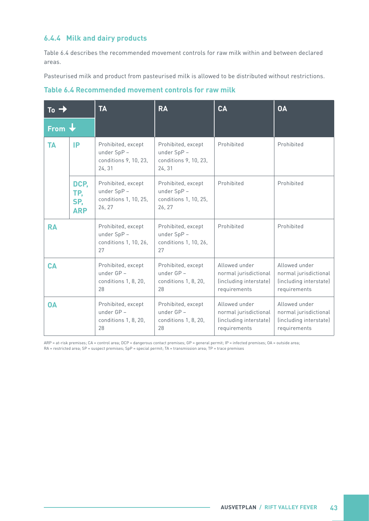#### **6.4.4 Milk and dairy products**

Table 6.4 describes the recommended movement controls for raw milk within and between declared areas.

Pasteurised milk and product from pasteurised milk is allowed to be distributed without restrictions.

| <b>To</b>       |                                  | <b>TA</b>                                                            | <b>RA</b>                                                            | <b>CA</b>                                                                        | <b>OA</b>                                                                        |
|-----------------|----------------------------------|----------------------------------------------------------------------|----------------------------------------------------------------------|----------------------------------------------------------------------------------|----------------------------------------------------------------------------------|
| From $\bigstar$ |                                  |                                                                      |                                                                      |                                                                                  |                                                                                  |
| <b>TA</b>       | IP                               | Prohibited, except<br>under SpP -<br>conditions 9, 10, 23,<br>24, 31 | Prohibited, except<br>under SpP -<br>conditions 9, 10, 23,<br>24, 31 | Prohibited                                                                       | Prohibited                                                                       |
|                 | DCP.<br>TP,<br>SP,<br><b>ARP</b> | Prohibited, except<br>under SpP -<br>conditions 1, 10, 25,<br>26, 27 | Prohibited, except<br>under SpP -<br>conditions 1, 10, 25,<br>26, 27 | Prohibited                                                                       | Prohibited                                                                       |
| <b>RA</b>       |                                  | Prohibited, except<br>under SpP -<br>conditions 1, 10, 26,<br>27     | Prohibited, except<br>under SpP -<br>conditions 1, 10, 26,<br>27     | Prohibited                                                                       | Prohibited                                                                       |
| <b>CA</b>       |                                  | Prohibited, except<br>under GP -<br>conditions 1, 8, 20,<br>28       | Prohibited, except<br>under GP -<br>conditions 1, 8, 20,<br>28       | Allowed under<br>normal jurisdictional<br>(including interstate)<br>requirements | Allowed under<br>normal jurisdictional<br>(including interstate)<br>requirements |
| <b>OA</b>       |                                  | Prohibited, except<br>under GP -<br>conditions 1, 8, 20,<br>28       | Prohibited, except<br>under GP -<br>conditions 1, 8, 20,<br>28       | Allowed under<br>normal jurisdictional<br>(including interstate)<br>requirements | Allowed under<br>normal jurisdictional<br>(including interstate)<br>requirements |

**Table 6.4 Recommended movement controls for raw milk**

ARP = at-risk premises; CA = control area; DCP = dangerous contact premises; GP = general permit; IP = infected premises; OA = outside area;

RA = restricted area; SP = suspect premises; SpP = special permit; TA = transmission area; TP = trace premises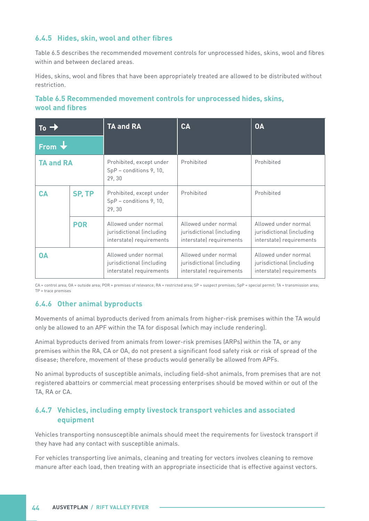#### **6.4.5 Hides, skin, wool and other fibres**

Table 6.5 describes the recommended movement controls for unprocessed hides, skins, wool and fibres within and between declared areas.

Hides, skins, wool and fibres that have been appropriately treated are allowed to be distributed without restriction.

#### **Table 6.5 Recommended movement controls for unprocessed hides, skins, wool and fibres**

| Τo                               |            | TA and RA                                                                     | <b>CA</b>                                                                     | <b>OA</b>                                                                     |
|----------------------------------|------------|-------------------------------------------------------------------------------|-------------------------------------------------------------------------------|-------------------------------------------------------------------------------|
| $From \t\t\overline{\mathbf{t}}$ |            |                                                                               |                                                                               |                                                                               |
| <b>TA and RA</b>                 |            | Prohibited, except under<br>SpP - conditions 9, 10,<br>29,30                  | Prohibited                                                                    | Prohibited                                                                    |
| CА                               | SP, TP     | Prohibited, except under<br>SpP - conditions 9, 10,<br>29,30                  | Prohibited                                                                    | Prohibited                                                                    |
|                                  | <b>POR</b> | Allowed under normal<br>jurisdictional (including<br>interstate) requirements | Allowed under normal<br>jurisdictional (including<br>interstate) requirements | Allowed under normal<br>jurisdictional (including<br>interstate) requirements |
| <b>OA</b>                        |            | Allowed under normal<br>jurisdictional (including<br>interstate) requirements | Allowed under normal<br>jurisdictional (including<br>interstate) requirements | Allowed under normal<br>jurisdictional (including<br>interstate) requirements |

CA = control area; OA = outside area; POR = premises of relevance; RA = restricted area; SP = suspect premises; SpP = special permit; TA = transmission area; TP = trace premises

#### **6.4.6 Other animal byproducts**

Movements of animal byproducts derived from animals from higher-risk premises within the TA would only be allowed to an APF within the TA for disposal (which may include rendering).

Animal byproducts derived from animals from lower-risk premises (ARPs) within the TA, or any premises within the RA, CA or OA, do not present a significant food safety risk or risk of spread of the disease; therefore, movement of these products would generally be allowed from APFs.

No animal byproducts of susceptible animals, including field-shot animals, from premises that are not registered abattoirs or commercial meat processing enterprises should be moved within or out of the TA, RA or CA.

#### **6.4.7 Vehicles, including empty livestock transport vehicles and associated equipment**

Vehicles transporting nonsusceptible animals should meet the requirements for livestock transport if they have had any contact with susceptible animals.

For vehicles transporting live animals, cleaning and treating for vectors involves cleaning to remove manure after each load, then treating with an appropriate insecticide that is effective against vectors.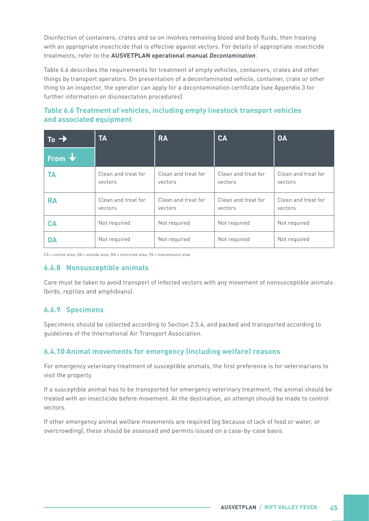Disinfection of containers, crates and so on involves removing blood and body fluids, then treating with an appropriate insecticide that is effective against vectors. For details of appropriate insecticide treatments, refer to the **AUSVETPLAN operational manual Decontamination**.

Table 6.6 describes the requirements for treatment of empty vehicles, containers, crates and other things by transport operators. On presentation of a decontaminated vehicle, container, crate or other thing to an inspector, the operator can apply for a decontamination certificate (see Appendix 3 for further information on disinsectation procedures).

#### **Table 6.6 Treatment of vehicles, including empty livestock transport vehicles and associated equipment**

| To $\rightarrow$ | <b>TA</b>                      | <b>RA</b>                      | <b>CA</b>                      | <b>OA</b>                      |
|------------------|--------------------------------|--------------------------------|--------------------------------|--------------------------------|
| From $\bigstar$  |                                |                                |                                |                                |
| TA               | Clean and treat for<br>vectors | Clean and treat for<br>vectors | Clean and treat for<br>vectors | Clean and treat for<br>vectors |
| <b>RA</b>        | Clean and treat for<br>vectors | Clean and treat for<br>vectors | Clean and treat for<br>vectors | Clean and treat for<br>vectors |
| <b>CA</b>        | Not required                   | Not required                   | Not required                   | Not required                   |
| <b>OA</b>        | Not required                   | Not required                   | Not required                   | Not required                   |

CA = control area; OA = outside area; RA = restricted area; TA = transmission area

#### **6.4.8 Nonsusceptible animals**

Care must be taken to avoid transport of infected vectors with any movement of nonsusceptible animals (birds, reptiles and amphibians).

#### **6.4.9 Specimens**

Specimens should be collected according to Section 2.5.4, and packed and transported according to guidelines of the International Air Transport Association.

#### **6.4.10 Animal movements for emergency (including welfare) reasons**

For emergency veterinary treatment of susceptible animals, the first preference is for veterinarians to visit the property.

If a susceptible animal has to be transported for emergency veterinary treatment, the animal should be treated with an insecticide before movement. At the destination, an attempt should be made to control vectors.

If other emergency animal welfare movements are required (eg because of lack of food or water, or overcrowding), these should be assessed and permits issued on a case-by-case basis.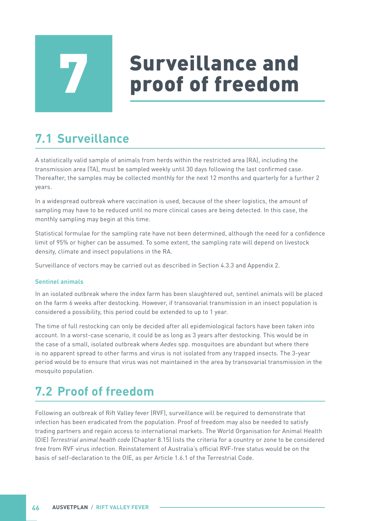# **Surveillance and<br>proof of freedom**

# **7.1 Surveillance**

A statistically valid sample of animals from herds within the restricted area (RA), including the transmission area (TA), must be sampled weekly until 30 days following the last confirmed case. Thereafter, the samples may be collected monthly for the next 12 months and quarterly for a further 2 years.

In a widespread outbreak where vaccination is used, because of the sheer logistics, the amount of sampling may have to be reduced until no more clinical cases are being detected. In this case, the monthly sampling may begin at this time.

Statistical formulae for the sampling rate have not been determined, although the need for a confidence limit of 95% or higher can be assumed. To some extent, the sampling rate will depend on livestock density, climate and insect populations in the RA.

Surveillance of vectors may be carried out as described in Section 4.3.3 and Appendix 2.

#### **Sentinel animals**

In an isolated outbreak where the index farm has been slaughtered out, sentinel animals will be placed on the farm 6 weeks after destocking. However, if transovarial transmission in an insect population is considered a possibility, this period could be extended to up to 1 year.

The time of full restocking can only be decided after all epidemiological factors have been taken into account. In a worst-case scenario, it could be as long as 3 years after destocking. This would be in the case of a small, isolated outbreak where *Aedes* spp. mosquitoes are abundant but where there is no apparent spread to other farms and virus is not isolated from any trapped insects. The 3-year period would be to ensure that virus was not maintained in the area by transovarial transmission in the mosquito population.

# **7.2 Proof of freedom**

Following an outbreak of Rift Valley fever (RVF), surveillance will be required to demonstrate that infection has been eradicated from the population. Proof of freedom may also be needed to satisfy trading partners and regain access to international markets. The World Organisation for Animal Health (OIE) *Terrestrial animal health code* (Chapter 8.15) lists the criteria for a country or zone to be considered free from RVF virus infection. Reinstatement of Australia's official RVF-free status would be on the basis of self-declaration to the OIE, as per Article 1.6.1 of the Terrestrial Code.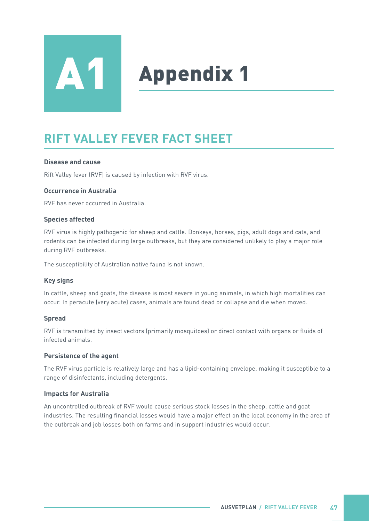

# **Appendix 1**

# **RIFT VALLEY FEVER FACT SHEET**

#### **Disease and cause**

Rift Valley fever (RVF) is caused by infection with RVF virus.

#### **Occurrence in Australia**

RVF has never occurred in Australia.

#### **Species affected**

RVF virus is highly pathogenic for sheep and cattle. Donkeys, horses, pigs, adult dogs and cats, and rodents can be infected during large outbreaks, but they are considered unlikely to play a major role during RVF outbreaks.

The susceptibility of Australian native fauna is not known.

#### **Key signs**

In cattle, sheep and goats, the disease is most severe in young animals, in which high mortalities can occur. In peracute (very acute) cases, animals are found dead or collapse and die when moved.

#### **Spread**

RVF is transmitted by insect vectors (primarily mosquitoes) or direct contact with organs or fluids of infected animals.

#### **Persistence of the agent**

The RVF virus particle is relatively large and has a lipid-containing envelope, making it susceptible to a range of disinfectants, including detergents.

#### **Impacts for Australia**

An uncontrolled outbreak of RVF would cause serious stock losses in the sheep, cattle and goat industries. The resulting financial losses would have a major effect on the local economy in the area of the outbreak and job losses both on farms and in support industries would occur.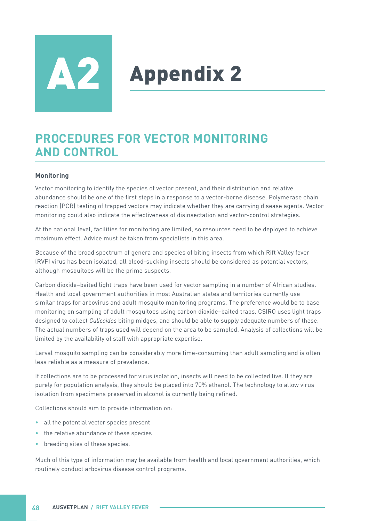# **Appendix 2**

### **PROCEDURES FOR VECTOR MONITORING AND CONTROL**

#### **Monitoring**

Vector monitoring to identify the species of vector present, and their distribution and relative abundance should be one of the first steps in a response to a vector-borne disease. Polymerase chain reaction (PCR) testing of trapped vectors may indicate whether they are carrying disease agents. Vector monitoring could also indicate the effectiveness of disinsectation and vector-control strategies.

At the national level, facilities for monitoring are limited, so resources need to be deployed to achieve maximum effect. Advice must be taken from specialists in this area.

Because of the broad spectrum of genera and species of biting insects from which Rift Valley fever (RVF) virus has been isolated, all blood-sucking insects should be considered as potential vectors, although mosquitoes will be the prime suspects.

Carbon dioxide–baited light traps have been used for vector sampling in a number of African studies. Health and local government authorities in most Australian states and territories currently use similar traps for arbovirus and adult mosquito monitoring programs. The preference would be to base monitoring on sampling of adult mosquitoes using carbon dioxide–baited traps. CSIRO uses light traps designed to collect *Culicoides* biting midges, and should be able to supply adequate numbers of these. The actual numbers of traps used will depend on the area to be sampled. Analysis of collections will be limited by the availability of staff with appropriate expertise.

Larval mosquito sampling can be considerably more time-consuming than adult sampling and is often less reliable as a measure of prevalence.

If collections are to be processed for virus isolation, insects will need to be collected live. If they are purely for population analysis, they should be placed into 70% ethanol. The technology to allow virus isolation from specimens preserved in alcohol is currently being refined.

Collections should aim to provide information on:

- all the potential vector species present
- the relative abundance of these species
- breeding sites of these species.

Much of this type of information may be available from health and local government authorities, which routinely conduct arbovirus disease control programs.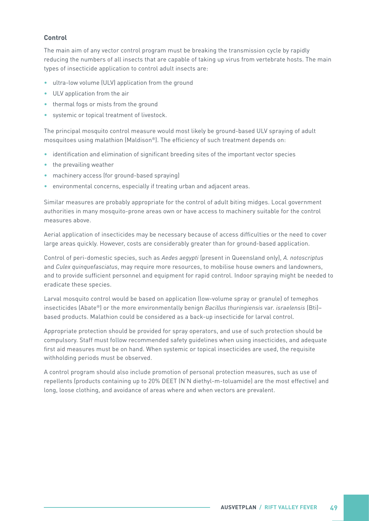#### **Control**

The main aim of any vector control program must be breaking the transmission cycle by rapidly reducing the numbers of all insects that are capable of taking up virus from vertebrate hosts. The main types of insecticide application to control adult insects are:

- ultra-low volume (ULV) application from the ground
- ULV application from the air
- thermal fogs or mists from the ground
- systemic or topical treatment of livestock.

The principal mosquito control measure would most likely be ground-based ULV spraying of adult mosquitoes using malathion (Maldison®). The efficiency of such treatment depends on:

- identification and elimination of significant breeding sites of the important vector species
- the prevailing weather
- machinery access (for ground-based spraying)
- environmental concerns, especially if treating urban and adjacent areas.

Similar measures are probably appropriate for the control of adult biting midges. Local government authorities in many mosquito-prone areas own or have access to machinery suitable for the control measures above.

Aerial application of insecticides may be necessary because of access difficulties or the need to cover large areas quickly. However, costs are considerably greater than for ground-based application.

Control of peri-domestic species, such as *Aedes aegypti* (present in Queensland only), *A. notoscriptus* and *Culex quinquefasciatus*, may require more resources, to mobilise house owners and landowners, and to provide sufficient personnel and equipment for rapid control. Indoor spraying might be needed to eradicate these species.

Larval mosquito control would be based on application (low-volume spray or granule) of temephos insecticides (Abate®) or the more environmentally benign *Bacillus thuringiensis* var. *israelensis* (Bti)– based products. Malathion could be considered as a back-up insecticide for larval control.

Appropriate protection should be provided for spray operators, and use of such protection should be compulsory. Staff must follow recommended safety guidelines when using insecticides, and adequate first aid measures must be on hand. When systemic or topical insecticides are used, the requisite withholding periods must be observed.

A control program should also include promotion of personal protection measures, such as use of repellents (products containing up to 20% DEET (N'N diethyl-m-toluamide) are the most effective) and long, loose clothing, and avoidance of areas where and when vectors are prevalent.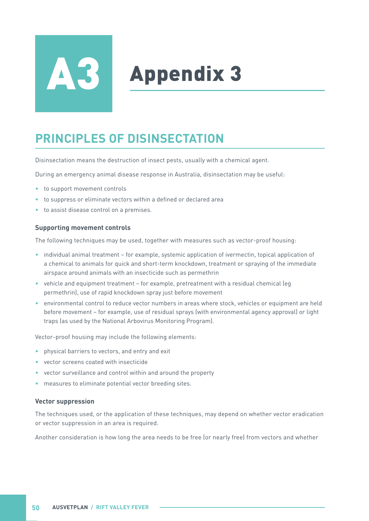# **Appendix 3**

# **PRINCIPLES OF DISINSECTATION**

Disinsectation means the destruction of insect pests, usually with a chemical agent.

During an emergency animal disease response in Australia, disinsectation may be useful:

- to support movement controls
- to suppress or eliminate vectors within a defined or declared area
- to assist disease control on a premises.

#### **Supporting movement controls**

The following techniques may be used, together with measures such as vector-proof housing:

- individual animal treatment for example, systemic application of ivermectin, topical application of a chemical to animals for quick and short-term knockdown, treatment or spraying of the immediate airspace around animals with an insecticide such as permethrin
- vehicle and equipment treatment for example, pretreatment with a residual chemical (eg permethrin), use of rapid knockdown spray just before movement
- environmental control to reduce vector numbers in areas where stock, vehicles or equipment are held before movement – for example, use of residual sprays (with environmental agency approval) or light traps (as used by the National Arbovirus Monitoring Program).

Vector-proof housing may include the following elements:

- physical barriers to vectors, and entry and exit
- vector screens coated with insecticide
- vector surveillance and control within and around the property
- measures to eliminate potential vector breeding sites.

#### **Vector suppression**

The techniques used, or the application of these techniques, may depend on whether vector eradication or vector suppression in an area is required.

Another consideration is how long the area needs to be free (or nearly free) from vectors and whether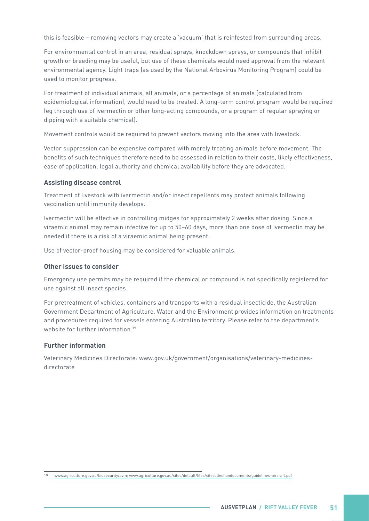this is feasible – removing vectors may create a 'vacuum' that is reinfested from surrounding areas.

For environmental control in an area, residual sprays, knockdown sprays, or compounds that inhibit growth or breeding may be useful, but use of these chemicals would need approval from the relevant environmental agency. Light traps (as used by the National Arbovirus Monitoring Program) could be used to monitor progress.

For treatment of individual animals, all animals, or a percentage of animals (calculated from epidemiological information), would need to be treated. A long-term control program would be required (eg through use of ivermectin or other long-acting compounds, or a program of regular spraying or dipping with a suitable chemical).

Movement controls would be required to prevent vectors moving into the area with livestock.

Vector suppression can be expensive compared with merely treating animals before movement. The benefits of such techniques therefore need to be assessed in relation to their costs, likely effectiveness, ease of application, legal authority and chemical availability before they are advocated.

#### **Assisting disease control**

Treatment of livestock with ivermectin and/or insect repellents may protect animals following vaccination until immunity develops.

Ivermectin will be effective in controlling midges for approximately 2 weeks after dosing. Since a viraemic animal may remain infective for up to 50–60 days, more than one dose of ivermectin may be needed if there is a risk of a viraemic animal being present.

Use of vector-proof housing may be considered for valuable animals.

#### **Other issues to consider**

Emergency use permits may be required if the chemical or compound is not specifically registered for use against all insect species.

For pretreatment of vehicles, containers and transports with a residual insecticide, the Australian Government Department of Agriculture, Water and the Environment provides information on treatments and procedures required for vessels entering Australian territory. Please refer to the department's website for further information<sup>19</sup>

#### **Further information**

Veterinary Medicines Directorate: [www.gov.uk/government/organisations/veterinary-medicines](http://www.gov.uk/government/organisations/veterinary-medicines-directorate)[directorate](http://www.gov.uk/government/organisations/veterinary-medicines-directorate)

<sup>19</sup> [www.agriculture.gov.au/biosecurity/avm;](https://www.agriculture.gov.au/biosecurity/avm) [www.agriculture.gov.au/sites/default/files/sitecollectiondocuments/guidelines-aircraft.pdf](http://www.agriculture.gov.au/sites/default/files/sitecollectiondocuments/guidelines-aircraft.pdf)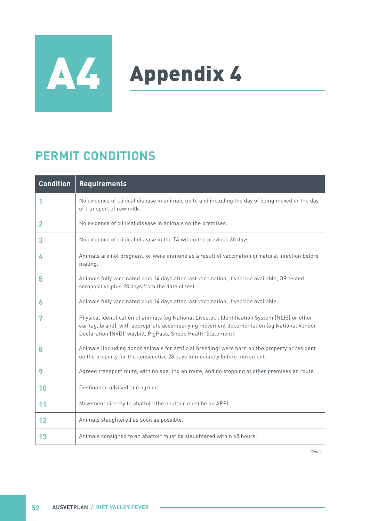# A4 Appendix 4

# **PERMIT CONDITIONS**

| <b>Condition</b> | <b>Requirements</b>                                                                                                                                                                                                                                           |
|------------------|---------------------------------------------------------------------------------------------------------------------------------------------------------------------------------------------------------------------------------------------------------------|
|                  | No evidence of clinical disease in animals up to and including the day of being moved or the day<br>of transport of raw milk.                                                                                                                                 |
| $\overline{2}$   | No evidence of clinical disease in animals on the premises.                                                                                                                                                                                                   |
| 3                | No evidence of clinical disease in the TA within the previous 30 days.                                                                                                                                                                                        |
| 4                | Animals are not pregnant, or were immune as a result of vaccination or natural infection before<br>mating.                                                                                                                                                    |
| 5                | Animals fully vaccinated plus 14 days after last vaccination, if vaccine available, OR tested<br>seropositive plus 28 days from the date of test.                                                                                                             |
| 6                | Animals fully vaccinated plus 14 days after last vaccination, if vaccine available.                                                                                                                                                                           |
| 7                | Physical identification of animals (eg National Livestock Identification System (NLIS) or other<br>ear tag, brand), with appropriate accompanying movement documentation (eg National Vendor<br>Declaration (NVD), waybill, PigPass, Sheep Health Statement). |
| 8                | Animals (including donor animals for artificial breeding) were born on the property or resident<br>on the property for the consecutive 28 days immediately before movement.                                                                                   |
| 9                | Agreed transport route, with no spelling en route, and no stopping at other premises en route.                                                                                                                                                                |
| 10               | Destination advised and agreed.                                                                                                                                                                                                                               |
| 11               | Movement directly to abattoir (the abattoir must be an APF).                                                                                                                                                                                                  |
| 12               | Animals slaughtered as soon as possible.                                                                                                                                                                                                                      |
| 13               | Animals consigned to an abattoir must be slaughtered within 48 hours.                                                                                                                                                                                         |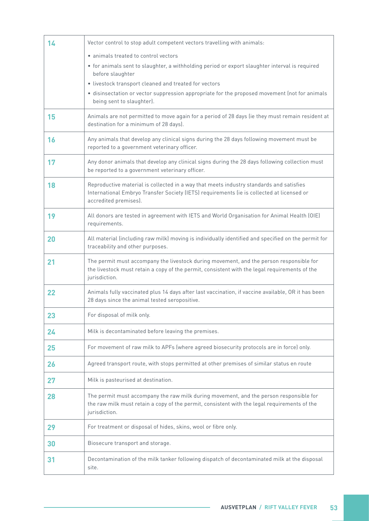| 14        | Vector control to stop adult competent vectors travelling with animals:                                                                                                                                       |
|-----------|---------------------------------------------------------------------------------------------------------------------------------------------------------------------------------------------------------------|
|           | · animals treated to control vectors                                                                                                                                                                          |
|           | • for animals sent to slaughter, a withholding period or export slaughter interval is required<br>before slaughter                                                                                            |
|           | . livestock transport cleaned and treated for vectors                                                                                                                                                         |
|           | · disinsectation or vector suppression appropriate for the proposed movement (not for animals<br>being sent to slaughter).                                                                                    |
| 15        | Animals are not permitted to move again for a period of 28 days (ie they must remain resident at<br>destination for a minimum of 28 days).                                                                    |
| 16        | Any animals that develop any clinical signs during the 28 days following movement must be<br>reported to a government veterinary officer.                                                                     |
| 17        | Any donor animals that develop any clinical signs during the 28 days following collection must<br>be reported to a government veterinary officer.                                                             |
| <b>18</b> | Reproductive material is collected in a way that meets industry standards and satisfies<br>International Embryo Transfer Society (IETS) requirements (ie is collected at licensed or<br>accredited premises). |
| 19        | All donors are tested in agreement with IETS and World Organisation for Animal Health (OIE)<br>requirements.                                                                                                  |
| 20        | All material (including raw milk) moving is individually identified and specified on the permit for<br>traceability and other purposes.                                                                       |
| 21        | The permit must accompany the livestock during movement, and the person responsible for<br>the livestock must retain a copy of the permit, consistent with the legal requirements of the<br>jurisdiction.     |
| 22        | Animals fully vaccinated plus 14 days after last vaccination, if vaccine available, OR it has been<br>28 days since the animal tested seropositive.                                                           |
| 23        | For disposal of milk only.                                                                                                                                                                                    |
| 24        | Milk is decontaminated before leaving the premises.                                                                                                                                                           |
| 25        | For movement of raw milk to APFs (where agreed biosecurity protocols are in force) only.                                                                                                                      |
| 26        | Agreed transport route, with stops permitted at other premises of similar status en route                                                                                                                     |
| 27        | Milk is pasteurised at destination.                                                                                                                                                                           |
| 28        | The permit must accompany the raw milk during movement, and the person responsible for<br>the raw milk must retain a copy of the permit, consistent with the legal requirements of the<br>jurisdiction.       |
| 29        | For treatment or disposal of hides, skins, wool or fibre only.                                                                                                                                                |
| 30        | Biosecure transport and storage.                                                                                                                                                                              |
| 31        | Decontamination of the milk tanker following dispatch of decontaminated milk at the disposal<br>site.                                                                                                         |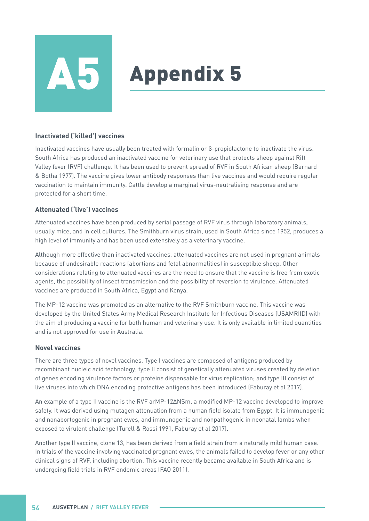# **Appendix 5**

#### **Inactivated ('killed') vaccines**

Inactivated vaccines have usually been treated with formalin or β-propiolactone to inactivate the virus. South Africa has produced an inactivated vaccine for veterinary use that protects sheep against Rift Valley fever (RVF) challenge. It has been used to prevent spread of RVF in South African sheep (Barnard & Botha 1977). The vaccine gives lower antibody responses than live vaccines and would require regular vaccination to maintain immunity. Cattle develop a marginal virus-neutralising response and are protected for a short time.

#### **Attenuated ('live') vaccines**

Attenuated vaccines have been produced by serial passage of RVF virus through laboratory animals, usually mice, and in cell cultures. The Smithburn virus strain, used in South Africa since 1952, produces a high level of immunity and has been used extensively as a veterinary vaccine.

Although more effective than inactivated vaccines, attenuated vaccines are not used in pregnant animals because of undesirable reactions (abortions and fetal abnormalities) in susceptible sheep. Other considerations relating to attenuated vaccines are the need to ensure that the vaccine is free from exotic agents, the possibility of insect transmission and the possibility of reversion to virulence. Attenuated vaccines are produced in South Africa, Egypt and Kenya.

The MP-12 vaccine was promoted as an alternative to the RVF Smithburn vaccine. This vaccine was developed by the United States Army Medical Research Institute for Infectious Diseases (USAMRIID) with the aim of producing a vaccine for both human and veterinary use. It is only available in limited quantities and is not approved for use in Australia.

#### **Novel vaccines**

There are three types of novel vaccines. Type I vaccines are composed of antigens produced by recombinant nucleic acid technology; type II consist of genetically attenuated viruses created by deletion of genes encoding virulence factors or proteins dispensable for virus replication; and type III consist of live viruses into which DNA encoding protective antigens has been introduced (Faburay et al 2017).

An example of a type II vaccine is the RVF arMP-12ΔNSm, a modified MP-12 vaccine developed to improve safety. It was derived using mutagen attenuation from a human field isolate from Egypt. It is immunogenic and nonabortogenic in pregnant ewes, and immunogenic and nonpathogenic in neonatal lambs when exposed to virulent challenge (Turell & Rossi 1991, Faburay et al 2017).

Another type II vaccine, clone 13, has been derived from a field strain from a naturally mild human case. In trials of the vaccine involving vaccinated pregnant ewes, the animals failed to develop fever or any other clinical signs of RVF, including abortion. This vaccine recently became available in South Africa and is undergoing field trials in RVF endemic areas (FAO 2011).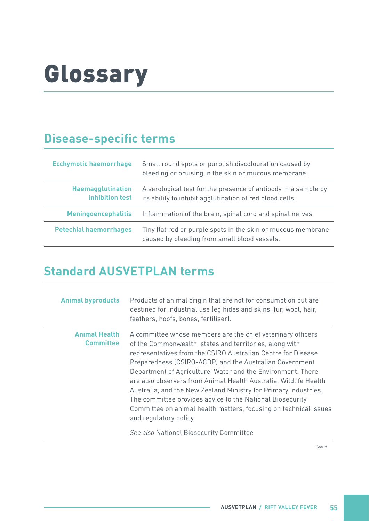# Glossary

# **Disease-specific terms**

| <b>Ecchymotic haemorrhage</b>               | Small round spots or purplish discolouration caused by<br>bleeding or bruising in the skin or mucous membrane.             |
|---------------------------------------------|----------------------------------------------------------------------------------------------------------------------------|
| <b>Haemagglutination</b><br>inhibition test | A serological test for the presence of antibody in a sample by<br>its ability to inhibit agglutination of red blood cells. |
| <b>Meningoencephalitis</b>                  | Inflammation of the brain, spinal cord and spinal nerves.                                                                  |
| <b>Petechial haemorrhages</b>               | Tiny flat red or purple spots in the skin or mucous membrane<br>caused by bleeding from small blood vessels.               |

## **Standard AUSVETPLAN terms**

| <b>Animal byproducts</b>                 | Products of animal origin that are not for consumption but are<br>destined for industrial use (eq hides and skins, fur, wool, hair,<br>feathers, hoofs, bones, fertiliser).                                                                                                                                                                                                                                                                                                                                                                                                                                        |
|------------------------------------------|--------------------------------------------------------------------------------------------------------------------------------------------------------------------------------------------------------------------------------------------------------------------------------------------------------------------------------------------------------------------------------------------------------------------------------------------------------------------------------------------------------------------------------------------------------------------------------------------------------------------|
| <b>Animal Health</b><br><b>Committee</b> | A committee whose members are the chief veterinary officers<br>of the Commonwealth, states and territories, along with<br>representatives from the CSIRO Australian Centre for Disease<br>Preparedness (CSIRO-ACDP) and the Australian Government<br>Department of Agriculture, Water and the Environment. There<br>are also observers from Animal Health Australia, Wildlife Health<br>Australia, and the New Zealand Ministry for Primary Industries.<br>The committee provides advice to the National Biosecurity<br>Committee on animal health matters, focusing on technical issues<br>and regulatory policy. |
|                                          | See also National Biosecurity Committee                                                                                                                                                                                                                                                                                                                                                                                                                                                                                                                                                                            |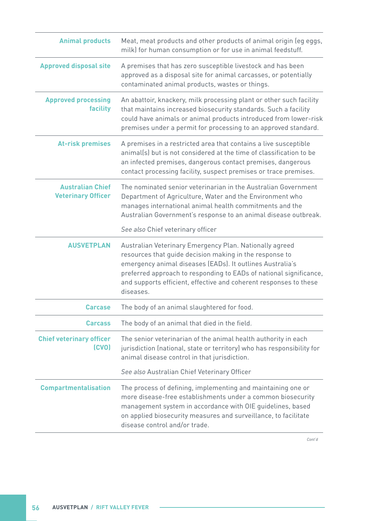| <b>Animal products</b>                               | Meat, meat products and other products of animal origin (eg eggs,<br>milk) for human consumption or for use in animal feedstuff.                                                                                                                                                                                                        |
|------------------------------------------------------|-----------------------------------------------------------------------------------------------------------------------------------------------------------------------------------------------------------------------------------------------------------------------------------------------------------------------------------------|
| <b>Approved disposal site</b>                        | A premises that has zero susceptible livestock and has been<br>approved as a disposal site for animal carcasses, or potentially<br>contaminated animal products, wastes or things.                                                                                                                                                      |
| <b>Approved processing</b><br>facility               | An abattoir, knackery, milk processing plant or other such facility<br>that maintains increased biosecurity standards. Such a facility<br>could have animals or animal products introduced from lower-risk<br>premises under a permit for processing to an approved standard.                                                           |
| <b>At-risk premises</b>                              | A premises in a restricted area that contains a live susceptible<br>animal(s) but is not considered at the time of classification to be<br>an infected premises, dangerous contact premises, dangerous<br>contact processing facility, suspect premises or trace premises.                                                              |
| <b>Australian Chief</b><br><b>Veterinary Officer</b> | The nominated senior veterinarian in the Australian Government<br>Department of Agriculture, Water and the Environment who<br>manages international animal health commitments and the<br>Australian Government's response to an animal disease outbreak.                                                                                |
|                                                      | See also Chief veterinary officer                                                                                                                                                                                                                                                                                                       |
| <b>AUSVETPLAN</b>                                    | Australian Veterinary Emergency Plan. Nationally agreed<br>resources that guide decision making in the response to<br>emergency animal diseases (EADs). It outlines Australia's<br>preferred approach to responding to EADs of national significance,<br>and supports efficient, effective and coherent responses to these<br>diseases. |
| <b>Carcase</b>                                       | The body of an animal slaughtered for food.                                                                                                                                                                                                                                                                                             |
| <b>Carcass</b>                                       | The body of an animal that died in the field.                                                                                                                                                                                                                                                                                           |
| <b>Chief veterinary officer</b><br>(CVO)             | The senior veterinarian of the animal health authority in each<br>jurisdiction (national, state or territory) who has responsibility for<br>animal disease control in that jurisdiction.                                                                                                                                                |
|                                                      | See also Australian Chief Veterinary Officer                                                                                                                                                                                                                                                                                            |
| <b>Compartmentalisation</b>                          | The process of defining, implementing and maintaining one or<br>more disease-free establishments under a common biosecurity<br>management system in accordance with OIE guidelines, based<br>on applied biosecurity measures and surveillance, to facilitate<br>disease control and/or trade.                                           |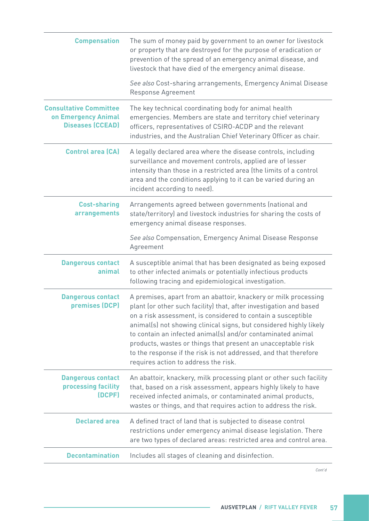| <b>Compensation</b>                                                             | The sum of money paid by government to an owner for livestock<br>or property that are destroyed for the purpose of eradication or<br>prevention of the spread of an emergency animal disease, and<br>livestock that have died of the emergency animal disease.                                                                                                                                                                                                                                                         |
|---------------------------------------------------------------------------------|------------------------------------------------------------------------------------------------------------------------------------------------------------------------------------------------------------------------------------------------------------------------------------------------------------------------------------------------------------------------------------------------------------------------------------------------------------------------------------------------------------------------|
|                                                                                 | See also Cost-sharing arrangements, Emergency Animal Disease<br>Response Agreement                                                                                                                                                                                                                                                                                                                                                                                                                                     |
| <b>Consultative Committee</b><br>on Emergency Animal<br><b>Diseases (CCEAD)</b> | The key technical coordinating body for animal health<br>emergencies. Members are state and territory chief veterinary<br>officers, representatives of CSIRO-ACDP and the relevant<br>industries, and the Australian Chief Veterinary Officer as chair.                                                                                                                                                                                                                                                                |
| <b>Control area (CA)</b>                                                        | A legally declared area where the disease controls, including<br>surveillance and movement controls, applied are of lesser<br>intensity than those in a restricted area (the limits of a control<br>area and the conditions applying to it can be varied during an<br>incident according to need).                                                                                                                                                                                                                     |
| <b>Cost-sharing</b><br>arrangements                                             | Arrangements agreed between governments (national and<br>state/territory) and livestock industries for sharing the costs of<br>emergency animal disease responses.                                                                                                                                                                                                                                                                                                                                                     |
|                                                                                 | See also Compensation, Emergency Animal Disease Response<br>Agreement                                                                                                                                                                                                                                                                                                                                                                                                                                                  |
| <b>Dangerous contact</b><br>animal                                              | A susceptible animal that has been designated as being exposed<br>to other infected animals or potentially infectious products<br>following tracing and epidemiological investigation.                                                                                                                                                                                                                                                                                                                                 |
| <b>Dangerous contact</b><br>premises (DCP)                                      | A premises, apart from an abattoir, knackery or milk processing<br>plant (or other such facility) that, after investigation and based<br>on a risk assessment, is considered to contain a susceptible<br>animal(s) not showing clinical signs, but considered highly likely<br>to contain an infected animal(s) and/or contaminated animal<br>products, wastes or things that present an unacceptable risk<br>to the response if the risk is not addressed, and that therefore<br>requires action to address the risk. |
| <b>Dangerous contact</b><br>processing facility<br>(DCPF)                       | An abattoir, knackery, milk processing plant or other such facility<br>that, based on a risk assessment, appears highly likely to have<br>received infected animals, or contaminated animal products,<br>wastes or things, and that requires action to address the risk.                                                                                                                                                                                                                                               |
| <b>Declared area</b>                                                            | A defined tract of land that is subjected to disease control<br>restrictions under emergency animal disease legislation. There<br>are two types of declared areas: restricted area and control area.                                                                                                                                                                                                                                                                                                                   |
| <b>Decontamination</b>                                                          | Includes all stages of cleaning and disinfection.                                                                                                                                                                                                                                                                                                                                                                                                                                                                      |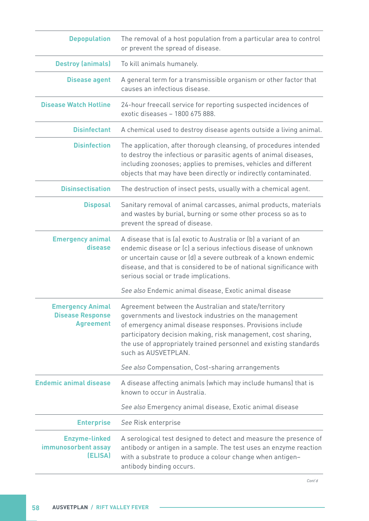| <b>Depopulation</b>                                                    | The removal of a host population from a particular area to control<br>or prevent the spread of disease.                                                                                                                                                                                                                                  |
|------------------------------------------------------------------------|------------------------------------------------------------------------------------------------------------------------------------------------------------------------------------------------------------------------------------------------------------------------------------------------------------------------------------------|
| <b>Destroy (animals)</b>                                               | To kill animals humanely.                                                                                                                                                                                                                                                                                                                |
| <b>Disease agent</b>                                                   | A general term for a transmissible organism or other factor that<br>causes an infectious disease.                                                                                                                                                                                                                                        |
| <b>Disease Watch Hotline</b>                                           | 24-hour freecall service for reporting suspected incidences of<br>exotic diseases - 1800 675 888.                                                                                                                                                                                                                                        |
| <b>Disinfectant</b>                                                    | A chemical used to destroy disease agents outside a living animal.                                                                                                                                                                                                                                                                       |
| <b>Disinfection</b>                                                    | The application, after thorough cleansing, of procedures intended<br>to destroy the infectious or parasitic agents of animal diseases,<br>including zoonoses; applies to premises, vehicles and different<br>objects that may have been directly or indirectly contaminated.                                                             |
| <b>Disinsectisation</b>                                                | The destruction of insect pests, usually with a chemical agent.                                                                                                                                                                                                                                                                          |
| <b>Disposal</b>                                                        | Sanitary removal of animal carcasses, animal products, materials<br>and wastes by burial, burning or some other process so as to<br>prevent the spread of disease.                                                                                                                                                                       |
| <b>Emergency animal</b><br>disease                                     | A disease that is (a) exotic to Australia or (b) a variant of an<br>endemic disease or (c) a serious infectious disease of unknown<br>or uncertain cause or (d) a severe outbreak of a known endemic<br>disease, and that is considered to be of national significance with<br>serious social or trade implications.                     |
|                                                                        | See also Endemic animal disease, Exotic animal disease                                                                                                                                                                                                                                                                                   |
| <b>Emergency Animal</b><br><b>Disease Response</b><br><b>Agreement</b> | Agreement between the Australian and state/territory<br>governments and livestock industries on the management<br>of emergency animal disease responses. Provisions include<br>participatory decision making, risk management, cost sharing,<br>the use of appropriately trained personnel and existing standards<br>such as AUSVETPLAN. |
|                                                                        | See also Compensation, Cost-sharing arrangements                                                                                                                                                                                                                                                                                         |
| <b>Endemic animal disease</b>                                          | A disease affecting animals (which may include humans) that is<br>known to occur in Australia.                                                                                                                                                                                                                                           |
|                                                                        | See also Emergency animal disease, Exotic animal disease                                                                                                                                                                                                                                                                                 |
| <b>Enterprise</b>                                                      | See Risk enterprise                                                                                                                                                                                                                                                                                                                      |
| <b>Enzyme-linked</b><br>immunosorbent assay<br>(ELISA)                 | A serological test designed to detect and measure the presence of<br>antibody or antigen in a sample. The test uses an enzyme reaction<br>with a substrate to produce a colour change when antigen-<br>antibody binding occurs.                                                                                                          |

à,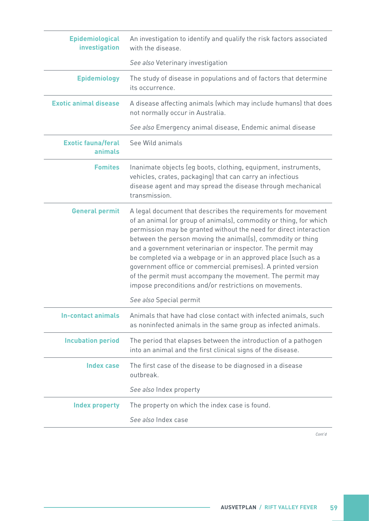| <b>Epidemiological</b><br>investigation | An investigation to identify and qualify the risk factors associated<br>with the disease.                                                                                                                                                                                                                                                                                                                                                                                                                                                                                                    |
|-----------------------------------------|----------------------------------------------------------------------------------------------------------------------------------------------------------------------------------------------------------------------------------------------------------------------------------------------------------------------------------------------------------------------------------------------------------------------------------------------------------------------------------------------------------------------------------------------------------------------------------------------|
|                                         | See also Veterinary investigation                                                                                                                                                                                                                                                                                                                                                                                                                                                                                                                                                            |
| <b>Epidemiology</b>                     | The study of disease in populations and of factors that determine<br>its occurrence.                                                                                                                                                                                                                                                                                                                                                                                                                                                                                                         |
| <b>Exotic animal disease</b>            | A disease affecting animals (which may include humans) that does<br>not normally occur in Australia.                                                                                                                                                                                                                                                                                                                                                                                                                                                                                         |
|                                         | See also Emergency animal disease, Endemic animal disease                                                                                                                                                                                                                                                                                                                                                                                                                                                                                                                                    |
| <b>Exotic fauna/feral</b><br>animals    | See Wild animals                                                                                                                                                                                                                                                                                                                                                                                                                                                                                                                                                                             |
| <b>Fomites</b>                          | Inanimate objects (eg boots, clothing, equipment, instruments,<br>vehicles, crates, packaging) that can carry an infectious<br>disease agent and may spread the disease through mechanical<br>transmission.                                                                                                                                                                                                                                                                                                                                                                                  |
| <b>General permit</b>                   | A legal document that describes the requirements for movement<br>of an animal (or group of animals), commodity or thing, for which<br>permission may be granted without the need for direct interaction<br>between the person moving the animal(s), commodity or thing<br>and a government veterinarian or inspector. The permit may<br>be completed via a webpage or in an approved place (such as a<br>government office or commercial premises). A printed version<br>of the permit must accompany the movement. The permit may<br>impose preconditions and/or restrictions on movements. |
|                                         | See also Special permit                                                                                                                                                                                                                                                                                                                                                                                                                                                                                                                                                                      |
| <b>In-contact animals</b>               | Animals that have had close contact with infected animals, such<br>as noninfected animals in the same group as infected animals.                                                                                                                                                                                                                                                                                                                                                                                                                                                             |
| <b>Incubation period</b>                | The period that elapses between the introduction of a pathogen<br>into an animal and the first clinical signs of the disease.                                                                                                                                                                                                                                                                                                                                                                                                                                                                |
| <b>Index case</b>                       | The first case of the disease to be diagnosed in a disease<br>outbreak.                                                                                                                                                                                                                                                                                                                                                                                                                                                                                                                      |
|                                         | See also Index property                                                                                                                                                                                                                                                                                                                                                                                                                                                                                                                                                                      |
| <b>Index property</b>                   | The property on which the index case is found.                                                                                                                                                                                                                                                                                                                                                                                                                                                                                                                                               |
|                                         | See also Index case                                                                                                                                                                                                                                                                                                                                                                                                                                                                                                                                                                          |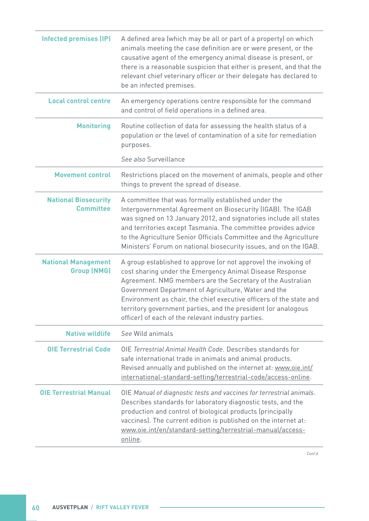| <b>Infected premises (IP)</b>                    | A defined area (which may be all or part of a property) on which<br>animals meeting the case definition are or were present, or the<br>causative agent of the emergency animal disease is present, or<br>there is a reasonable suspicion that either is present, and that the<br>relevant chief veterinary officer or their delegate has declared to<br>be an infected premises.                                                               |
|--------------------------------------------------|------------------------------------------------------------------------------------------------------------------------------------------------------------------------------------------------------------------------------------------------------------------------------------------------------------------------------------------------------------------------------------------------------------------------------------------------|
| <b>Local control centre</b>                      | An emergency operations centre responsible for the command<br>and control of field operations in a defined area.                                                                                                                                                                                                                                                                                                                               |
| <b>Monitoring</b>                                | Routine collection of data for assessing the health status of a<br>population or the level of contamination of a site for remediation<br>purposes.                                                                                                                                                                                                                                                                                             |
|                                                  | See also Surveillance                                                                                                                                                                                                                                                                                                                                                                                                                          |
| <b>Movement control</b>                          | Restrictions placed on the movement of animals, people and other<br>things to prevent the spread of disease.                                                                                                                                                                                                                                                                                                                                   |
| <b>National Biosecurity</b><br><b>Committee</b>  | A committee that was formally established under the<br>Intergovernmental Agreement on Biosecurity (IGAB). The IGAB<br>was signed on 13 January 2012, and signatories include all states<br>and territories except Tasmania. The committee provides advice<br>to the Agriculture Senior Officials Committee and the Agriculture<br>Ministers' Forum on national biosecurity issues, and on the IGAB.                                            |
| <b>National Management</b><br><b>Group (NMG)</b> | A group established to approve (or not approve) the invoking of<br>cost sharing under the Emergency Animal Disease Response<br>Agreement. NMG members are the Secretary of the Australian<br>Government Department of Agriculture, Water and the<br>Environment as chair, the chief executive officers of the state and<br>territory government parties, and the president (or analogous<br>officer) of each of the relevant industry parties. |
| <b>Native wildlife</b>                           | See Wild animals                                                                                                                                                                                                                                                                                                                                                                                                                               |
| <b>OIE Terrestrial Code</b>                      | OIE Terrestrial Animal Health Code, Describes standards for<br>safe international trade in animals and animal products.<br>Revised annually and published on the internet at: www.oie.int/<br>international-standard-setting/terrestrial-code/access-online.                                                                                                                                                                                   |
| <b>OIE Terrestrial Manual</b>                    | OIE Manual of diagnostic tests and vaccines for terrestrial animals.<br>Describes standards for laboratory diagnostic tests, and the<br>production and control of biological products (principally<br>vaccines). The current edition is published on the internet at:<br>www.oie.int/en/standard-setting/terrestrial-manual/access-<br>online.                                                                                                 |

à,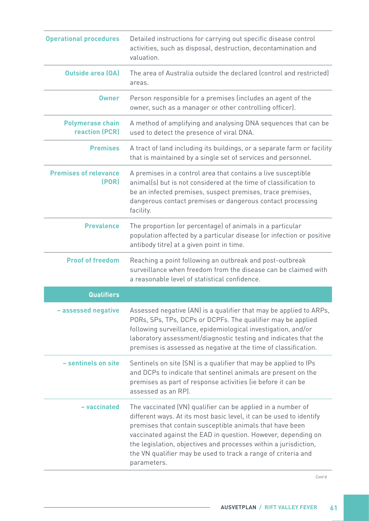| <b>Operational procedures</b>                    | Detailed instructions for carrying out specific disease control<br>activities, such as disposal, destruction, decontamination and<br>valuation.                                                                                                                                                                                                                                                                     |
|--------------------------------------------------|---------------------------------------------------------------------------------------------------------------------------------------------------------------------------------------------------------------------------------------------------------------------------------------------------------------------------------------------------------------------------------------------------------------------|
| <b>Outside area (OA)</b>                         | The area of Australia outside the declared (control and restricted)<br>areas.                                                                                                                                                                                                                                                                                                                                       |
| <b>Owner</b>                                     | Person responsible for a premises (includes an agent of the<br>owner, such as a manager or other controlling officer).                                                                                                                                                                                                                                                                                              |
| <b>Polymerase chain</b><br><b>reaction (PCR)</b> | A method of amplifying and analysing DNA sequences that can be<br>used to detect the presence of viral DNA.                                                                                                                                                                                                                                                                                                         |
| <b>Premises</b>                                  | A tract of land including its buildings, or a separate farm or facility<br>that is maintained by a single set of services and personnel.                                                                                                                                                                                                                                                                            |
| <b>Premises of relevance</b><br>(POR)            | A premises in a control area that contains a live susceptible<br>animal(s) but is not considered at the time of classification to<br>be an infected premises, suspect premises, trace premises,<br>dangerous contact premises or dangerous contact processing<br>facility.                                                                                                                                          |
| <b>Prevalence</b>                                | The proportion (or percentage) of animals in a particular<br>population affected by a particular disease (or infection or positive<br>antibody titre) at a given point in time.                                                                                                                                                                                                                                     |
| <b>Proof of freedom</b>                          | Reaching a point following an outbreak and post-outbreak<br>surveillance when freedom from the disease can be claimed with<br>a reasonable level of statistical confidence.                                                                                                                                                                                                                                         |
| <b>Qualifiers</b>                                |                                                                                                                                                                                                                                                                                                                                                                                                                     |
| - assessed negative                              | Assessed negative (AN) is a qualifier that may be applied to ARPs,<br>PORs, SPs, TPs, DCPs or DCPFs. The qualifier may be applied<br>following surveillance, epidemiological investigation, and/or<br>laboratory assessment/diagnostic testing and indicates that the<br>premises is assessed as negative at the time of classification.                                                                            |
| - sentinels on site                              | Sentinels on site (SN) is a qualifier that may be applied to IPs<br>and DCPs to indicate that sentinel animals are present on the<br>premises as part of response activities (ie before it can be<br>assessed as an RP).                                                                                                                                                                                            |
| - vaccinated                                     | The vaccinated (VN) qualifier can be applied in a number of<br>different ways. At its most basic level, it can be used to identify<br>premises that contain susceptible animals that have been<br>vaccinated against the EAD in question. However, depending on<br>the legislation, objectives and processes within a jurisdiction,<br>the VN qualifier may be used to track a range of criteria and<br>parameters. |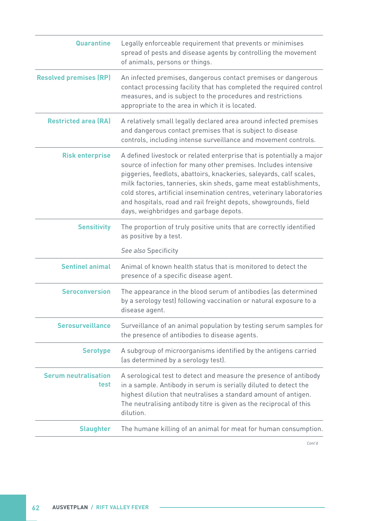| <b>Quarantine</b>                   | Legally enforceable requirement that prevents or minimises<br>spread of pests and disease agents by controlling the movement<br>of animals, persons or things.                                                                                                                                                                                                                                                                                                            |
|-------------------------------------|---------------------------------------------------------------------------------------------------------------------------------------------------------------------------------------------------------------------------------------------------------------------------------------------------------------------------------------------------------------------------------------------------------------------------------------------------------------------------|
| <b>Resolved premises (RP)</b>       | An infected premises, dangerous contact premises or dangerous<br>contact processing facility that has completed the required control<br>measures, and is subject to the procedures and restrictions<br>appropriate to the area in which it is located.                                                                                                                                                                                                                    |
| <b>Restricted area (RA)</b>         | A relatively small legally declared area around infected premises<br>and dangerous contact premises that is subject to disease<br>controls, including intense surveillance and movement controls.                                                                                                                                                                                                                                                                         |
| <b>Risk enterprise</b>              | A defined livestock or related enterprise that is potentially a major<br>source of infection for many other premises. Includes intensive<br>piggeries, feedlots, abattoirs, knackeries, saleyards, calf scales,<br>milk factories, tanneries, skin sheds, game meat establishments,<br>cold stores, artificial insemination centres, veterinary laboratories<br>and hospitals, road and rail freight depots, showgrounds, field<br>days, weighbridges and garbage depots. |
| <b>Sensitivity</b>                  | The proportion of truly positive units that are correctly identified<br>as positive by a test.<br>See also Specificity                                                                                                                                                                                                                                                                                                                                                    |
| <b>Sentinel animal</b>              | Animal of known health status that is monitored to detect the<br>presence of a specific disease agent.                                                                                                                                                                                                                                                                                                                                                                    |
| <b>Seroconversion</b>               | The appearance in the blood serum of antibodies (as determined<br>by a serology test) following vaccination or natural exposure to a<br>disease agent.                                                                                                                                                                                                                                                                                                                    |
| <b>Serosurveillance</b>             | Surveillance of an animal population by testing serum samples for<br>the presence of antibodies to disease agents.                                                                                                                                                                                                                                                                                                                                                        |
| <b>Serotype</b>                     | A subgroup of microorganisms identified by the antigens carried<br>(as determined by a serology test).                                                                                                                                                                                                                                                                                                                                                                    |
| <b>Serum neutralisation</b><br>test | A serological test to detect and measure the presence of antibody<br>in a sample. Antibody in serum is serially diluted to detect the<br>highest dilution that neutralises a standard amount of antigen.<br>The neutralising antibody titre is given as the reciprocal of this<br>dilution.                                                                                                                                                                               |
| <b>Slaughter</b>                    | The humane killing of an animal for meat for human consumption.                                                                                                                                                                                                                                                                                                                                                                                                           |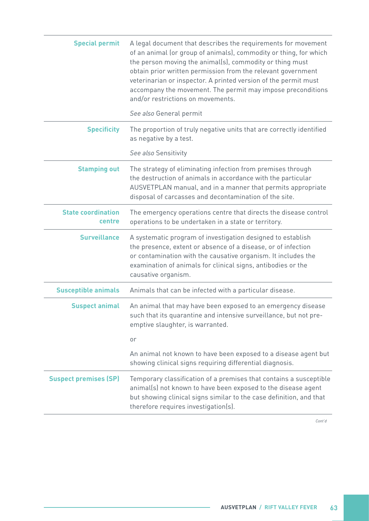| <b>Special permit</b>               | A legal document that describes the requirements for movement<br>of an animal (or group of animals), commodity or thing, for which<br>the person moving the animal(s), commodity or thing must<br>obtain prior written permission from the relevant government<br>veterinarian or inspector. A printed version of the permit must<br>accompany the movement. The permit may impose preconditions<br>and/or restrictions on movements. |
|-------------------------------------|---------------------------------------------------------------------------------------------------------------------------------------------------------------------------------------------------------------------------------------------------------------------------------------------------------------------------------------------------------------------------------------------------------------------------------------|
|                                     | See also General permit                                                                                                                                                                                                                                                                                                                                                                                                               |
| <b>Specificity</b>                  | The proportion of truly negative units that are correctly identified<br>as negative by a test.                                                                                                                                                                                                                                                                                                                                        |
|                                     | See also Sensitivity                                                                                                                                                                                                                                                                                                                                                                                                                  |
| <b>Stamping out</b>                 | The strategy of eliminating infection from premises through<br>the destruction of animals in accordance with the particular<br>AUSVETPLAN manual, and in a manner that permits appropriate<br>disposal of carcasses and decontamination of the site.                                                                                                                                                                                  |
| <b>State coordination</b><br>centre | The emergency operations centre that directs the disease control<br>operations to be undertaken in a state or territory.                                                                                                                                                                                                                                                                                                              |
| <b>Surveillance</b>                 | A systematic program of investigation designed to establish<br>the presence, extent or absence of a disease, or of infection<br>or contamination with the causative organism. It includes the<br>examination of animals for clinical signs, antibodies or the<br>causative organism.                                                                                                                                                  |
| <b>Susceptible animals</b>          | Animals that can be infected with a particular disease.                                                                                                                                                                                                                                                                                                                                                                               |
| <b>Suspect animal</b>               | An animal that may have been exposed to an emergency disease<br>such that its quarantine and intensive surveillance, but not pre-<br>emptive slaughter, is warranted.                                                                                                                                                                                                                                                                 |
|                                     | or                                                                                                                                                                                                                                                                                                                                                                                                                                    |
|                                     | An animal not known to have been exposed to a disease agent but<br>showing clinical signs requiring differential diagnosis.                                                                                                                                                                                                                                                                                                           |
| <b>Suspect premises (SP)</b>        | Temporary classification of a premises that contains a susceptible<br>animal(s) not known to have been exposed to the disease agent<br>but showing clinical signs similar to the case definition, and that<br>therefore requires investigation(s).                                                                                                                                                                                    |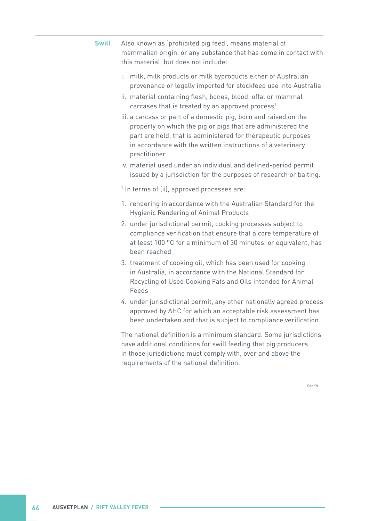| <b>Swill</b> | Also known as 'prohibited pig feed', means material of<br>mammalian origin, or any substance that has come in contact with<br>this material, but does not include:                                                                                                              |
|--------------|---------------------------------------------------------------------------------------------------------------------------------------------------------------------------------------------------------------------------------------------------------------------------------|
|              | milk, milk products or milk byproducts either of Australian<br>i.<br>provenance or legally imported for stockfeed use into Australia                                                                                                                                            |
|              | ii. material containing flesh, bones, blood, offal or mammal<br>carcases that is treated by an approved process <sup>1</sup>                                                                                                                                                    |
|              | iii. a carcass or part of a domestic pig, born and raised on the<br>property on which the pig or pigs that are administered the<br>part are held, that is administered for therapeutic purposes<br>in accordance with the written instructions of a veterinary<br>practitioner. |
|              | iv. material used under an individual and defined-period permit<br>issued by a jurisdiction for the purposes of research or baiting.                                                                                                                                            |
|              | <sup>1</sup> In terms of (ii), approved processes are:                                                                                                                                                                                                                          |
|              | 1. rendering in accordance with the Australian Standard for the<br><b>Hygienic Rendering of Animal Products</b>                                                                                                                                                                 |
|              | 2. under jurisdictional permit, cooking processes subject to<br>compliance verification that ensure that a core temperature of<br>at least 100 °C for a minimum of 30 minutes, or equivalent, has<br>been reached                                                               |
|              | 3. treatment of cooking oil, which has been used for cooking<br>in Australia, in accordance with the National Standard for<br>Recycling of Used Cooking Fats and Oils Intended for Animal<br>Feeds                                                                              |
|              | 4. under jurisdictional permit, any other nationally agreed process<br>approved by AHC for which an acceptable risk assessment has<br>been undertaken and that is subject to compliance verification.                                                                           |
|              | The national definition is a minimum standard. Some jurisdictions<br>have additional conditions for swill feeding that pig producers<br>in those jurisdictions must comply with, over and above the<br>requirements of the national definition.                                 |
|              | Cont'd                                                                                                                                                                                                                                                                          |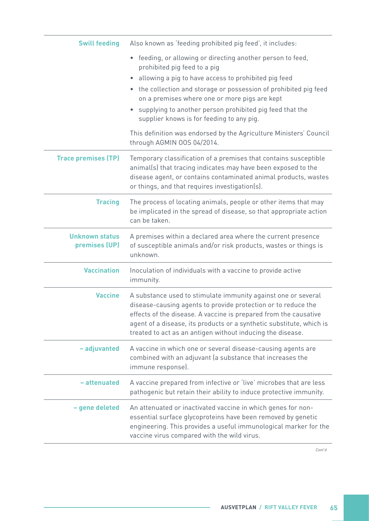| <b>Swill feeding</b>                   | Also known as 'feeding prohibited pig feed', it includes:                                                                                                                                                                                                                                                                                                                                                  |
|----------------------------------------|------------------------------------------------------------------------------------------------------------------------------------------------------------------------------------------------------------------------------------------------------------------------------------------------------------------------------------------------------------------------------------------------------------|
|                                        | feeding, or allowing or directing another person to feed,<br>$\bullet$<br>prohibited pig feed to a pig<br>allowing a pig to have access to prohibited pig feed<br>• the collection and storage or possession of prohibited pig feed<br>on a premises where one or more pigs are kept<br>supplying to another person prohibited pig feed that the<br>$\bullet$<br>supplier knows is for feeding to any pig. |
|                                        | This definition was endorsed by the Agriculture Ministers' Council<br>through AGMIN 00S 04/2014.                                                                                                                                                                                                                                                                                                           |
| <b>Trace premises (TP)</b>             | Temporary classification of a premises that contains susceptible<br>animal(s) that tracing indicates may have been exposed to the<br>disease agent, or contains contaminated animal products, wastes<br>or things, and that requires investigation(s).                                                                                                                                                     |
| <b>Tracing</b>                         | The process of locating animals, people or other items that may<br>be implicated in the spread of disease, so that appropriate action<br>can be taken.                                                                                                                                                                                                                                                     |
| <b>Unknown status</b><br>premises (UP) | A premises within a declared area where the current presence<br>of susceptible animals and/or risk products, wastes or things is<br>unknown.                                                                                                                                                                                                                                                               |
| <b>Vaccination</b>                     | Inoculation of individuals with a vaccine to provide active<br>immunity.                                                                                                                                                                                                                                                                                                                                   |
| <b>Vaccine</b>                         | A substance used to stimulate immunity against one or several<br>disease-causing agents to provide protection or to reduce the<br>effects of the disease. A vaccine is prepared from the causative<br>agent of a disease, its products or a synthetic substitute, which is<br>treated to act as an antigen without inducing the disease.                                                                   |
| - adjuvanted                           | A vaccine in which one or several disease-causing agents are<br>combined with an adjuvant (a substance that increases the<br>immune response).                                                                                                                                                                                                                                                             |
| - attenuated                           | A vaccine prepared from infective or 'live' microbes that are less<br>pathogenic but retain their ability to induce protective immunity.                                                                                                                                                                                                                                                                   |
| - gene deleted                         | An attenuated or inactivated vaccine in which genes for non-<br>essential surface glycoproteins have been removed by genetic<br>engineering. This provides a useful immunological marker for the<br>vaccine virus compared with the wild virus.                                                                                                                                                            |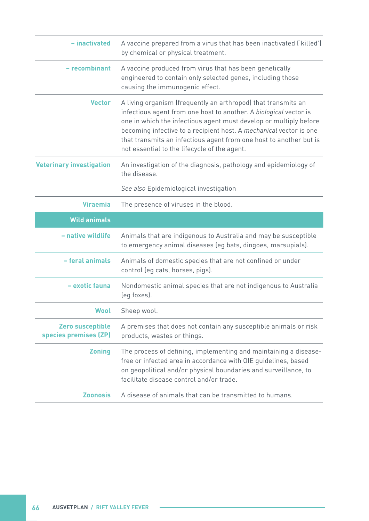| - inactivated                             | A vaccine prepared from a virus that has been inactivated ('killed')<br>by chemical or physical treatment.                                                                                                                                                                                                                                                                                          |
|-------------------------------------------|-----------------------------------------------------------------------------------------------------------------------------------------------------------------------------------------------------------------------------------------------------------------------------------------------------------------------------------------------------------------------------------------------------|
| - recombinant                             | A vaccine produced from virus that has been genetically<br>engineered to contain only selected genes, including those<br>causing the immunogenic effect.                                                                                                                                                                                                                                            |
| <b>Vector</b>                             | A living organism (frequently an arthropod) that transmits an<br>infectious agent from one host to another. A biological vector is<br>one in which the infectious agent must develop or multiply before<br>becoming infective to a recipient host. A mechanical vector is one<br>that transmits an infectious agent from one host to another but is<br>not essential to the lifecycle of the agent. |
| <b>Veterinary investigation</b>           | An investigation of the diagnosis, pathology and epidemiology of<br>the disease.                                                                                                                                                                                                                                                                                                                    |
|                                           | See also Epidemiological investigation                                                                                                                                                                                                                                                                                                                                                              |
| <b>Viraemia</b>                           | The presence of viruses in the blood.                                                                                                                                                                                                                                                                                                                                                               |
| <b>Wild animals</b>                       |                                                                                                                                                                                                                                                                                                                                                                                                     |
| - native wildlife                         | Animals that are indigenous to Australia and may be susceptible<br>to emergency animal diseases (eg bats, dingoes, marsupials).                                                                                                                                                                                                                                                                     |
| - feral animals                           | Animals of domestic species that are not confined or under<br>control (eg cats, horses, pigs).                                                                                                                                                                                                                                                                                                      |
| - exotic fauna                            | Nondomestic animal species that are not indigenous to Australia<br>(eg foxes).                                                                                                                                                                                                                                                                                                                      |
| Wool                                      | Sheep wool.                                                                                                                                                                                                                                                                                                                                                                                         |
| Zero susceptible<br>species premises (ZP) | A premises that does not contain any susceptible animals or risk<br>products, wastes or things.                                                                                                                                                                                                                                                                                                     |
| <b>Zoning</b>                             | The process of defining, implementing and maintaining a disease-<br>free or infected area in accordance with OIE guidelines, based<br>on geopolitical and/or physical boundaries and surveillance, to<br>facilitate disease control and/or trade.                                                                                                                                                   |
| <b>Zoonosis</b>                           | A disease of animals that can be transmitted to humans.                                                                                                                                                                                                                                                                                                                                             |

ř.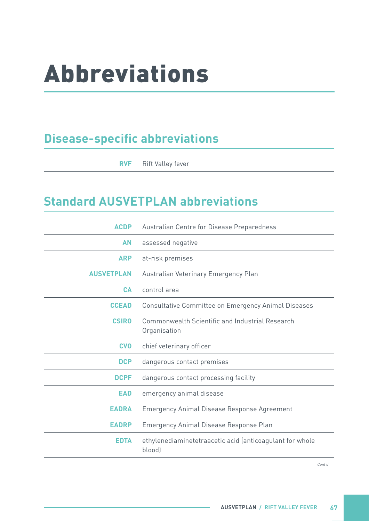## Abbreviations

## **Disease-specific abbreviations**

**RVF** Rift Valley fever

## **Standard AUSVETPLAN abbreviations**

| <b>ACDP</b>       | Australian Centre for Disease Preparedness                         |
|-------------------|--------------------------------------------------------------------|
| <b>AN</b>         | assessed negative                                                  |
| <b>ARP</b>        | at-risk premises                                                   |
| <b>AUSVETPLAN</b> | Australian Veterinary Emergency Plan                               |
| <b>CA</b>         | control area                                                       |
| <b>CCEAD</b>      | Consultative Committee on Emergency Animal Diseases                |
| <b>CSIRO</b>      | Commonwealth Scientific and Industrial Research<br>Organisation    |
| <b>CVO</b>        | chief veterinary officer                                           |
| <b>DCP</b>        | dangerous contact premises                                         |
| <b>DCPF</b>       | dangerous contact processing facility                              |
| <b>EAD</b>        | emergency animal disease                                           |
| <b>EADRA</b>      | <b>Emergency Animal Disease Response Agreement</b>                 |
| <b>EADRP</b>      | Emergency Animal Disease Response Plan                             |
| <b>EDTA</b>       | ethylenediaminetetraacetic acid (anticoagulant for whole<br>blood) |

*Cont'd*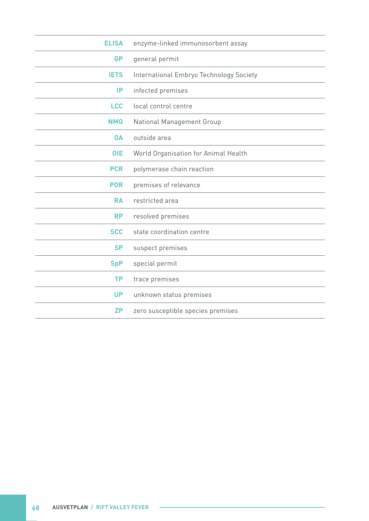| <b>ELISA</b> | enzyme-linked immunosorbent assay       |
|--------------|-----------------------------------------|
| <b>GP</b>    | general permit                          |
| <b>IETS</b>  | International Embryo Technology Society |
| IP           | infected premises                       |
| <b>LCC</b>   | local control centre                    |
| <b>NMG</b>   | National Management Group               |
| <b>OA</b>    | outside area                            |
| <b>OIE</b>   | World Organisation for Animal Health    |
| <b>PCR</b>   | polymerase chain reaction               |
| <b>POR</b>   | premises of relevance                   |
| <b>RA</b>    | restricted area                         |
| <b>RP</b>    | resolved premises                       |
| <b>SCC</b>   | state coordination centre               |
| <b>SP</b>    | suspect premises                        |
| <b>SpP</b>   | special permit                          |
| <b>TP</b>    | trace premises                          |
| <b>UP</b>    | unknown status premises                 |
| <b>ZP</b>    | zero susceptible species premises       |

٠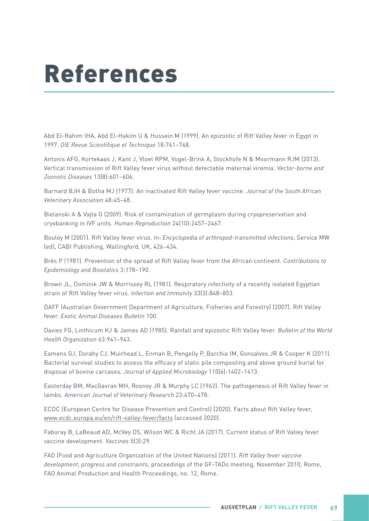## References

Abd El-Rahim IHA, Abd El-Hakim U & Hussein M (1999). An epizootic of Rift Valley fever in Egypt in 1997. OIE Revue Scientifique et Technique 18:741–748.

Antonis AFG, Kortekaas J, Kant J, Vloet RPM, Vogel-Brink A, Stockhofe N & Moormann RJM (2013). Vertical transmission of Rift Valley fever virus without detectable maternal viremia. *Vector-borne and Zoonotic Diseases* 13(8):601–606.

Barnard BJH & Botha MJ (1977). An inactivated Rift Valley fever vaccine. *Journal of the South African Veterinary Association* 48:45–48.

Bielanski A & Vajta G (2009). Risk of contamination of germplasm during cryopreservation and cryobanking in IVF units. *Human Reproduction* 24(10):2457–2467.

Bouloy M (2001). Rift Valley fever virus. In: *Encyclopedia of arthropod-transmitted infections*, Service MW (ed), CABI Publishing, Wallingford, UK, 426–434.

Brès P (1981). Prevention of the spread of Rift Valley fever from the African continent. *Contributions to Epidemiology and Biostatics* 3:178–190.

Brown JL, Dominik JW & Morrissey RL (1981). Respiratory infectivity of a recently isolated Egyptian strain of Rift Valley fever virus. *Infection and Immunity* 33(3):848–853.

DAFF (Australian Government Department of Agriculture, Fisheries and Forestry) (2007). Rift Valley fever. *Exotic Animal Diseases Bulletin* 100.

Davies FG, Linthicum KJ & James AD (1985). Rainfall and epizootic Rift Valley fever. *Bulletin of the World Health Organization* 63:941–943.

Eamens GJ, Dorahy CJ, Muirhead L, Enman B, Pengelly P, Barchia IM, Gonsalves JR & Cooper K (2011). Bacterial survival studies to assess the efficacy of static pile composting and above ground burial for disposal of bovine carcases. *Journal of Applied Microbiology* 110(6):1402–1413.

Easterday BM, MacGavran MH, Rooney JR & Murphy LC (1962). The pathogenesis of Rift Valley fever in lambs. *American Journal of Veterinary Research* 23:470–478.

ECDC (European Centre for Disease Prevention and Control) (2020). Facts about Rift Valley fever, [www.ecdc.europa.eu/en/rift-valley-fever/facts](http://www.ecdc.europa.eu/en/rift-valley-fever/facts) (accessed 2020).

Faburay B, LaBeaud AD, McVey DS, Wilson WC & Richt JA (2017). Current status of Rift Valley fever vaccine development. *Vaccines* 5(3):29.

FAO (Food and Agriculture Organization of the United Nations) (2011). *Rift Valley fever vaccine development, progress and constraints*, proceedings of the GF-TADs meeting, November 2010, Rome, FAO Animal Production and Health Proceedings, no. 12, Rome.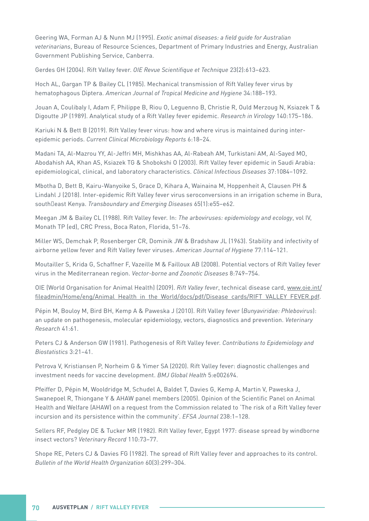Geering WA, Forman AJ & Nunn MJ (1995). Exotic animal diseases: a field guide for Australian *veterinarians*, Bureau of Resource Sciences, Department of Primary Industries and Energy, Australian Government Publishing Service, Canberra.

Gerdes GH (2004). Rift Valley fever. OIE Revue Scientifique et Technique 23(2):613–623.

Hoch AL, Gargan TP & Bailey CL (1985). Mechanical transmission of Rift Valley fever virus by hematophagous Diptera. *American Journal of Tropical Medicine and Hygiene* 34:188–193.

Jouan A, Coulibaly I, Adam F, Philippe B, Riou O, Leguenno B, Christie R, Ould Merzoug N, Ksiazek T & Digoutte JP (1989). Analytical study of a Rift Valley fever epidemic. *Research in Virology* 140:175–186.

Kariuki N & Bett B (2019). Rift Valley fever virus: how and where virus is maintained during interepidemic periods. *Current Clinical Microbiology Reports* 6:18–24.

Madani TA, Al-Mazrou YY, Al-Jeffri MH, Mishkhas AA, Al-Rabeah AM, Turkistani AM, Al-Sayed MO, Abodahish AA, Khan AS, Ksiazek TG & Shobokshi O (2003). Rift Valley fever epidemic in Saudi Arabia: epidemiological, clinical, and laboratory characteristics. *Clinical Infectious Diseases* 37:1084–1092.

Mbotha D, Bett B, Kairu-Wanyoike S, Grace D, Kihara A, Wainaina M, Hoppenheit A, Clausen PH & Lindahl J (2018). Inter-epidemic Rift Valley fever virus seroconversions in an irrigation scheme in Bura, south Deast Kenya. *Transboundary and Emerging Diseases* 65(1):e55-e62.

Meegan JM & Bailey CL (1988). Rift Valley fever. In: *The arboviruses: epidemiology and ecology*, vol IV, Monath TP (ed), CRC Press, Boca Raton, Florida, 51–76.

Miller WS, Demchak P, Rosenberger CR, Dominik JW & Bradshaw JL (1963). Stability and infectivity of airborne yellow fever and Rift Valley fever viruses. *American Journal of Hygiene* 77:114–121.

Moutailler S, Krida G, Schaffner F, Vazeille M & Failloux AB (2008). Potential vectors of Rift Valley fever virus in the Mediterranean region. *Vector-borne and Zoonotic Diseases* 8:749–754.

OIE (World Organisation for Animal Health) (2009). *Rift Valley fever*, technical disease card, [www.oie.int/](http://www.oie.int/fileadmin/Home/eng/Animal_Health_in_the_World/docs/pdf/Disease_cards/RIFT_VALLEY_FEVER.pdf) [fileadmin/Home/eng/Animal\\_Health\\_in\\_the\\_World/docs/pdf/Disease\\_cards/RIFT\\_VALLEY\\_FEVER.pdf](http://www.oie.int/fileadmin/Home/eng/Animal_Health_in_the_World/docs/pdf/Disease_cards/RIFT_VALLEY_FEVER.pdf).

Pépin M, Bouloy M, Bird BH, Kemp A & Paweska J (2010). Rift Valley fever (*Bunyaviridae: Phlebovirus*): an update on pathogenesis, molecular epidemiology, vectors, diagnostics and prevention. *Veterinary Research* 41:61.

Peters CJ & Anderson GW (1981). Pathogenesis of Rift Valley fever. *Contributions to Epidemiology and Biostatistics* 3:21–41.

Petrova V, Kristiansen P, Norheim G & Yimer SA (2020). Rift Valley fever: diagnostic challenges and investment needs for vaccine development. *BMJ Global Health* 5:e002694.

Pfeiffer D, Pépin M, Wooldridge M, Schudel A, Baldet T, Davies G, Kemp A, Martin V, Paweska J, Swanepoel R, Thiongane Y & AHAW panel members (2005). Opinion of the Scientific Panel on Animal Health and Welfare (AHAW) on a request from the Commission related to 'The risk of a Rift Valley fever incursion and its persistence within the community'. *EFSA Journal* 238:1–128.

Sellers RF, Pedgley DE & Tucker MR (1982). Rift Valley fever, Egypt 1977: disease spread by windborne insect vectors? *Veterinary Record* 110:73–77.

Shope RE, Peters CJ & Davies FG (1982). The spread of Rift Valley fever and approaches to its control. *Bulletin of the World Health Organization* 60(3):299–304.